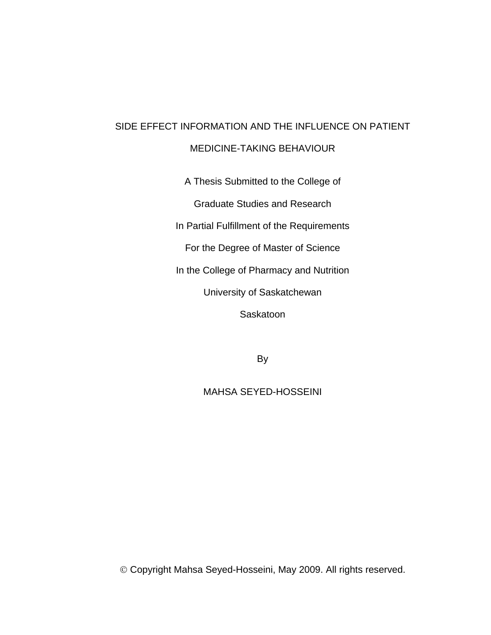# SIDE EFFECT INFORMATION AND THE INFLUENCE ON PATIENT

## MEDICINE-TAKING BEHAVIOUR

A Thesis Submitted to the College of

Graduate Studies and Research

In Partial Fulfillment of the Requirements

For the Degree of Master of Science

In the College of Pharmacy and Nutrition

University of Saskatchewan

**Saskatoon** 

By

MAHSA SEYED-HOSSEINI

© Copyright Mahsa Seyed-Hosseini, May 2009. All rights reserved.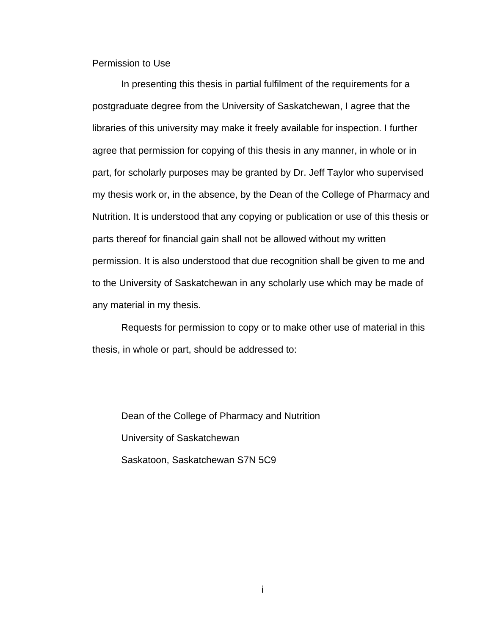#### Permission to Use

 In presenting this thesis in partial fulfilment of the requirements for a postgraduate degree from the University of Saskatchewan, I agree that the libraries of this university may make it freely available for inspection. I further agree that permission for copying of this thesis in any manner, in whole or in part, for scholarly purposes may be granted by Dr. Jeff Taylor who supervised my thesis work or, in the absence, by the Dean of the College of Pharmacy and Nutrition. It is understood that any copying or publication or use of this thesis or parts thereof for financial gain shall not be allowed without my written permission. It is also understood that due recognition shall be given to me and to the University of Saskatchewan in any scholarly use which may be made of any material in my thesis.

Requests for permission to copy or to make other use of material in this thesis, in whole or part, should be addressed to:

 Dean of the College of Pharmacy and Nutrition University of Saskatchewan Saskatoon, Saskatchewan S7N 5C9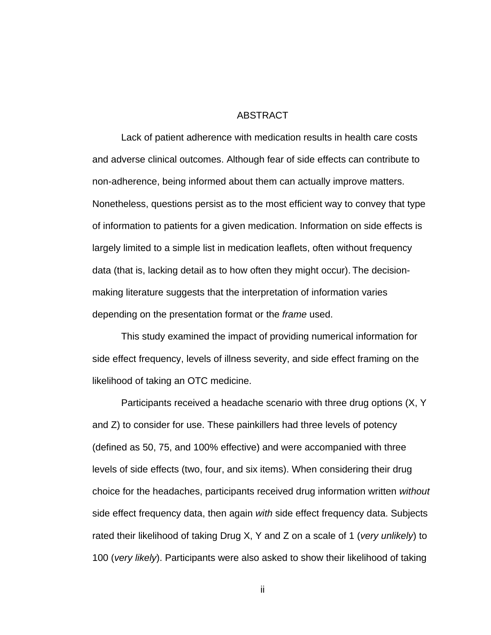#### ABSTRACT

<span id="page-2-0"></span>Lack of patient adherence with medication results in health care costs and adverse clinical outcomes. Although fear of side effects can contribute to non-adherence, being informed about them can actually improve matters. Nonetheless, questions persist as to the most efficient way to convey that type of information to patients for a given medication. Information on side effects is largely limited to a simple list in medication leaflets, often without frequency data (that is, lacking detail as to how often they might occur). The decisionmaking literature suggests that the interpretation of information varies depending on the presentation format or the *frame* used.

This study examined the impact of providing numerical information for side effect frequency, levels of illness severity, and side effect framing on the likelihood of taking an OTC medicine.

Participants received a headache scenario with three drug options (X, Y and Z) to consider for use. These painkillers had three levels of potency (defined as 50, 75, and 100% effective) and were accompanied with three levels of side effects (two, four, and six items). When considering their drug choice for the headaches, participants received drug information written *without* side effect frequency data, then again *with* side effect frequency data. Subjects rated their likelihood of taking Drug X, Y and Z on a scale of 1 (*very unlikely*) to 100 (*very likely*). Participants were also asked to show their likelihood of taking

ii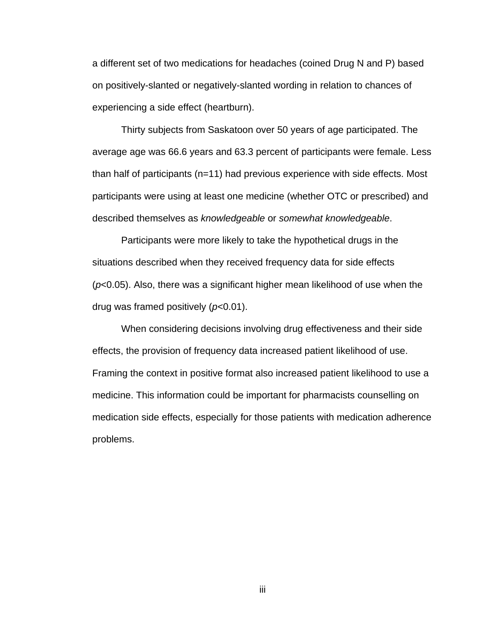a different set of two medications for headaches (coined Drug N and P) based on positively-slanted or negatively-slanted wording in relation to chances of experiencing a side effect (heartburn).

Thirty subjects from Saskatoon over 50 years of age participated. The average age was 66.6 years and 63.3 percent of participants were female. Less than half of participants (n=11) had previous experience with side effects. Most participants were using at least one medicine (whether OTC or prescribed) and described themselves as *knowledgeable* or *somewhat knowledgeable*.

Participants were more likely to take the hypothetical drugs in the situations described when they received frequency data for side effects (*p*<0.05). Also, there was a significant higher mean likelihood of use when the drug was framed positively (*p*<0.01).

When considering decisions involving drug effectiveness and their side effects, the provision of frequency data increased patient likelihood of use. Framing the context in positive format also increased patient likelihood to use a medicine. This information could be important for pharmacists counselling on medication side effects, especially for those patients with medication adherence problems.

iii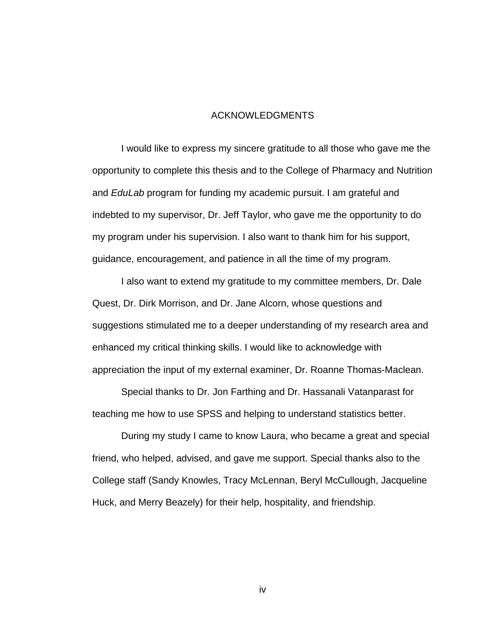#### ACKNOWLEDGMENTS

I would like to express my sincere gratitude to all those who gave me the opportunity to complete this thesis and to the College of Pharmacy and Nutrition and *EduLab* program for funding my academic pursuit. I am grateful and indebted to my supervisor, Dr. Jeff Taylor, who gave me the opportunity to do my program under his supervision. I also want to thank him for his support, guidance, encouragement, and patience in all the time of my program.

I also want to extend my gratitude to my committee members, Dr. Dale Quest, Dr. Dirk Morrison, and Dr. Jane Alcorn, whose questions and suggestions stimulated me to a deeper understanding of my research area and enhanced my critical thinking skills. I would like to acknowledge with appreciation the input of my external examiner, Dr. Roanne Thomas-Maclean.

Special thanks to Dr. Jon Farthing and Dr. Hassanali Vatanparast for teaching me how to use SPSS and helping to understand statistics better.

During my study I came to know Laura, who became a great and special friend, who helped, advised, and gave me support. Special thanks also to the College staff (Sandy Knowles, Tracy McLennan, Beryl McCullough, Jacqueline Huck, and Merry Beazely) for their help, hospitality, and friendship.

iv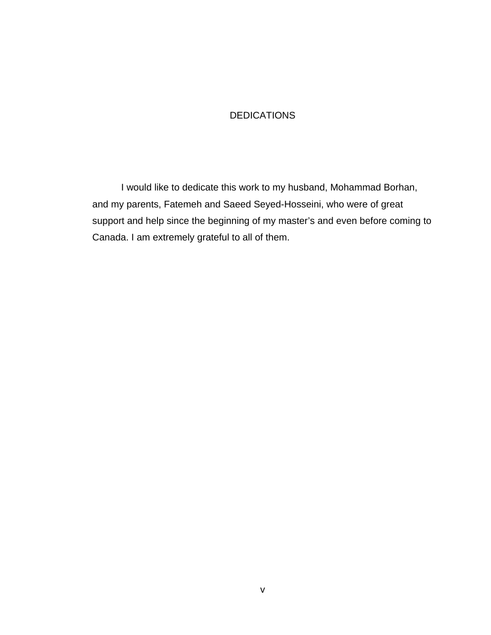## **DEDICATIONS**

I would like to dedicate this work to my husband, Mohammad Borhan, and my parents, Fatemeh and Saeed Seyed-Hosseini, who were of great support and help since the beginning of my master's and even before coming to Canada. I am extremely grateful to all of them.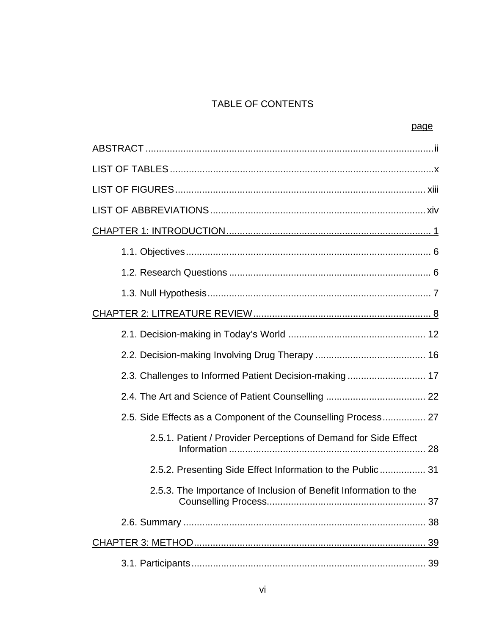## TABLE OF CONTENTS

| 2.3. Challenges to Informed Patient Decision-making 17           |
|------------------------------------------------------------------|
|                                                                  |
| 2.5. Side Effects as a Component of the Counselling Process 27   |
| 2.5.1. Patient / Provider Perceptions of Demand for Side Effect  |
| 2.5.2. Presenting Side Effect Information to the Public 31       |
| 2.5.3. The Importance of Inclusion of Benefit Information to the |
|                                                                  |
|                                                                  |
|                                                                  |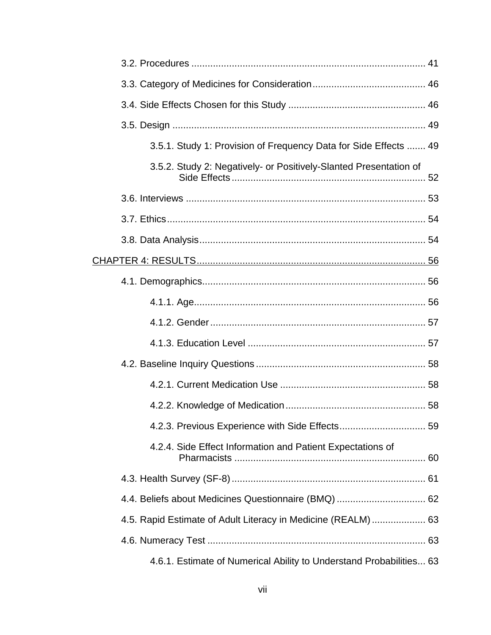| 3.5.1. Study 1: Provision of Frequency Data for Side Effects  49    |
|---------------------------------------------------------------------|
| 3.5.2. Study 2: Negatively- or Positively-Slanted Presentation of   |
|                                                                     |
|                                                                     |
|                                                                     |
|                                                                     |
|                                                                     |
|                                                                     |
|                                                                     |
|                                                                     |
|                                                                     |
|                                                                     |
|                                                                     |
|                                                                     |
| 4.2.4. Side Effect Information and Patient Expectations of          |
|                                                                     |
|                                                                     |
| 4.5. Rapid Estimate of Adult Literacy in Medicine (REALM)  63       |
|                                                                     |
| 4.6.1. Estimate of Numerical Ability to Understand Probabilities 63 |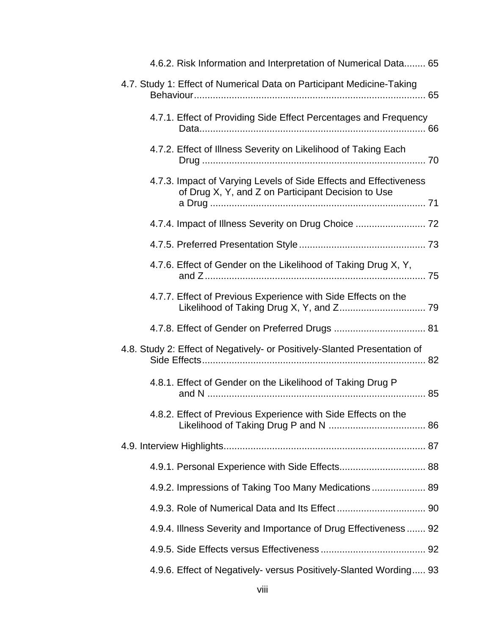| 4.6.2. Risk Information and Interpretation of Numerical Data 65                                                         |  |
|-------------------------------------------------------------------------------------------------------------------------|--|
| 4.7. Study 1: Effect of Numerical Data on Participant Medicine-Taking                                                   |  |
| 4.7.1. Effect of Providing Side Effect Percentages and Frequency                                                        |  |
| 4.7.2. Effect of Illness Severity on Likelihood of Taking Each                                                          |  |
| 4.7.3. Impact of Varying Levels of Side Effects and Effectiveness<br>of Drug X, Y, and Z on Participant Decision to Use |  |
|                                                                                                                         |  |
|                                                                                                                         |  |
| 4.7.6. Effect of Gender on the Likelihood of Taking Drug X, Y,                                                          |  |
| 4.7.7. Effect of Previous Experience with Side Effects on the                                                           |  |
|                                                                                                                         |  |
|                                                                                                                         |  |
| 4.8. Study 2: Effect of Negatively- or Positively-Slanted Presentation of                                               |  |
| 4.8.1. Effect of Gender on the Likelihood of Taking Drug P                                                              |  |
| 4.8.2. Effect of Previous Experience with Side Effects on the                                                           |  |
|                                                                                                                         |  |
|                                                                                                                         |  |
| 4.9.2. Impressions of Taking Too Many Medications 89                                                                    |  |
|                                                                                                                         |  |
| 4.9.4. Illness Severity and Importance of Drug Effectiveness 92                                                         |  |
|                                                                                                                         |  |
| 4.9.6. Effect of Negatively- versus Positively-Slanted Wording 93                                                       |  |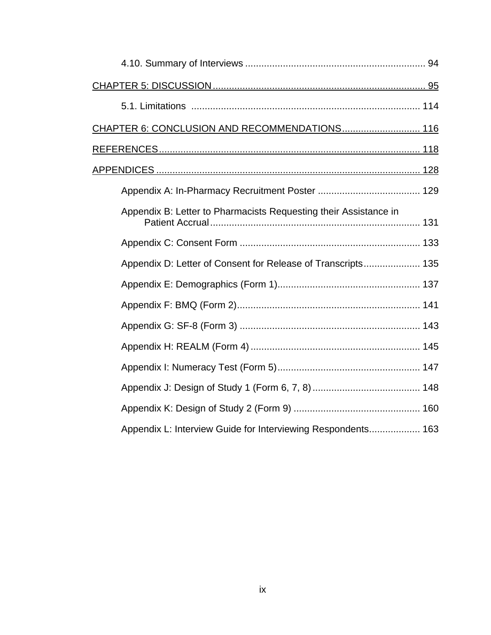| CHAPTER 6: CONCLUSION AND RECOMMENDATIONS 116                    |
|------------------------------------------------------------------|
|                                                                  |
|                                                                  |
|                                                                  |
| Appendix B: Letter to Pharmacists Requesting their Assistance in |
|                                                                  |
| Appendix D: Letter of Consent for Release of Transcripts 135     |
|                                                                  |
|                                                                  |
|                                                                  |
|                                                                  |
|                                                                  |
|                                                                  |
|                                                                  |
| Appendix L: Interview Guide for Interviewing Respondents 163     |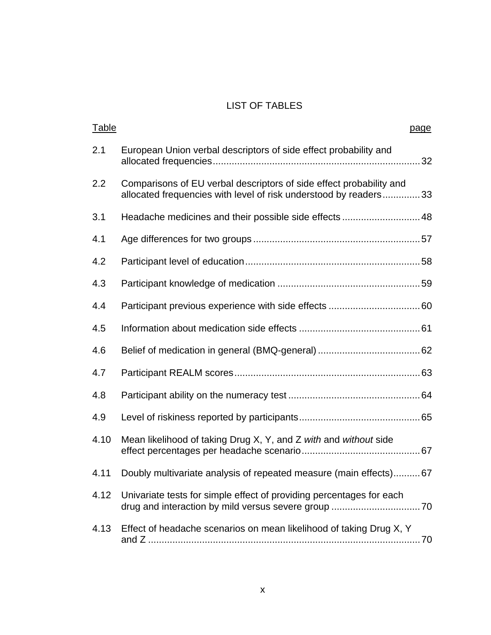## LIST OF TABLES

| <b>Table</b> | page                                                                                                                                    |
|--------------|-----------------------------------------------------------------------------------------------------------------------------------------|
| 2.1          | European Union verbal descriptors of side effect probability and                                                                        |
| 2.2          | Comparisons of EU verbal descriptors of side effect probability and<br>allocated frequencies with level of risk understood by readers33 |
| 3.1          | Headache medicines and their possible side effects 48                                                                                   |
| 4.1          |                                                                                                                                         |
| 4.2          |                                                                                                                                         |
| 4.3          |                                                                                                                                         |
| 4.4          |                                                                                                                                         |
| 4.5          |                                                                                                                                         |
| 4.6          |                                                                                                                                         |
| 4.7          |                                                                                                                                         |
| 4.8          |                                                                                                                                         |
| 4.9          |                                                                                                                                         |
| 4.10         | Mean likelihood of taking Drug X, Y, and Z with and without side                                                                        |
| 4.11         | Doubly multivariate analysis of repeated measure (main effects)67                                                                       |
| 4.12         | Univariate tests for simple effect of providing percentages for each                                                                    |
| 4.13         | Effect of headache scenarios on mean likelihood of taking Drug X, Y                                                                     |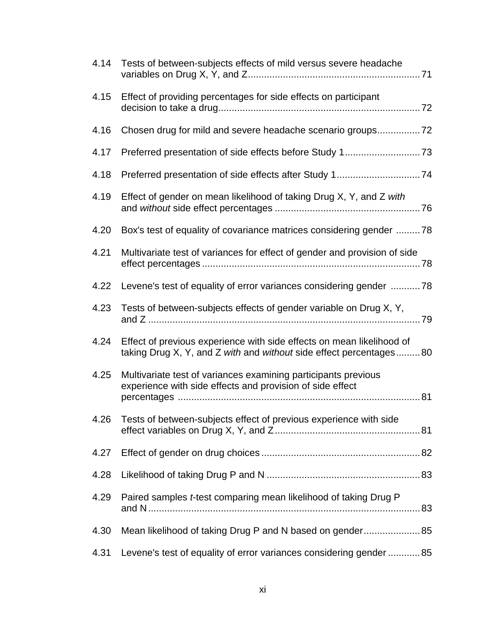| 4.14 | Tests of between-subjects effects of mild versus severe headache                                                                            |
|------|---------------------------------------------------------------------------------------------------------------------------------------------|
| 4.15 | Effect of providing percentages for side effects on participant                                                                             |
| 4.16 |                                                                                                                                             |
| 4.17 |                                                                                                                                             |
| 4.18 |                                                                                                                                             |
| 4.19 | Effect of gender on mean likelihood of taking Drug X, Y, and Z with                                                                         |
| 4.20 | Box's test of equality of covariance matrices considering gender 78                                                                         |
| 4.21 | Multivariate test of variances for effect of gender and provision of side                                                                   |
| 4.22 | Levene's test of equality of error variances considering gender 78                                                                          |
| 4.23 | Tests of between-subjects effects of gender variable on Drug X, Y,                                                                          |
| 4.24 | Effect of previous experience with side effects on mean likelihood of<br>taking Drug X, Y, and Z with and without side effect percentages80 |
| 4.25 | Multivariate test of variances examining participants previous<br>experience with side effects and provision of side effect                 |
| 4.26 | Tests of between-subjects effect of previous experience with side                                                                           |
| 4.27 |                                                                                                                                             |
| 4.28 |                                                                                                                                             |
| 4.29 | Paired samples t-test comparing mean likelihood of taking Drug P                                                                            |
| 4.30 | Mean likelihood of taking Drug P and N based on gender 85                                                                                   |
| 4.31 | Levene's test of equality of error variances considering gender  85                                                                         |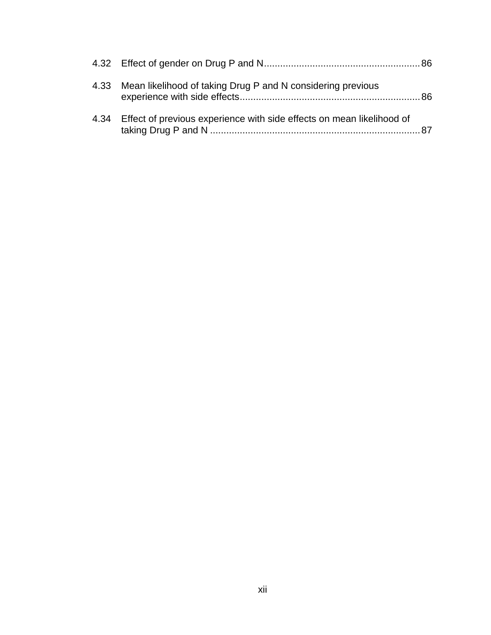| 4.33 Mean likelihood of taking Drug P and N considering previous           |  |
|----------------------------------------------------------------------------|--|
| 4.34 Effect of previous experience with side effects on mean likelihood of |  |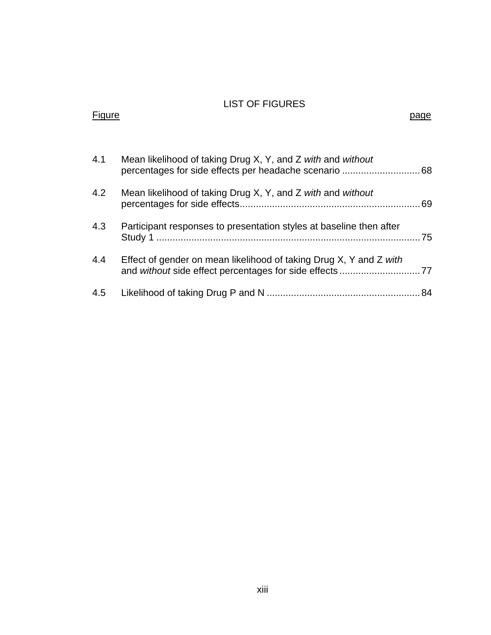## LIST OF FIGURES Figure page of the contract of the contract of the contract of the contract of the contract of the contract of

| 4.1 | Mean likelihood of taking Drug X, Y, and Z with and without         |  |
|-----|---------------------------------------------------------------------|--|
| 4.2 | Mean likelihood of taking Drug X, Y, and Z with and without         |  |
| 4.3 | Participant responses to presentation styles at baseline then after |  |
| 4.4 | Effect of gender on mean likelihood of taking Drug X, Y and Z with  |  |
| 4.5 |                                                                     |  |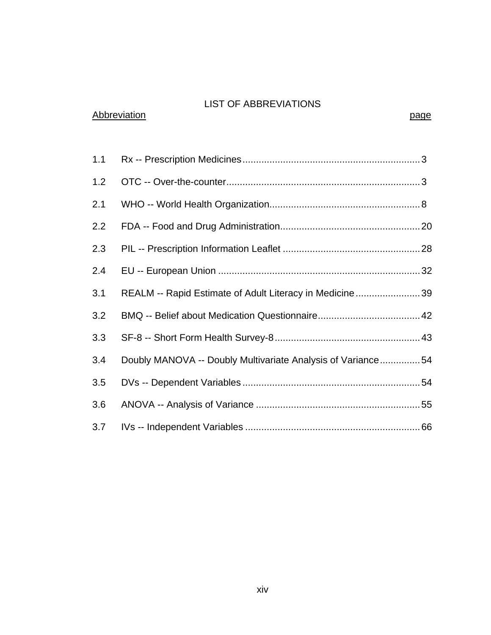## LIST OF ABBREVIATIONS

## Abbreviation **page**

| 1.1 |                                                             |  |
|-----|-------------------------------------------------------------|--|
| 1.2 |                                                             |  |
| 2.1 |                                                             |  |
| 2.2 |                                                             |  |
| 2.3 |                                                             |  |
| 2.4 |                                                             |  |
| 3.1 | REALM -- Rapid Estimate of Adult Literacy in Medicine 39    |  |
| 3.2 |                                                             |  |
| 3.3 |                                                             |  |
| 3.4 | Doubly MANOVA -- Doubly Multivariate Analysis of Variance54 |  |
| 3.5 |                                                             |  |
| 3.6 |                                                             |  |
| 3.7 |                                                             |  |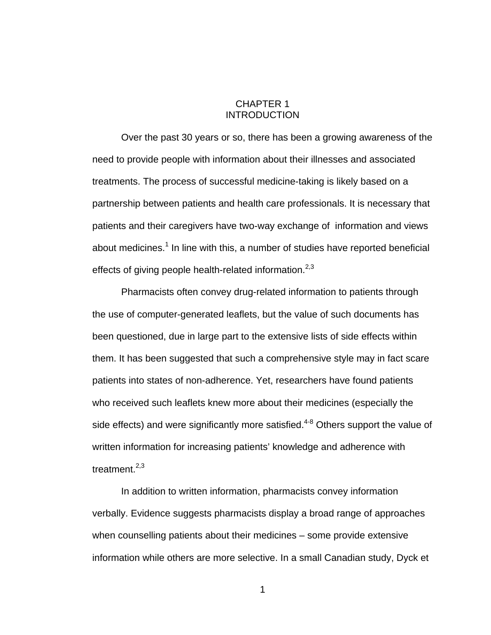### CHAPTER 1 INTRODUCTION

 Over the past 30 years or so, there has been a growing awareness of the need to provide people with information about their illnesses and associated treatments. The process of successful medicine-taking is likely based on a partnership between patients and health care professionals. It is necessary that patients and their caregivers have two-way exchange of information and views about medicines.<sup>1</sup> In line with this, a number of studies have reported beneficial effects of giving people health-related information. $2,3$ 

 Pharmacists often convey drug-related information to patients through the use of computer-generated leaflets, but the value of such documents has been questioned, due in large part to the extensive lists of side effects within them. It has been suggested that such a comprehensive style may in fact scare patients into states of non-adherence. Yet, researchers have found patients who received such leaflets knew more about their medicines (especially the side effects) and were significantly more satisfied.<sup>4-8</sup> Others support the value of written information for increasing patients' knowledge and adherence with treatment. $2,3$ 

 In addition to written information, pharmacists convey information verbally. Evidence suggests pharmacists display a broad range of approaches when counselling patients about their medicines – some provide extensive information while others are more selective. In a small Canadian study, Dyck et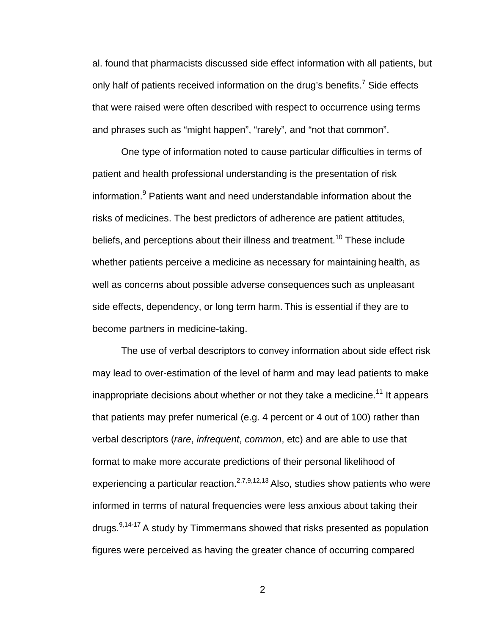al. found that pharmacists discussed side effect information with all patients, but only half of patients received information on the drug's benefits.<sup>7</sup> Side effects that were raised were often described with respect to occurrence using terms and phrases such as "might happen", "rarely", and "not that common".

 One type of information noted to cause particular difficulties in terms of patient and health professional understanding is the presentation of risk information.<sup>9</sup> Patients want and need understandable information about the risks of medicines. The best predictors of adherence are patient attitudes, beliefs, and perceptions about their illness and treatment.<sup>10</sup> These include whether patients perceive a medicine as necessary for maintaining health, as well as concerns about possible adverse consequences such as unpleasant side effects, dependency, or long term harm. This is essential if they are to become partners in medicine-taking.

 The use of verbal descriptors to convey information about side effect risk may lead to over-estimation of the level of harm and may lead patients to make inappropriate decisions about whether or not they take a medicine.<sup>11</sup> It appears that patients may prefer numerical (e.g. 4 percent or 4 out of 100) rather than verbal descriptors (*rare*, *infrequent*, *common*, etc) and are able to use that format to make more accurate predictions of their personal likelihood of experiencing a particular reaction.<sup>2,7,9,12,13</sup> Also, studies show patients who were informed in terms of natural frequencies were less anxious about taking their drugs. $9,14-17$  A study by Timmermans showed that risks presented as population figures were perceived as having the greater chance of occurring compared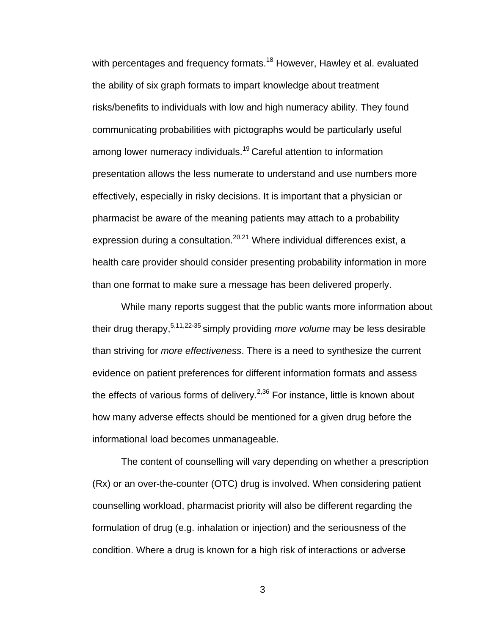with percentages and frequency formats.<sup>18</sup> However, Hawley et al. evaluated the ability of six graph formats to impart knowledge about treatment risks/benefits to individuals with low and high numeracy ability. They found communicating probabilities with pictographs would be particularly useful among lower numeracy individuals.<sup>19</sup> Careful attention to information presentation allows the less numerate to understand and use numbers more effectively, especially in risky decisions. It is important that a physician or pharmacist be aware of the meaning patients may attach to a probability expression during a consultation.<sup>20,21</sup> Where individual differences exist, a health care provider should consider presenting probability information in more than one format to make sure a message has been delivered properly.

 While many reports suggest that the public wants more information about their drug therapy,5,11,22-35 simply providing *more volume* may be less desirable than striving for *more effectiveness*. There is a need to synthesize the current evidence on patient preferences for different information formats and assess the effects of various forms of delivery. $2,36$  For instance, little is known about how many adverse effects should be mentioned for a given drug before the informational load becomes unmanageable.

 The content of counselling will vary depending on whether a prescription (Rx) or an over-the-counter (OTC) drug is involved. When considering patient counselling workload, pharmacist priority will also be different regarding the formulation of drug (e.g. inhalation or injection) and the seriousness of the condition. Where a drug is known for a high risk of interactions or adverse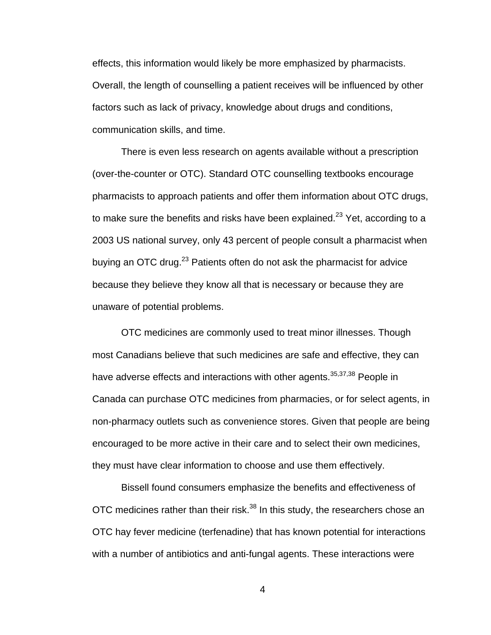effects, this information would likely be more emphasized by pharmacists. Overall, the length of counselling a patient receives will be influenced by other factors such as lack of privacy, knowledge about drugs and conditions, communication skills, and time.

 There is even less research on agents available without a prescription (over-the-counter or OTC). Standard OTC counselling textbooks encourage pharmacists to approach patients and offer them information about OTC drugs, to make sure the benefits and risks have been explained.<sup>23</sup> Yet, according to a 2003 US national survey, only 43 percent of people consult a pharmacist when buying an OTC drug.<sup>23</sup> Patients often do not ask the pharmacist for advice because they believe they know all that is necessary or because they are unaware of potential problems.

 OTC medicines are commonly used to treat minor illnesses. Though most Canadians believe that such medicines are safe and effective, they can have adverse effects and interactions with other agents.<sup>35,37,38</sup> People in Canada can purchase OTC medicines from pharmacies, or for select agents, in non-pharmacy outlets such as convenience stores. Given that people are being encouraged to be more active in their care and to select their own medicines, they must have clear information to choose and use them effectively.

 Bissell found consumers emphasize the benefits and effectiveness of OTC medicines rather than their risk.<sup>38</sup> In this study, the researchers chose an OTC hay fever medicine (terfenadine) that has known potential for interactions with a number of antibiotics and anti-fungal agents. These interactions were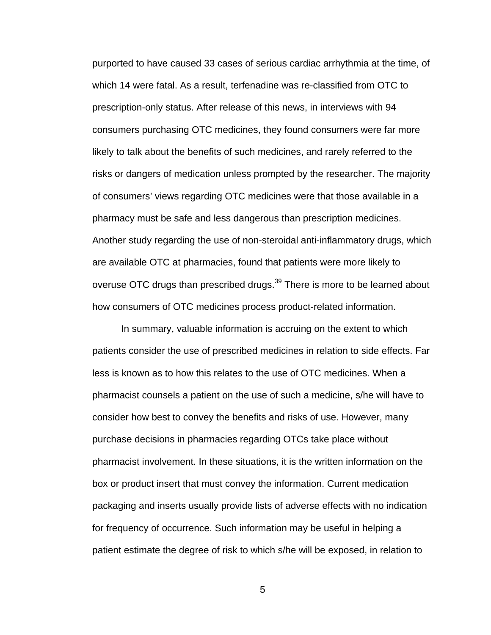purported to have caused 33 cases of serious cardiac arrhythmia at the time, of which 14 were fatal. As a result, terfenadine was re-classified from OTC to prescription-only status. After release of this news, in interviews with 94 consumers purchasing OTC medicines, they found consumers were far more likely to talk about the benefits of such medicines, and rarely referred to the risks or dangers of medication unless prompted by the researcher. The majority of consumers' views regarding OTC medicines were that those available in a pharmacy must be safe and less dangerous than prescription medicines. Another study regarding the use of non-steroidal anti-inflammatory drugs, which are available OTC at pharmacies, found that patients were more likely to overuse OTC drugs than prescribed drugs.<sup>39</sup> There is more to be learned about how consumers of OTC medicines process product-related information.

 In summary, valuable information is accruing on the extent to which patients consider the use of prescribed medicines in relation to side effects. Far less is known as to how this relates to the use of OTC medicines. When a pharmacist counsels a patient on the use of such a medicine, s/he will have to consider how best to convey the benefits and risks of use. However, many purchase decisions in pharmacies regarding OTCs take place without pharmacist involvement. In these situations, it is the written information on the box or product insert that must convey the information. Current medication packaging and inserts usually provide lists of adverse effects with no indication for frequency of occurrence. Such information may be useful in helping a patient estimate the degree of risk to which s/he will be exposed, in relation to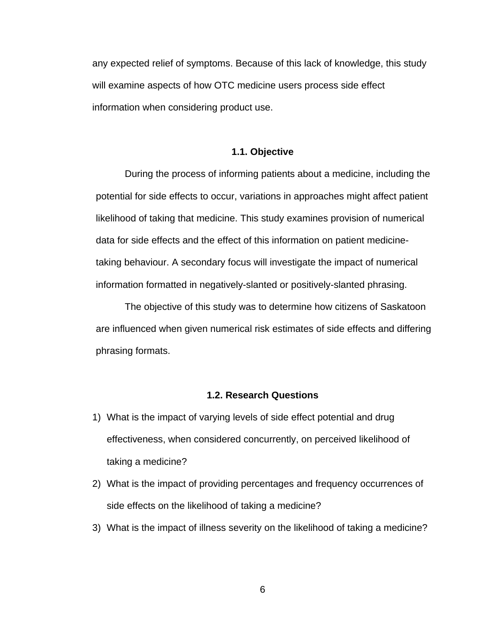any expected relief of symptoms. Because of this lack of knowledge, this study will examine aspects of how OTC medicine users process side effect information when considering product use.

#### **1.1. Objective**

 During the process of informing patients about a medicine, including the potential for side effects to occur, variations in approaches might affect patient likelihood of taking that medicine. This study examines provision of numerical data for side effects and the effect of this information on patient medicinetaking behaviour. A secondary focus will investigate the impact of numerical information formatted in negatively-slanted or positively-slanted phrasing.

 The objective of this study was to determine how citizens of Saskatoon are influenced when given numerical risk estimates of side effects and differing phrasing formats.

## **1.2. Research Questions**

- 1) What is the impact of varying levels of side effect potential and drug effectiveness, when considered concurrently, on perceived likelihood of taking a medicine?
- 2) What is the impact of providing percentages and frequency occurrences of side effects on the likelihood of taking a medicine?
- 3) What is the impact of illness severity on the likelihood of taking a medicine?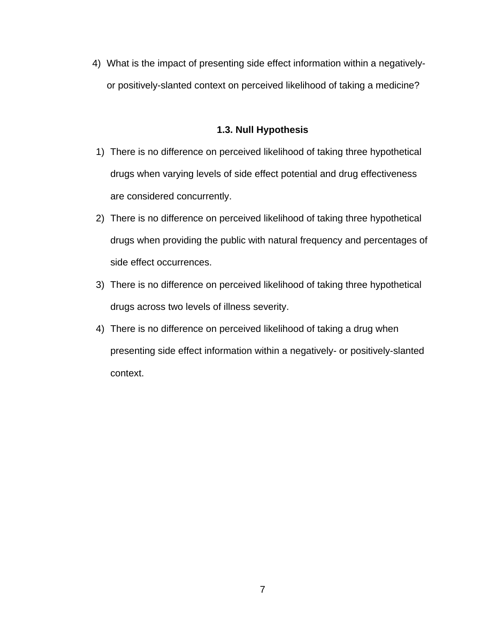4) What is the impact of presenting side effect information within a negativelyor positively-slanted context on perceived likelihood of taking a medicine?

## **1.3. Null Hypothesis**

- 1) There is no difference on perceived likelihood of taking three hypothetical drugs when varying levels of side effect potential and drug effectiveness are considered concurrently.
- 2) There is no difference on perceived likelihood of taking three hypothetical drugs when providing the public with natural frequency and percentages of side effect occurrences.
- 3) There is no difference on perceived likelihood of taking three hypothetical drugs across two levels of illness severity.
- 4) There is no difference on perceived likelihood of taking a drug when presenting side effect information within a negatively- or positively-slanted context.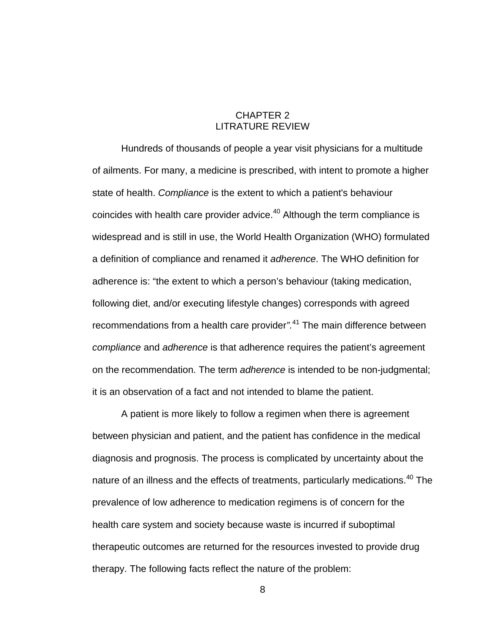## CHAPTER 2 LITRATURE REVIEW

Hundreds of thousands of people a year visit physicians for a multitude of ailments. For many, a medicine is prescribed, with intent to promote a higher state of health. *Compliance* is the extent to which a patient's behaviour coincides with health care provider advice.<sup>40</sup> Although the term compliance is widespread and is still in use, the World Health Organization (WHO) formulated a definition of compliance and renamed it *adherence*. The WHO definition for adherence is: "the extent to which a person's behaviour (taking medication, following diet, and/or executing lifestyle changes) corresponds with agreed recommendations from a health care provider*".*41 The main difference between *compliance* and *adherence* is that adherence requires the patient's agreement on the recommendation. The term *adherence* is intended to be non-judgmental; it is an observation of a fact and not intended to blame the patient.

A patient is more likely to follow a regimen when there is agreement between physician and patient, and the patient has confidence in the medical diagnosis and prognosis. The process is complicated by uncertainty about the nature of an illness and the effects of treatments, particularly medications.<sup>40</sup> The prevalence of low adherence to medication regimens is of concern for the health care system and society because waste is incurred if suboptimal therapeutic outcomes are returned for the resources invested to provide drug therapy. The following facts reflect the nature of the problem: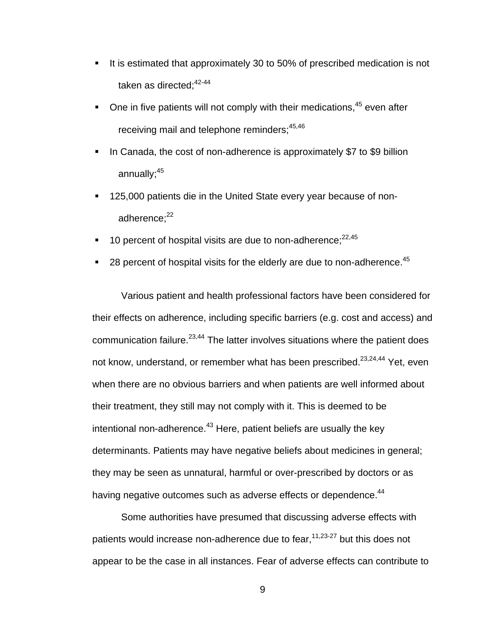- It is estimated that approximately 30 to 50% of prescribed medication is not taken as directed;<sup>42-44</sup>
- $\blacksquare$  One in five patients will not comply with their medications.<sup>45</sup> even after receiving mail and telephone reminders;<sup>45,46</sup>
- In Canada, the cost of non-adherence is approximately \$7 to \$9 billion annually;<sup>45</sup>
- 125,000 patients die in the United State every year because of nonadherence: $22$
- 10 percent of hospital visits are due to non-adherence; $22,45$
- 28 percent of hospital visits for the elderly are due to non-adherence.<sup>45</sup>

Various patient and health professional factors have been considered for their effects on adherence, including specific barriers (e.g. cost and access) and communication failure. $23,44$  The latter involves situations where the patient does not know, understand, or remember what has been prescribed.<sup>23,24,44</sup> Yet, even when there are no obvious barriers and when patients are well informed about their treatment, they still may not comply with it. This is deemed to be intentional non-adherence. $43$  Here, patient beliefs are usually the key determinants. Patients may have negative beliefs about medicines in general; they may be seen as unnatural, harmful or over-prescribed by doctors or as having negative outcomes such as adverse effects or dependence.<sup>44</sup>

Some authorities have presumed that discussing adverse effects with patients would increase non-adherence due to fear,  $11,23-27$  but this does not appear to be the case in all instances. Fear of adverse effects can contribute to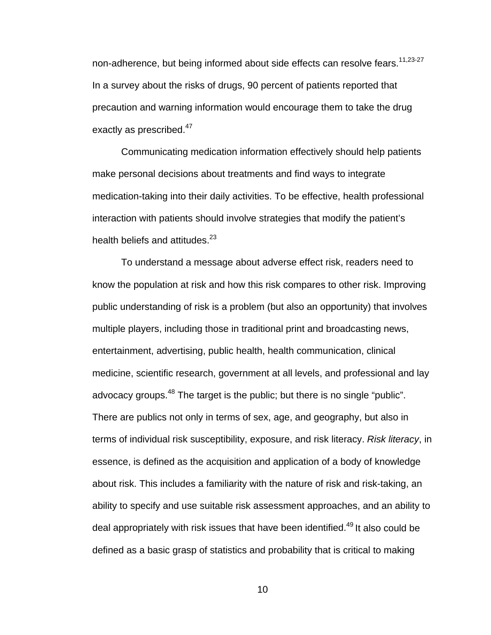non-adherence, but being informed about side effects can resolve fears.<sup>11,23-27</sup> In a survey about the risks of drugs, 90 percent of patients reported that precaution and warning information would encourage them to take the drug exactly as prescribed.<sup>47</sup>

Communicating medication information effectively should help patients make personal decisions about treatments and find ways to integrate medication-taking into their daily activities. To be effective, health professional interaction with patients should involve strategies that modify the patient's health beliefs and attitudes.<sup>23</sup>

 To understand a message about adverse effect risk, readers need to know the population at risk and how this risk compares to other risk. Improving public understanding of risk is a problem (but also an opportunity) that involves multiple players, including those in traditional print and broadcasting news, entertainment, advertising, public health, health communication, clinical medicine, scientific research, government at all levels, and professional and lay advocacy groups.<sup>48</sup> The target is the public; but there is no single "public". There are publics not only in terms of sex, age, and geography, but also in terms of individual risk susceptibility, exposure, and risk literacy. *Risk literacy*, in essence, is defined as the acquisition and application of a body of knowledge about risk. This includes a familiarity with the nature of risk and risk-taking, an ability to specify and use suitable risk assessment approaches, and an ability to deal appropriately with risk issues that have been identified.<sup>49</sup> It also could be defined as a basic grasp of statistics and probability that is critical to making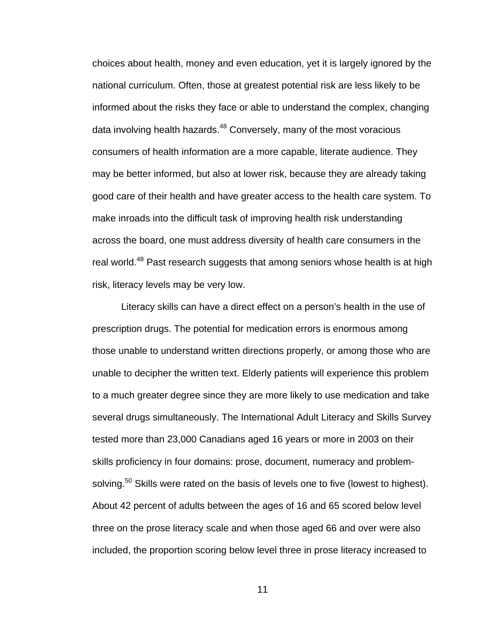choices about health, money and even education, yet it is largely ignored by the national curriculum. Often, those at greatest potential risk are less likely to be informed about the risks they face or able to understand the complex, changing data involving health hazards.<sup>48</sup> Conversely, many of the most voracious consumers of health information are a more capable, literate audience. They may be better informed, but also at lower risk, because they are already taking good care of their health and have greater access to the health care system. To make inroads into the difficult task of improving health risk understanding across the board, one must address diversity of health care consumers in the real world.<sup>48</sup> Past research suggests that among seniors whose health is at high risk, literacy levels may be very low.

Literacy skills can have a direct effect on a person's health in the use of prescription drugs. The potential for medication errors is enormous among those unable to understand written directions properly, or among those who are unable to decipher the written text. Elderly patients will experience this problem to a much greater degree since they are more likely to use medication and take several drugs simultaneously. The International Adult Literacy and Skills Survey tested more than 23,000 Canadians aged 16 years or more in 2003 on their skills proficiency in four domains: prose, document, numeracy and problemsolving.<sup>50</sup> Skills were rated on the basis of levels one to five (lowest to highest). About 42 percent of adults between the ages of 16 and 65 scored below level three on the prose literacy scale and when those aged 66 and over were also included, the proportion scoring below level three in prose literacy increased to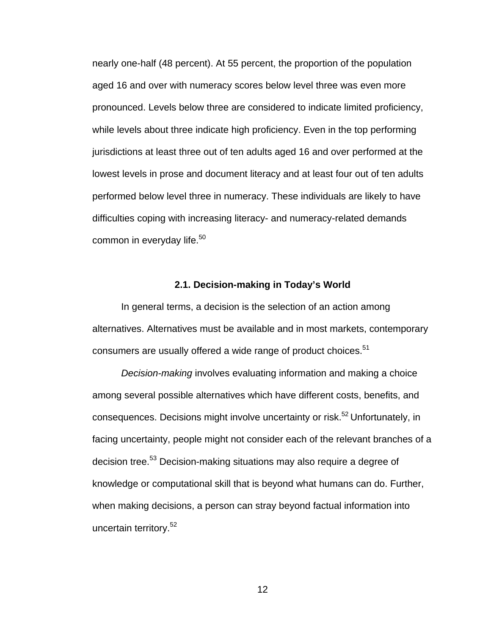nearly one-half (48 percent). At 55 percent, the proportion of the population aged 16 and over with numeracy scores below level three was even more pronounced. Levels below three are considered to indicate limited proficiency, while levels about three indicate high proficiency. Even in the top performing jurisdictions at least three out of ten adults aged 16 and over performed at the lowest levels in prose and document literacy and at least four out of ten adults performed below level three in numeracy. These individuals are likely to have difficulties coping with increasing literacy- and numeracy-related demands common in everyday life.<sup>50</sup>

#### **2.1. Decision-making in Today's World**

 In general terms, a decision is the selection of an action among alternatives. Alternatives must be available and in most markets, contemporary consumers are usually offered a wide range of product choices.<sup>51</sup>

*Decision-making* involves evaluating information and making a choice among several possible alternatives which have different costs, benefits, and consequences. Decisions might involve uncertainty or risk.<sup>52</sup> Unfortunately, in facing uncertainty, people might not consider each of the relevant branches of a decision tree.53 Decision-making situations may also require a degree of knowledge or computational skill that is beyond what humans can do. Further, when making decisions, a person can stray beyond factual information into uncertain territory.<sup>52</sup>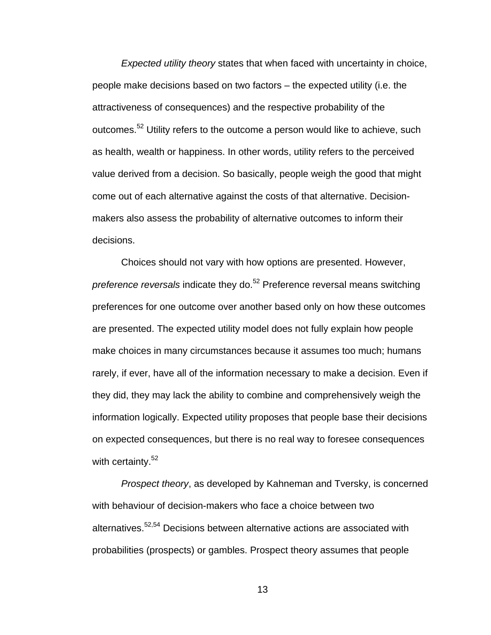*Expected utility theory* states that when faced with uncertainty in choice, people make decisions based on two factors – the expected utility (i.e. the attractiveness of consequences) and the respective probability of the outcomes.52 Utility refers to the outcome a person would like to achieve, such as health, wealth or happiness. In other words, utility refers to the perceived value derived from a decision. So basically, people weigh the good that might come out of each alternative against the costs of that alternative. Decisionmakers also assess the probability of alternative outcomes to inform their decisions.

Choices should not vary with how options are presented. However, *preference reversals* indicate they do.<sup>52</sup> Preference reversal means switching preferences for one outcome over another based only on how these outcomes are presented. The expected utility model does not fully explain how people make choices in many circumstances because it assumes too much; humans rarely, if ever, have all of the information necessary to make a decision. Even if they did, they may lack the ability to combine and comprehensively weigh the information logically. Expected utility proposes that people base their decisions on expected consequences, but there is no real way to foresee consequences with certainty.<sup>52</sup>

*Prospect theory*, as developed by Kahneman and Tversky, is concerned with behaviour of decision-makers who face a choice between two alternatives.52,54 Decisions between alternative actions are associated with probabilities (prospects) or gambles. Prospect theory assumes that people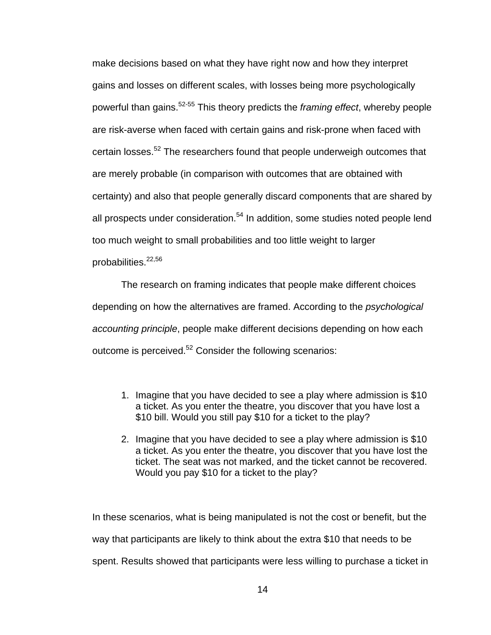make decisions based on what they have right now and how they interpret gains and losses on different scales, with losses being more psychologically powerful than gains.52-55 This theory predicts the *framing effect*, whereby people are risk-averse when faced with certain gains and risk-prone when faced with certain losses.52 The researchers found that people underweigh outcomes that are merely probable (in comparison with outcomes that are obtained with certainty) and also that people generally discard components that are shared by all prospects under consideration.<sup>54</sup> In addition, some studies noted people lend too much weight to small probabilities and too little weight to larger probabilities.<sup>22,56</sup>

The research on framing indicates that people make different choices depending on how the alternatives are framed. According to the *psychological accounting principle*, people make different decisions depending on how each outcome is perceived.<sup>52</sup> Consider the following scenarios:

- 1. Imagine that you have decided to see a play where admission is \$10 a ticket. As you enter the theatre, you discover that you have lost a \$10 bill. Would you still pay \$10 for a ticket to the play?
- 2. Imagine that you have decided to see a play where admission is \$10 a ticket. As you enter the theatre, you discover that you have lost the ticket. The seat was not marked, and the ticket cannot be recovered. Would you pay \$10 for a ticket to the play?

In these scenarios, what is being manipulated is not the cost or benefit, but the way that participants are likely to think about the extra \$10 that needs to be spent. Results showed that participants were less willing to purchase a ticket in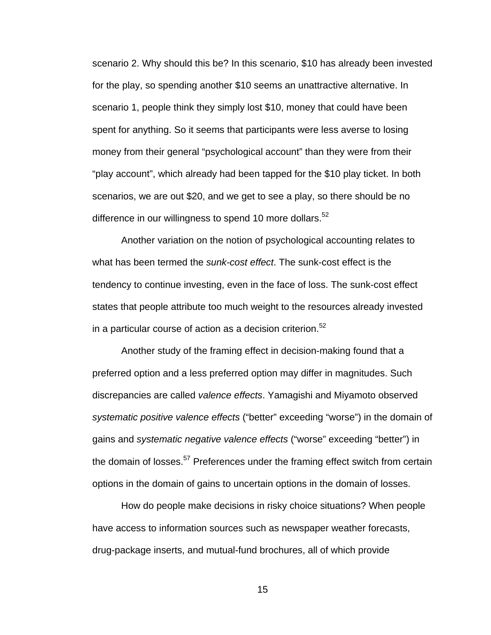scenario 2. Why should this be? In this scenario, \$10 has already been invested for the play, so spending another \$10 seems an unattractive alternative. In scenario 1, people think they simply lost \$10, money that could have been spent for anything. So it seems that participants were less averse to losing money from their general "psychological account" than they were from their "play account", which already had been tapped for the \$10 play ticket. In both scenarios, we are out \$20, and we get to see a play, so there should be no difference in our willingness to spend 10 more dollars. $52$ 

Another variation on the notion of psychological accounting relates to what has been termed the *sunk-cost effect*. The sunk-cost effect is the tendency to continue investing, even in the face of loss. The sunk-cost effect states that people attribute too much weight to the resources already invested in a particular course of action as a decision criterion.<sup>52</sup>

Another study of the framing effect in decision-making found that a preferred option and a less preferred option may differ in magnitudes. Such discrepancies are called *valence effects*. Yamagishi and Miyamoto observed *systematic positive valence effects* ("better" exceeding "worse") in the domain of gains and *systematic negative valence effects* ("worse" exceeding "better") in the domain of losses.<sup>57</sup> Preferences under the framing effect switch from certain options in the domain of gains to uncertain options in the domain of losses.

How do people make decisions in risky choice situations? When people have access to information sources such as newspaper weather forecasts, drug-package inserts, and mutual-fund brochures, all of which provide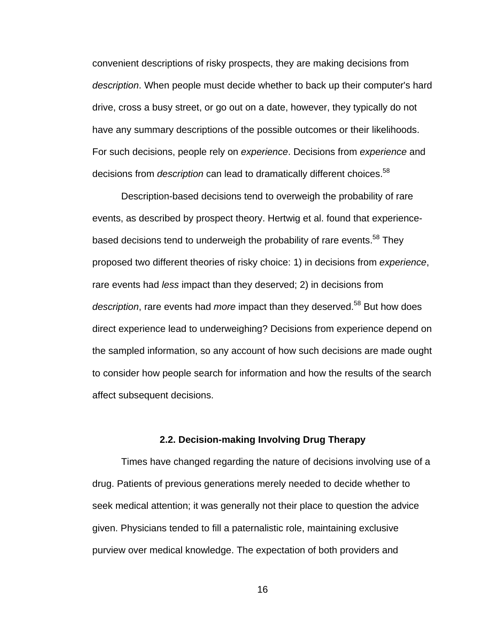convenient descriptions of risky prospects, they are making decisions from *description*. When people must decide whether to back up their computer's hard drive, cross a busy street, or go out on a date, however, they typically do not have any summary descriptions of the possible outcomes or their likelihoods. For such decisions, people rely on *experience*. Decisions from *experience* and decisions from *description* can lead to dramatically different choices.<sup>58</sup>

Description-based decisions tend to overweigh the probability of rare events, as described by prospect theory. Hertwig et al. found that experiencebased decisions tend to underweigh the probability of rare events.<sup>58</sup> They proposed two different theories of risky choice: 1) in decisions from *experience*, rare events had *less* impact than they deserved; 2) in decisions from description, rare events had *more* impact than they deserved.<sup>58</sup> But how does direct experience lead to underweighing? Decisions from experience depend on the sampled information, so any account of how such decisions are made ought to consider how people search for information and how the results of the search affect subsequent decisions.

#### **2.2. Decision-making Involving Drug Therapy**

Times have changed regarding the nature of decisions involving use of a drug. Patients of previous generations merely needed to decide whether to seek medical attention; it was generally not their place to question the advice given. Physicians tended to fill a paternalistic role, maintaining exclusive purview over medical knowledge. The expectation of both providers and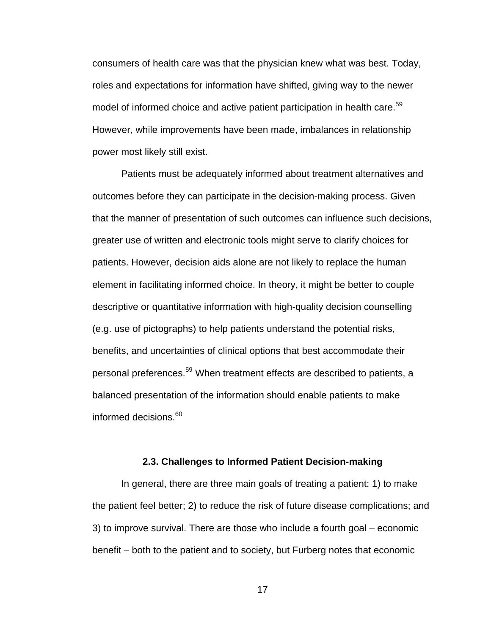consumers of health care was that the physician knew what was best. Today, roles and expectations for information have shifted, giving way to the newer model of informed choice and active patient participation in health care.<sup>59</sup> However, while improvements have been made, imbalances in relationship power most likely still exist.

Patients must be adequately informed about treatment alternatives and outcomes before they can participate in the decision-making process. Given that the manner of presentation of such outcomes can influence such decisions, greater use of written and electronic tools might serve to clarify choices for patients. However, decision aids alone are not likely to replace the human element in facilitating informed choice. In theory, it might be better to couple descriptive or quantitative information with high-quality decision counselling (e.g. use of pictographs) to help patients understand the potential risks, benefits, and uncertainties of clinical options that best accommodate their personal preferences.<sup>59</sup> When treatment effects are described to patients, a balanced presentation of the information should enable patients to make informed decisions.<sup>60</sup>

#### **2.3. Challenges to Informed Patient Decision-making**

In general, there are three main goals of treating a patient: 1) to make the patient feel better; 2) to reduce the risk of future disease complications; and 3) to improve survival. There are those who include a fourth goal – economic benefit – both to the patient and to society, but Furberg notes that economic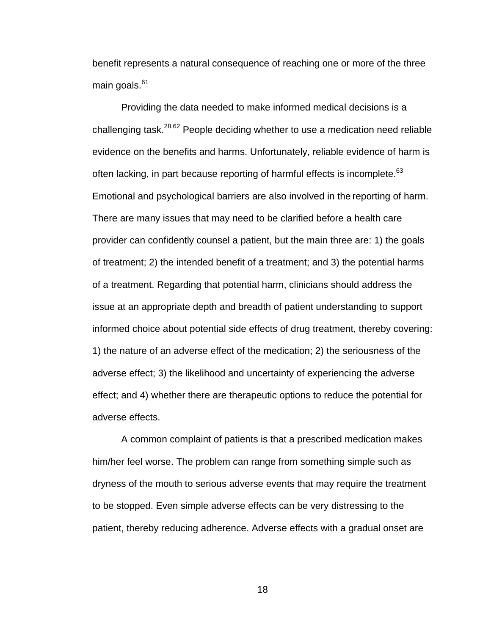benefit represents a natural consequence of reaching one or more of the three main goals.<sup>61</sup>

Providing the data needed to make informed medical decisions is a challenging task.28,62 People deciding whether to use a medication need reliable evidence on the benefits and harms. Unfortunately, reliable evidence of harm is often lacking, in part because reporting of harmful effects is incomplete.<sup>63</sup> Emotional and psychological barriers are also involved in the reporting of harm. There are many issues that may need to be clarified before a health care provider can confidently counsel a patient, but the main three are: 1) the goals of treatment; 2) the intended benefit of a treatment; and 3) the potential harms of a treatment. Regarding that potential harm, clinicians should address the issue at an appropriate depth and breadth of patient understanding to support informed choice about potential side effects of drug treatment, thereby covering: 1) the nature of an adverse effect of the medication; 2) the seriousness of the adverse effect; 3) the likelihood and uncertainty of experiencing the adverse effect; and 4) whether there are therapeutic options to reduce the potential for adverse effects.

A common complaint of patients is that a prescribed medication makes him/her feel worse. The problem can range from something simple such as dryness of the mouth to serious adverse events that may require the treatment to be stopped. Even simple adverse effects can be very distressing to the patient, thereby reducing adherence. Adverse effects with a gradual onset are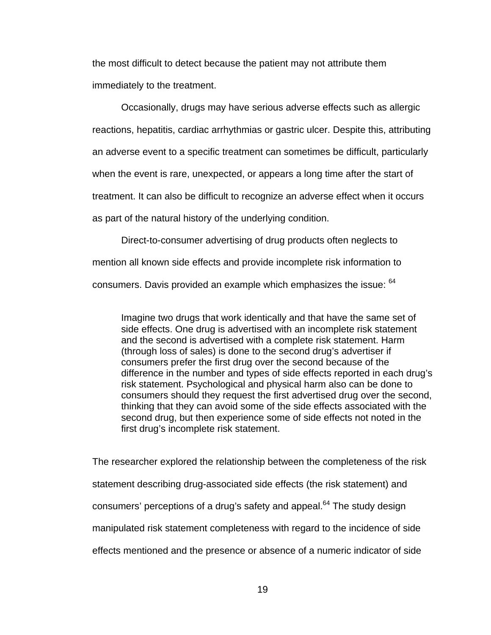the most difficult to detect because the patient may not attribute them immediately to the treatment.

Occasionally, drugs may have serious adverse effects such as allergic reactions, hepatitis, cardiac arrhythmias or gastric ulcer. Despite this, attributing an adverse event to a specific treatment can sometimes be difficult, particularly when the event is rare, unexpected, or appears a long time after the start of treatment. It can also be difficult to recognize an adverse effect when it occurs as part of the natural history of the underlying condition.

Direct-to-consumer advertising of drug products often neglects to mention all known side effects and provide incomplete risk information to consumers. Davis provided an example which emphasizes the issue: <sup>64</sup>

Imagine two drugs that work identically and that have the same set of side effects. One drug is advertised with an incomplete risk statement and the second is advertised with a complete risk statement. Harm (through loss of sales) is done to the second drug's advertiser if consumers prefer the first drug over the second because of the difference in the number and types of side effects reported in each drug's risk statement. Psychological and physical harm also can be done to consumers should they request the first advertised drug over the second, thinking that they can avoid some of the side effects associated with the second drug, but then experience some of side effects not noted in the first drug's incomplete risk statement.

The researcher explored the relationship between the completeness of the risk statement describing drug-associated side effects (the risk statement) and consumers' perceptions of a drug's safety and appeal. $^{64}$  The study design manipulated risk statement completeness with regard to the incidence of side effects mentioned and the presence or absence of a numeric indicator of side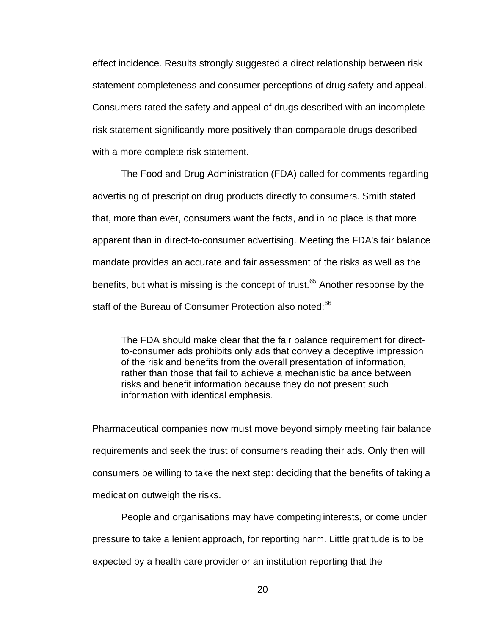effect incidence. Results strongly suggested a direct relationship between risk statement completeness and consumer perceptions of drug safety and appeal. Consumers rated the safety and appeal of drugs described with an incomplete risk statement significantly more positively than comparable drugs described with a more complete risk statement.

The Food and Drug Administration (FDA) called for comments regarding advertising of prescription drug products directly to consumers. Smith stated that, more than ever, consumers want the facts, and in no place is that more apparent than in direct-to-consumer advertising. Meeting the FDA's fair balance mandate provides an accurate and fair assessment of the risks as well as the benefits, but what is missing is the concept of trust.<sup>65</sup> Another response by the staff of the Bureau of Consumer Protection also noted:<sup>66</sup>

The FDA should make clear that the fair balance requirement for directto-consumer ads prohibits only ads that convey a deceptive impression of the risk and benefits from the overall presentation of information, rather than those that fail to achieve a mechanistic balance between risks and benefit information because they do not present such information with identical emphasis.

Pharmaceutical companies now must move beyond simply meeting fair balance requirements and seek the trust of consumers reading their ads. Only then will consumers be willing to take the next step: deciding that the benefits of taking a medication outweigh the risks.

People and organisations may have competing interests, or come under pressure to take a lenient approach, for reporting harm. Little gratitude is to be expected by a health care provider or an institution reporting that the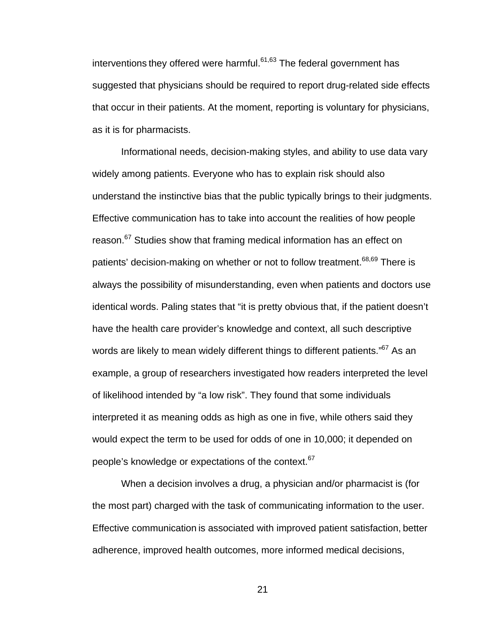interventions they offered were harmful. $61,63$  The federal government has suggested that physicians should be required to report drug-related side effects that occur in their patients. At the moment, reporting is voluntary for physicians, as it is for pharmacists.

Informational needs, decision-making styles, and ability to use data vary widely among patients. Everyone who has to explain risk should also understand the instinctive bias that the public typically brings to their judgments. Effective communication has to take into account the realities of how people reason.<sup>67</sup> Studies show that framing medical information has an effect on patients' decision-making on whether or not to follow treatment.<sup>68,69</sup> There is always the possibility of misunderstanding, even when patients and doctors use identical words. Paling states that "it is pretty obvious that, if the patient doesn't have the health care provider's knowledge and context, all such descriptive words are likely to mean widely different things to different patients."<sup>67</sup> As an example, a group of researchers investigated how readers interpreted the level of likelihood intended by "a low risk". They found that some individuals interpreted it as meaning odds as high as one in five, while others said they would expect the term to be used for odds of one in 10,000; it depended on people's knowledge or expectations of the context.<sup>67</sup>

When a decision involves a drug, a physician and/or pharmacist is (for the most part) charged with the task of communicating information to the user. Effective communication is associated with improved patient satisfaction, better adherence, improved health outcomes, more informed medical decisions,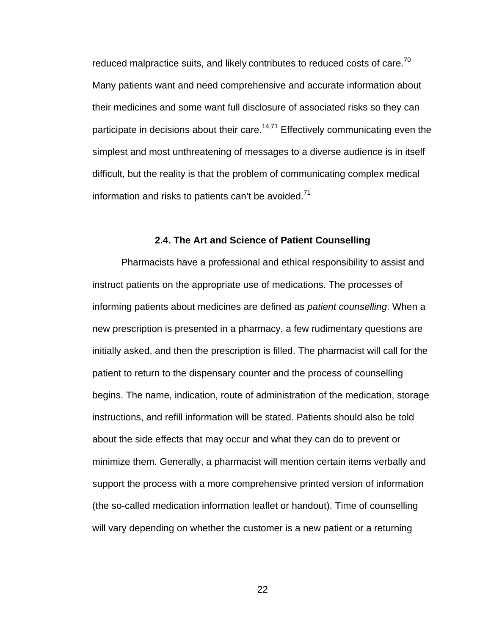reduced malpractice suits, and likely contributes to reduced costs of care.<sup>70</sup> Many patients want and need comprehensive and accurate information about their medicines and some want full disclosure of associated risks so they can participate in decisions about their care.<sup>14,71</sup> Effectively communicating even the simplest and most unthreatening of messages to a diverse audience is in itself difficult, but the reality is that the problem of communicating complex medical information and risks to patients can't be avoided. $71$ 

### **2.4. The Art and Science of Patient Counselling**

 Pharmacists have a professional and ethical responsibility to assist and instruct patients on the appropriate use of medications. The processes of informing patients about medicines are defined as *patient counselling*. When a new prescription is presented in a pharmacy, a few rudimentary questions are initially asked, and then the prescription is filled. The pharmacist will call for the patient to return to the dispensary counter and the process of counselling begins. The name, indication, route of administration of the medication, storage instructions, and refill information will be stated. Patients should also be told about the side effects that may occur and what they can do to prevent or minimize them. Generally, a pharmacist will mention certain items verbally and support the process with a more comprehensive printed version of information (the so-called medication information leaflet or handout). Time of counselling will vary depending on whether the customer is a new patient or a returning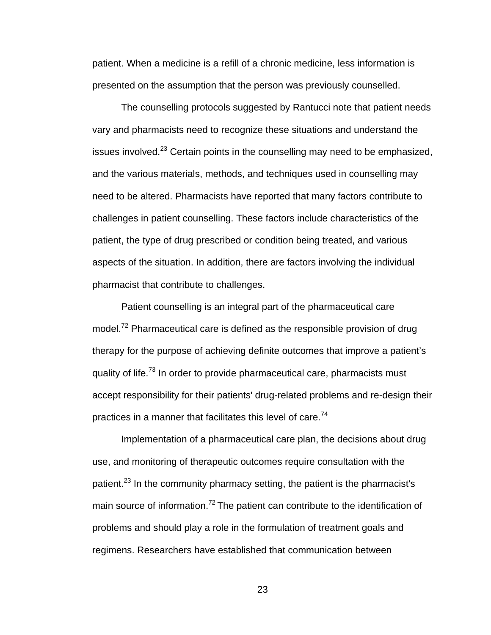patient. When a medicine is a refill of a chronic medicine, less information is presented on the assumption that the person was previously counselled.

 The counselling protocols suggested by Rantucci note that patient needs vary and pharmacists need to recognize these situations and understand the issues involved. $^{23}$  Certain points in the counselling may need to be emphasized, and the various materials, methods, and techniques used in counselling may need to be altered. Pharmacists have reported that many factors contribute to challenges in patient counselling. These factors include characteristics of the patient, the type of drug prescribed or condition being treated, and various aspects of the situation. In addition, there are factors involving the individual pharmacist that contribute to challenges.

 Patient counselling is an integral part of the pharmaceutical care model.<sup>72</sup> Pharmaceutical care is defined as the responsible provision of drug therapy for the purpose of achieving definite outcomes that improve a patient's quality of life.<sup>73</sup> In order to provide pharmaceutical care, pharmacists must accept responsibility for their patients' drug-related problems and re-design their practices in a manner that facilitates this level of care.<sup>74</sup>

 Implementation of a pharmaceutical care plan, the decisions about drug use, and monitoring of therapeutic outcomes require consultation with the patient.<sup>23</sup> In the community pharmacy setting, the patient is the pharmacist's main source of information.<sup>72</sup> The patient can contribute to the identification of problems and should play a role in the formulation of treatment goals and regimens. Researchers have established that communication between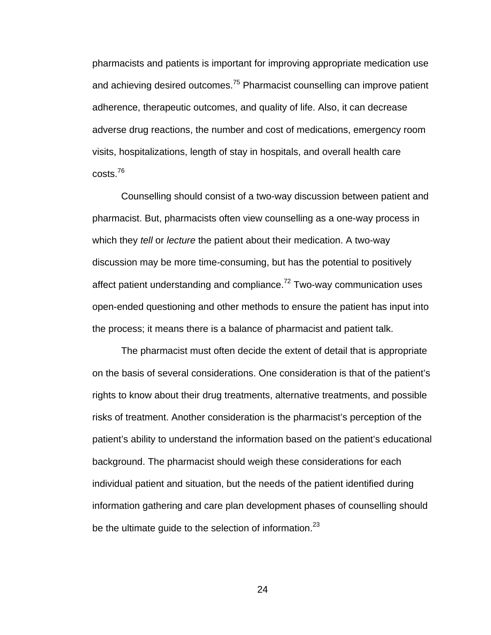pharmacists and patients is important for improving appropriate medication use and achieving desired outcomes.<sup>75</sup> Pharmacist counselling can improve patient adherence, therapeutic outcomes, and quality of life. Also, it can decrease adverse drug reactions, the number and cost of medications, emergency room visits, hospitalizations, length of stay in hospitals, and overall health care costs.<sup>76</sup>

Counselling should consist of a two-way discussion between patient and pharmacist. But, pharmacists often view counselling as a one-way process in which they *tell* or *lecture* the patient about their medication. A two-way discussion may be more time-consuming, but has the potential to positively affect patient understanding and compliance. $72$  Two-way communication uses open-ended questioning and other methods to ensure the patient has input into the process; it means there is a balance of pharmacist and patient talk.

The pharmacist must often decide the extent of detail that is appropriate on the basis of several considerations. One consideration is that of the patient's rights to know about their drug treatments, alternative treatments, and possible risks of treatment. Another consideration is the pharmacist's perception of the patient's ability to understand the information based on the patient's educational background. The pharmacist should weigh these considerations for each individual patient and situation, but the needs of the patient identified during information gathering and care plan development phases of counselling should be the ultimate guide to the selection of information. $^{23}$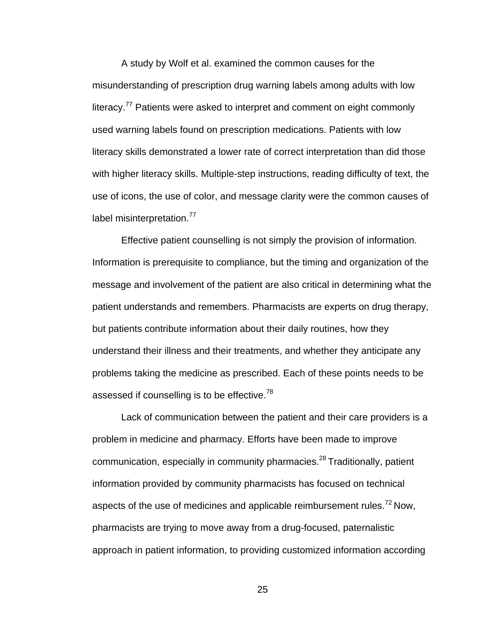A study by Wolf et al. examined the common causes for the misunderstanding of prescription drug warning labels among adults with low literacy.<sup>77</sup> Patients were asked to interpret and comment on eight commonly used warning labels found on prescription medications. Patients with low literacy skills demonstrated a lower rate of correct interpretation than did those with higher literacy skills. Multiple-step instructions, reading difficulty of text, the use of icons, the use of color, and message clarity were the common causes of label misinterpretation.<sup>77</sup>

 Effective patient counselling is not simply the provision of information. Information is prerequisite to compliance, but the timing and organization of the message and involvement of the patient are also critical in determining what the patient understands and remembers. Pharmacists are experts on drug therapy, but patients contribute information about their daily routines, how they understand their illness and their treatments, and whether they anticipate any problems taking the medicine as prescribed. Each of these points needs to be assessed if counselling is to be effective.<sup>78</sup>

 Lack of communication between the patient and their care providers is a problem in medicine and pharmacy. Efforts have been made to improve communication, especially in community pharmacies.<sup>28</sup> Traditionally, patient information provided by community pharmacists has focused on technical aspects of the use of medicines and applicable reimbursement rules.<sup>72</sup> Now, pharmacists are trying to move away from a drug-focused, paternalistic approach in patient information, to providing customized information according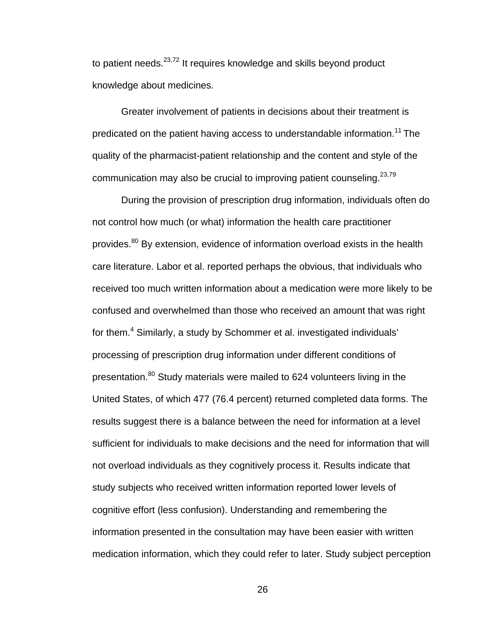to patient needs.<sup>23,72</sup> It requires knowledge and skills beyond product knowledge about medicines.

 Greater involvement of patients in decisions about their treatment is predicated on the patient having access to understandable information.<sup>11</sup> The quality of the pharmacist-patient relationship and the content and style of the communication may also be crucial to improving patient counseling.  $23,79$ 

During the provision of prescription drug information, individuals often do not control how much (or what) information the health care practitioner provides.80 By extension, evidence of information overload exists in the health care literature. Labor et al. reported perhaps the obvious, that individuals who received too much written information about a medication were more likely to be confused and overwhelmed than those who received an amount that was right for them.<sup>4</sup> Similarly, a study by Schommer et al. investigated individuals' processing of prescription drug information under different conditions of presentation.<sup>80</sup> Study materials were mailed to 624 volunteers living in the United States, of which 477 (76.4 percent) returned completed data forms. The results suggest there is a balance between the need for information at a level sufficient for individuals to make decisions and the need for information that will not overload individuals as they cognitively process it. Results indicate that study subjects who received written information reported lower levels of cognitive effort (less confusion). Understanding and remembering the information presented in the consultation may have been easier with written medication information, which they could refer to later. Study subject perception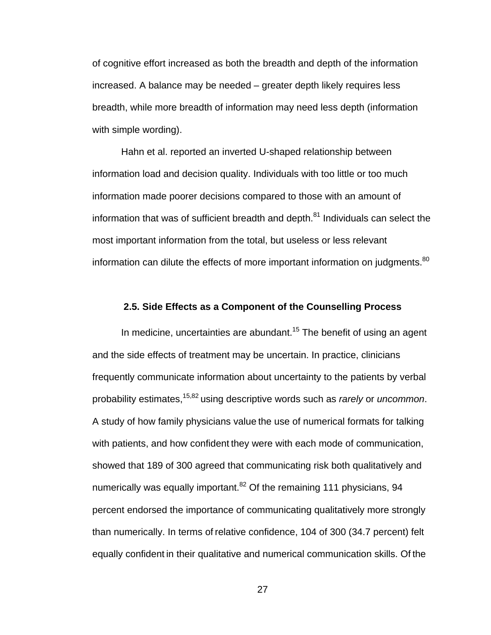of cognitive effort increased as both the breadth and depth of the information increased. A balance may be needed – greater depth likely requires less breadth, while more breadth of information may need less depth (information with simple wording).

 Hahn et al. reported an inverted U-shaped relationship between information load and decision quality. Individuals with too little or too much information made poorer decisions compared to those with an amount of information that was of sufficient breadth and depth. $81$  Individuals can select the most important information from the total, but useless or less relevant information can dilute the effects of more important information on judgments.<sup>80</sup>

#### **2.5. Side Effects as a Component of the Counselling Process**

In medicine, uncertainties are abundant.<sup>15</sup> The benefit of using an agent and the side effects of treatment may be uncertain. In practice, clinicians frequently communicate information about uncertainty to the patients by verbal probability estimates,15,82 using descriptive words such as *rarely* or *uncommon*. A study of how family physicians value the use of numerical formats for talking with patients, and how confident they were with each mode of communication, showed that 189 of 300 agreed that communicating risk both qualitatively and numerically was equally important.<sup>82</sup> Of the remaining 111 physicians, 94 percent endorsed the importance of communicating qualitatively more strongly than numerically. In terms of relative confidence, 104 of 300 (34.7 percent) felt equally confident in their qualitative and numerical communication skills. Of the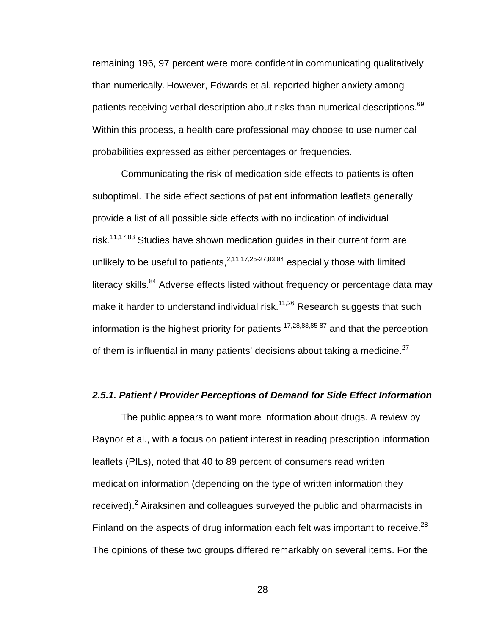remaining 196, 97 percent were more confident in communicating qualitatively than numerically. However, Edwards et al. reported higher anxiety among patients receiving verbal description about risks than numerical descriptions.<sup>69</sup> Within this process, a health care professional may choose to use numerical probabilities expressed as either percentages or frequencies.

Communicating the risk of medication side effects to patients is often suboptimal. The side effect sections of patient information leaflets generally provide a list of all possible side effects with no indication of individual risk.<sup>11,17,83</sup> Studies have shown medication guides in their current form are unlikely to be useful to patients,  $2,11,17,25-27,83,84$  especially those with limited literacy skills.<sup>84</sup> Adverse effects listed without frequency or percentage data may make it harder to understand individual risk.<sup>11,26</sup> Research suggests that such information is the highest priority for patients  $17,28,83,85-87$  and that the perception of them is influential in many patients' decisions about taking a medicine.<sup>27</sup>

## *2.5.1. Patient / Provider Perceptions of Demand for Side Effect Information*

 The public appears to want more information about drugs. A review by Raynor et al., with a focus on patient interest in reading prescription information leaflets (PILs), noted that 40 to 89 percent of consumers read written medication information (depending on the type of written information they received).<sup>2</sup> Airaksinen and colleagues surveyed the public and pharmacists in Finland on the aspects of drug information each felt was important to receive.<sup>28</sup> The opinions of these two groups differed remarkably on several items. For the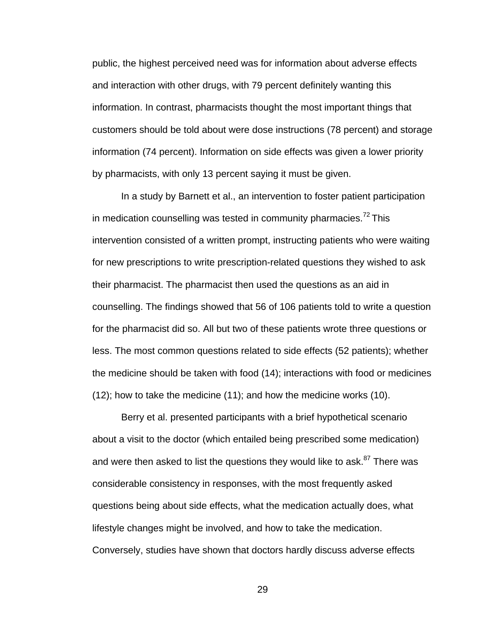public, the highest perceived need was for information about adverse effects and interaction with other drugs, with 79 percent definitely wanting this information. In contrast, pharmacists thought the most important things that customers should be told about were dose instructions (78 percent) and storage information (74 percent). Information on side effects was given a lower priority by pharmacists, with only 13 percent saying it must be given.

 In a study by Barnett et al., an intervention to foster patient participation in medication counselling was tested in community pharmacies.<sup>72</sup> This intervention consisted of a written prompt, instructing patients who were waiting for new prescriptions to write prescription-related questions they wished to ask their pharmacist. The pharmacist then used the questions as an aid in counselling. The findings showed that 56 of 106 patients told to write a question for the pharmacist did so. All but two of these patients wrote three questions or less. The most common questions related to side effects (52 patients); whether the medicine should be taken with food (14); interactions with food or medicines (12); how to take the medicine (11); and how the medicine works (10).

 Berry et al. presented participants with a brief hypothetical scenario about a visit to the doctor (which entailed being prescribed some medication) and were then asked to list the questions they would like to ask.<sup>87</sup> There was considerable consistency in responses, with the most frequently asked questions being about side effects, what the medication actually does, what lifestyle changes might be involved, and how to take the medication. Conversely, studies have shown that doctors hardly discuss adverse effects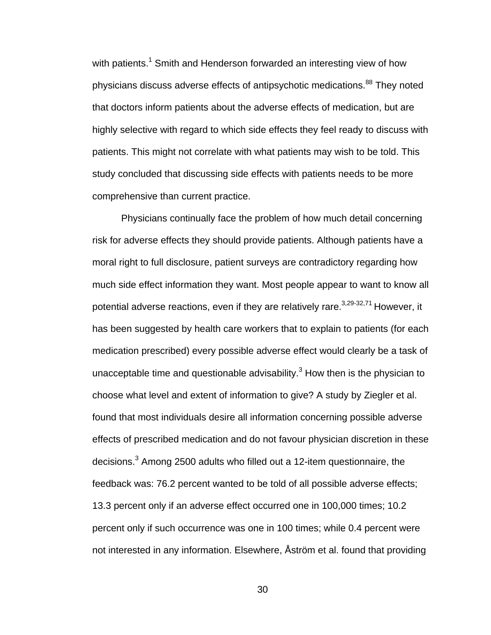with patients.<sup>1</sup> Smith and Henderson forwarded an interesting view of how physicians discuss adverse effects of antipsychotic medications.<sup>88</sup> They noted that doctors inform patients about the adverse effects of medication, but are highly selective with regard to which side effects they feel ready to discuss with patients. This might not correlate with what patients may wish to be told. This study concluded that discussing side effects with patients needs to be more comprehensive than current practice.

 Physicians continually face the problem of how much detail concerning risk for adverse effects they should provide patients. Although patients have a moral right to full disclosure, patient surveys are contradictory regarding how much side effect information they want. Most people appear to want to know all potential adverse reactions, even if they are relatively rare.  $3,29-32,71$  However, it has been suggested by health care workers that to explain to patients (for each medication prescribed) every possible adverse effect would clearly be a task of unacceptable time and questionable advisability. $3$  How then is the physician to choose what level and extent of information to give? A study by Ziegler et al. found that most individuals desire all information concerning possible adverse effects of prescribed medication and do not favour physician discretion in these decisions.<sup>3</sup> Among 2500 adults who filled out a 12-item questionnaire, the feedback was: 76.2 percent wanted to be told of all possible adverse effects; 13.3 percent only if an adverse effect occurred one in 100,000 times; 10.2 percent only if such occurrence was one in 100 times; while 0.4 percent were not interested in any information. Elsewhere, Åström et al. found that providing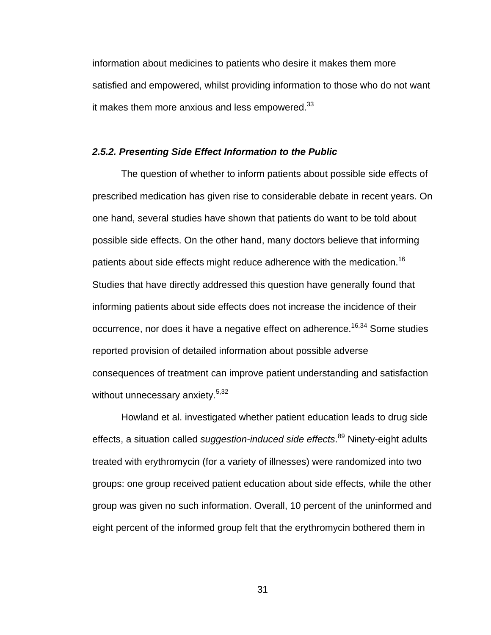information about medicines to patients who desire it makes them more satisfied and empowered, whilst providing information to those who do not want it makes them more anxious and less empowered. $33$ 

### *2.5.2. Presenting Side Effect Information to the Public*

 The question of whether to inform patients about possible side effects of prescribed medication has given rise to considerable debate in recent years. On one hand, several studies have shown that patients do want to be told about possible side effects. On the other hand, many doctors believe that informing patients about side effects might reduce adherence with the medication.<sup>16</sup> Studies that have directly addressed this question have generally found that informing patients about side effects does not increase the incidence of their occurrence, nor does it have a negative effect on adherence.<sup>16,34</sup> Some studies reported provision of detailed information about possible adverse consequences of treatment can improve patient understanding and satisfaction without unnecessary anxiety.<sup>5,32</sup>

Howland et al. investigated whether patient education leads to drug side effects, a situation called *suggestion-induced side effects*. 89 Ninety-eight adults treated with erythromycin (for a variety of illnesses) were randomized into two groups: one group received patient education about side effects, while the other group was given no such information. Overall, 10 percent of the uninformed and eight percent of the informed group felt that the erythromycin bothered them in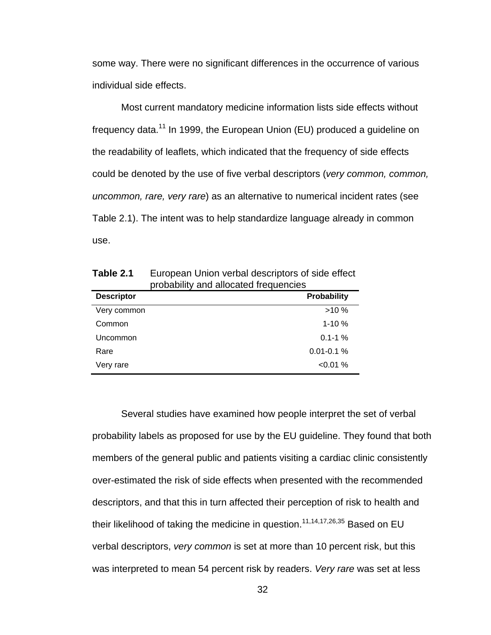some way. There were no significant differences in the occurrence of various individual side effects.

 Most current mandatory medicine information lists side effects without frequency data.11 In 1999, the European Union (EU) produced a guideline on the readability of leaflets, which indicated that the frequency of side effects could be denoted by the use of five verbal descriptors (*very common, common, uncommon, rare, very rare*) as an alternative to numerical incident rates (see Table 2.1). The intent was to help standardize language already in common use.

| <b>Descriptor</b> | Probability    |
|-------------------|----------------|
| Very common       | $>10\%$        |
| Common            | $1 - 10 \%$    |
| Uncommon          | $0.1 - 1\%$    |
| Rare              | $0.01 - 0.1 %$ |
| Very rare         | $< 0.01 \%$    |

**Table 2.1** European Union verbal descriptors of side effect probability and allocated frequencies

 Several studies have examined how people interpret the set of verbal probability labels as proposed for use by the EU guideline. They found that both members of the general public and patients visiting a cardiac clinic consistently over-estimated the risk of side effects when presented with the recommended descriptors, and that this in turn affected their perception of risk to health and their likelihood of taking the medicine in question.<sup>11,14,17,26,35</sup> Based on EU verbal descriptors, *very common* is set at more than 10 percent risk, but this was interpreted to mean 54 percent risk by readers. *Very rare* was set at less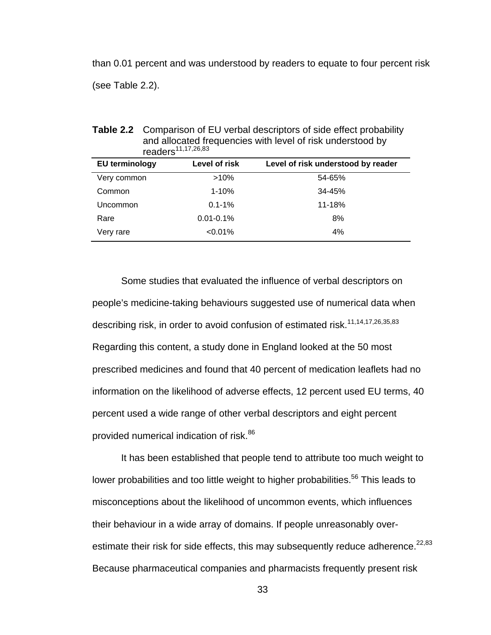than 0.01 percent and was understood by readers to equate to four percent risk (see Table 2.2).

| readers <sup>11,17,26,83</sup> |                |                                    |
|--------------------------------|----------------|------------------------------------|
| <b>EU terminology</b>          | Level of risk  | Level of risk understood by reader |
| Very common                    | $>10\%$        | 54-65%                             |
| Common                         | $1 - 10%$      | 34-45%                             |
| Uncommon                       | $0.1 - 1%$     | 11-18%                             |
| Rare                           | $0.01 - 0.1\%$ | 8%                                 |
| Very rare                      | $< 0.01\%$     | 4%                                 |

**Table 2.2** Comparison of EU verbal descriptors of side effect probability and allocated frequencies with level of risk understood by

 Some studies that evaluated the influence of verbal descriptors on people's medicine-taking behaviours suggested use of numerical data when describing risk, in order to avoid confusion of estimated risk.<sup>11,14,17,26,35,83</sup> Regarding this content, a study done in England looked at the 50 most prescribed medicines and found that 40 percent of medication leaflets had no information on the likelihood of adverse effects, 12 percent used EU terms, 40 percent used a wide range of other verbal descriptors and eight percent provided numerical indication of risk.<sup>86</sup>

 It has been established that people tend to attribute too much weight to lower probabilities and too little weight to higher probabilities.<sup>56</sup> This leads to misconceptions about the likelihood of uncommon events, which influences their behaviour in a wide array of domains. If people unreasonably overestimate their risk for side effects, this may subsequently reduce adherence.<sup>22,83</sup> Because pharmaceutical companies and pharmacists frequently present risk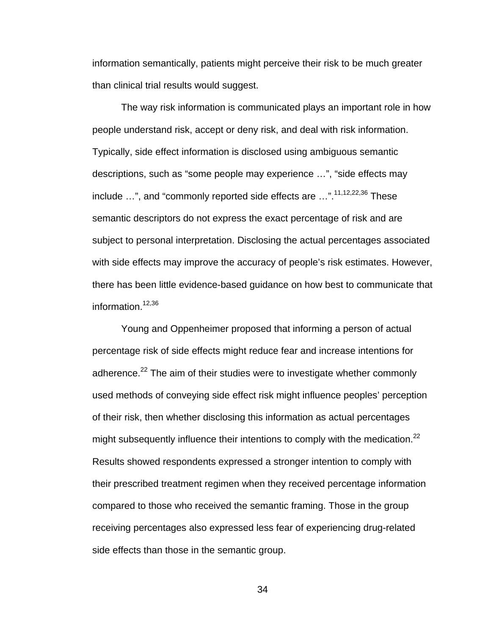information semantically, patients might perceive their risk to be much greater than clinical trial results would suggest.

 The way risk information is communicated plays an important role in how people understand risk, accept or deny risk, and deal with risk information. Typically, side effect information is disclosed using ambiguous semantic descriptions, such as "some people may experience …", "side effects may include  $\ldots$ ", and "commonly reported side effects are  $\ldots$ ".<sup>11,12,22,36</sup> These semantic descriptors do not express the exact percentage of risk and are subject to personal interpretation. Disclosing the actual percentages associated with side effects may improve the accuracy of people's risk estimates. However, there has been little evidence-based guidance on how best to communicate that information. $12,36$ 

 Young and Oppenheimer proposed that informing a person of actual percentage risk of side effects might reduce fear and increase intentions for adherence. $^{22}$  The aim of their studies were to investigate whether commonly used methods of conveying side effect risk might influence peoples' perception of their risk, then whether disclosing this information as actual percentages might subsequently influence their intentions to comply with the medication.<sup>22</sup> Results showed respondents expressed a stronger intention to comply with their prescribed treatment regimen when they received percentage information compared to those who received the semantic framing. Those in the group receiving percentages also expressed less fear of experiencing drug-related side effects than those in the semantic group.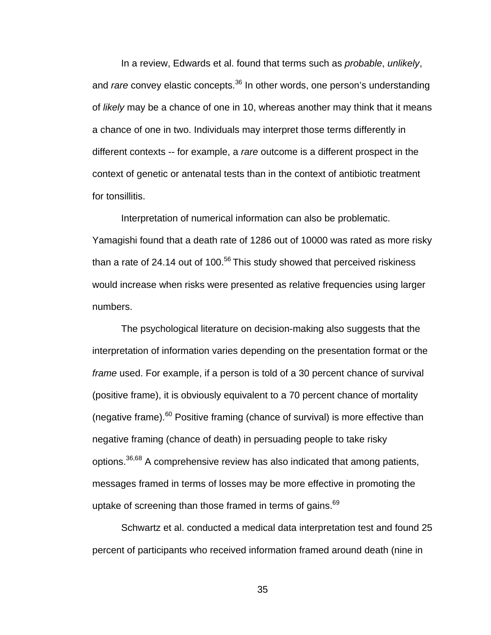In a review, Edwards et al. found that terms such as *probable*, *unlikely*, and *rare* convey elastic concepts.<sup>36</sup> In other words, one person's understanding of *likely* may be a chance of one in 10, whereas another may think that it means a chance of one in two. Individuals may interpret those terms differently in different contexts -- for example, a *rare* outcome is a different prospect in the context of genetic or antenatal tests than in the context of antibiotic treatment for tonsillitis.

 Interpretation of numerical information can also be problematic. Yamagishi found that a death rate of 1286 out of 10000 was rated as more risky than a rate of 24.14 out of 100. $56$  This study showed that perceived riskiness would increase when risks were presented as relative frequencies using larger numbers.

 The psychological literature on decision-making also suggests that the interpretation of information varies depending on the presentation format or the *frame* used. For example, if a person is told of a 30 percent chance of survival (positive frame), it is obviously equivalent to a 70 percent chance of mortality (negative frame). $60$  Positive framing (chance of survival) is more effective than negative framing (chance of death) in persuading people to take risky options.36,68 A comprehensive review has also indicated that among patients, messages framed in terms of losses may be more effective in promoting the uptake of screening than those framed in terms of gains.<sup>69</sup>

Schwartz et al. conducted a medical data interpretation test and found 25 percent of participants who received information framed around death (nine in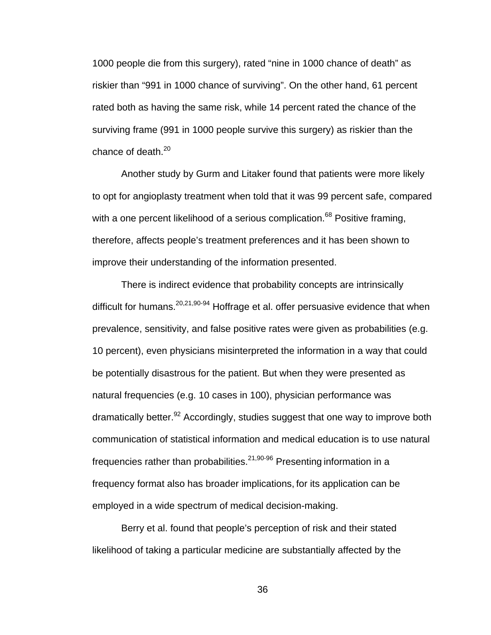1000 people die from this surgery), rated "nine in 1000 chance of death" as riskier than "991 in 1000 chance of surviving". On the other hand, 61 percent rated both as having the same risk, while 14 percent rated the chance of the surviving frame (991 in 1000 people survive this surgery) as riskier than the chance of death. $20$ 

Another study by Gurm and Litaker found that patients were more likely to opt for angioplasty treatment when told that it was 99 percent safe, compared with a one percent likelihood of a serious complication.<sup>68</sup> Positive framing, therefore, affects people's treatment preferences and it has been shown to improve their understanding of the information presented.

There is indirect evidence that probability concepts are intrinsically difficult for humans.  $20,21,90-94$  Hoffrage et al. offer persuasive evidence that when prevalence, sensitivity, and false positive rates were given as probabilities (e.g. 10 percent), even physicians misinterpreted the information in a way that could be potentially disastrous for the patient. But when they were presented as natural frequencies (e.g. 10 cases in 100), physician performance was dramatically better.<sup>92</sup> Accordingly, studies suggest that one way to improve both communication of statistical information and medical education is to use natural frequencies rather than probabilities.<sup>21,90-96</sup> Presenting information in a frequency format also has broader implications, for its application can be employed in a wide spectrum of medical decision-making.

 Berry et al. found that people's perception of risk and their stated likelihood of taking a particular medicine are substantially affected by the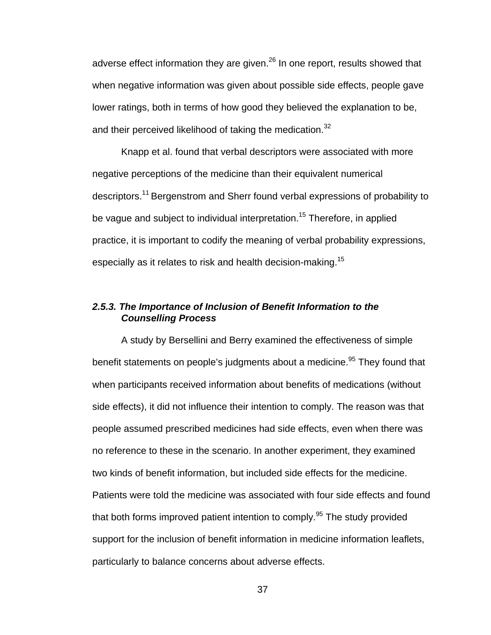adverse effect information they are given.<sup>26</sup> In one report, results showed that when negative information was given about possible side effects, people gave lower ratings, both in terms of how good they believed the explanation to be, and their perceived likelihood of taking the medication.<sup>32</sup>

 Knapp et al. found that verbal descriptors were associated with more negative perceptions of the medicine than their equivalent numerical descriptors.11 Bergenstrom and Sherr found verbal expressions of probability to be vague and subject to individual interpretation.<sup>15</sup> Therefore, in applied practice, it is important to codify the meaning of verbal probability expressions, especially as it relates to risk and health decision-making.<sup>15</sup>

# *2.5.3. The Importance of Inclusion of Benefit Information to the Counselling Process*

 A study by Bersellini and Berry examined the effectiveness of simple benefit statements on people's judgments about a medicine.<sup>95</sup> They found that when participants received information about benefits of medications (without side effects), it did not influence their intention to comply. The reason was that people assumed prescribed medicines had side effects, even when there was no reference to these in the scenario. In another experiment, they examined two kinds of benefit information, but included side effects for the medicine. Patients were told the medicine was associated with four side effects and found that both forms improved patient intention to comply.<sup>95</sup> The study provided support for the inclusion of benefit information in medicine information leaflets, particularly to balance concerns about adverse effects.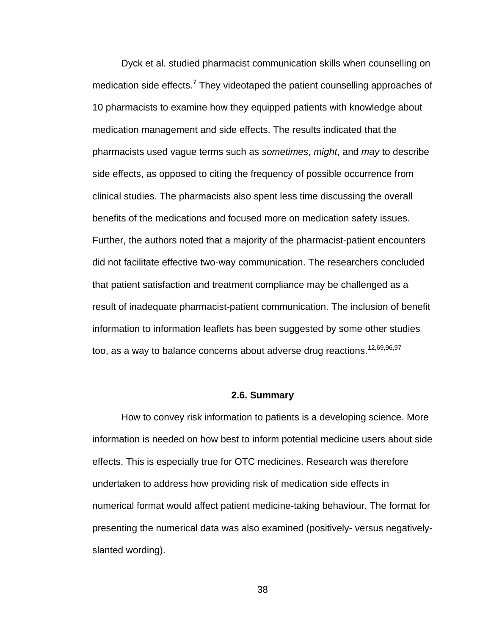Dyck et al. studied pharmacist communication skills when counselling on medication side effects.<sup>7</sup> They videotaped the patient counselling approaches of 10 pharmacists to examine how they equipped patients with knowledge about medication management and side effects. The results indicated that the pharmacists used vague terms such as *sometimes*, *might*, and *may* to describe side effects, as opposed to citing the frequency of possible occurrence from clinical studies. The pharmacists also spent less time discussing the overall benefits of the medications and focused more on medication safety issues. Further, the authors noted that a majority of the pharmacist-patient encounters did not facilitate effective two-way communication. The researchers concluded that patient satisfaction and treatment compliance may be challenged as a result of inadequate pharmacist-patient communication. The inclusion of benefit information to information leaflets has been suggested by some other studies too, as a way to balance concerns about adverse drug reactions.<sup>12,69,96,97</sup>

### **2.6. Summary**

 How to convey risk information to patients is a developing science. More information is needed on how best to inform potential medicine users about side effects. This is especially true for OTC medicines. Research was therefore undertaken to address how providing risk of medication side effects in numerical format would affect patient medicine-taking behaviour. The format for presenting the numerical data was also examined (positively- versus negativelyslanted wording).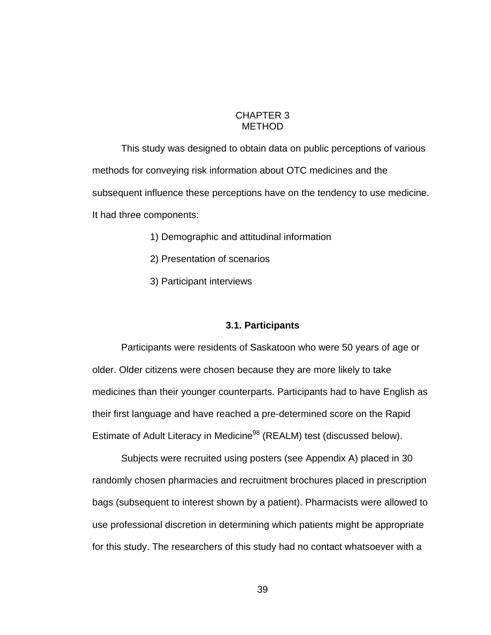# CHAPTER 3 METHOD

 This study was designed to obtain data on public perceptions of various methods for conveying risk information about OTC medicines and the subsequent influence these perceptions have on the tendency to use medicine. It had three components:

- 1) Demographic and attitudinal information
- 2) Presentation of scenarios
- 3) Participant interviews

## **3.1. Participants**

Participants were residents of Saskatoon who were 50 years of age or older. Older citizens were chosen because they are more likely to take medicines than their younger counterparts. Participants had to have English as their first language and have reached a pre-determined score on the Rapid Estimate of Adult Literacy in Medicine<sup>98</sup> (REALM) test (discussed below).

Subjects were recruited using posters (see Appendix A) placed in 30 randomly chosen pharmacies and recruitment brochures placed in prescription bags (subsequent to interest shown by a patient). Pharmacists were allowed to use professional discretion in determining which patients might be appropriate for this study. The researchers of this study had no contact whatsoever with a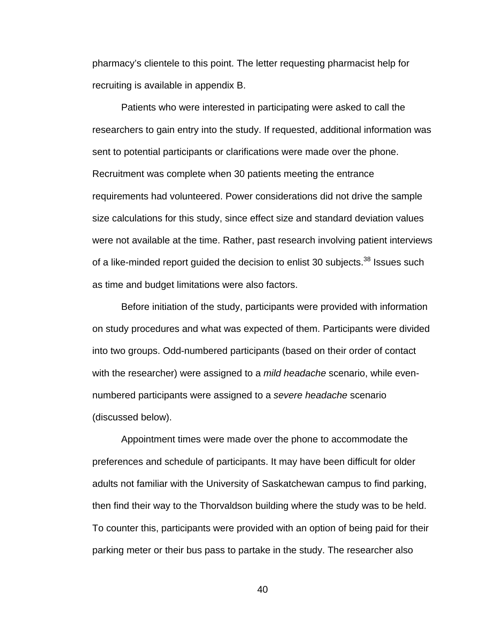pharmacy's clientele to this point. The letter requesting pharmacist help for recruiting is available in appendix B.

 Patients who were interested in participating were asked to call the researchers to gain entry into the study. If requested, additional information was sent to potential participants or clarifications were made over the phone. Recruitment was complete when 30 patients meeting the entrance requirements had volunteered. Power considerations did not drive the sample size calculations for this study, since effect size and standard deviation values were not available at the time. Rather, past research involving patient interviews of a like-minded report quided the decision to enlist 30 subjects.<sup>38</sup> Issues such as time and budget limitations were also factors.

 Before initiation of the study, participants were provided with information on study procedures and what was expected of them. Participants were divided into two groups. Odd-numbered participants (based on their order of contact with the researcher) were assigned to a *mild headache* scenario, while evennumbered participants were assigned to a *severe headache* scenario (discussed below).

Appointment times were made over the phone to accommodate the preferences and schedule of participants. It may have been difficult for older adults not familiar with the University of Saskatchewan campus to find parking, then find their way to the Thorvaldson building where the study was to be held. To counter this, participants were provided with an option of being paid for their parking meter or their bus pass to partake in the study. The researcher also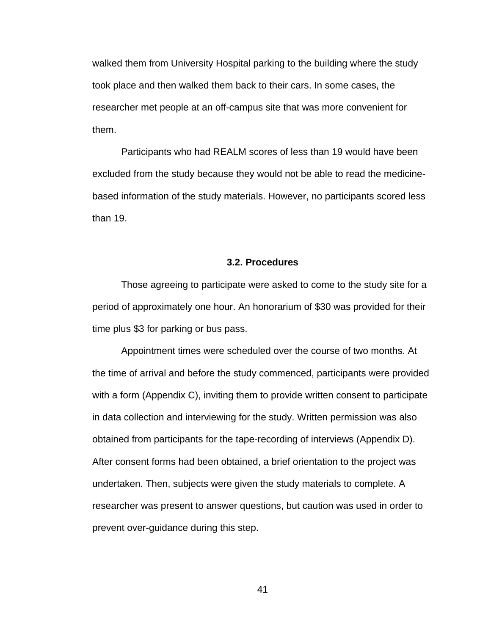walked them from University Hospital parking to the building where the study took place and then walked them back to their cars. In some cases, the researcher met people at an off-campus site that was more convenient for them.

Participants who had REALM scores of less than 19 would have been excluded from the study because they would not be able to read the medicinebased information of the study materials. However, no participants scored less than 19.

### **3.2. Procedures**

 Those agreeing to participate were asked to come to the study site for a period of approximately one hour. An honorarium of \$30 was provided for their time plus \$3 for parking or bus pass.

 Appointment times were scheduled over the course of two months. At the time of arrival and before the study commenced, participants were provided with a form (Appendix C), inviting them to provide written consent to participate in data collection and interviewing for the study. Written permission was also obtained from participants for the tape-recording of interviews (Appendix D). After consent forms had been obtained, a brief orientation to the project was undertaken. Then, subjects were given the study materials to complete. A researcher was present to answer questions, but caution was used in order to prevent over-guidance during this step.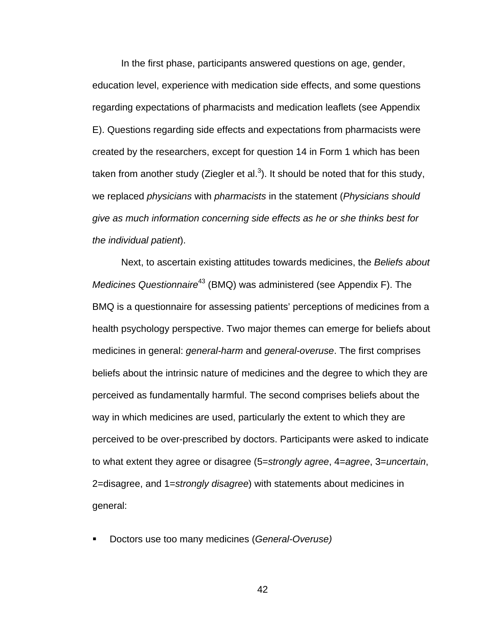In the first phase, participants answered questions on age, gender, education level, experience with medication side effects, and some questions regarding expectations of pharmacists and medication leaflets (see Appendix E). Questions regarding side effects and expectations from pharmacists were created by the researchers, except for question 14 in Form 1 which has been taken from another study (Ziegler et al.<sup>3</sup>). It should be noted that for this study, we replaced *physicians* with *pharmacists* in the statement (*Physicians should give as much information concerning side effects as he or she thinks best for the individual patient*).

Next, to ascertain existing attitudes towards medicines, the *Beliefs about Medicines Questionnaire*<sup>43</sup> (BMQ) was administered (see Appendix F). The BMQ is a questionnaire for assessing patients' perceptions of medicines from a health psychology perspective. Two major themes can emerge for beliefs about medicines in general: *general-harm* and *general-overuse*. The first comprises beliefs about the intrinsic nature of medicines and the degree to which they are perceived as fundamentally harmful. The second comprises beliefs about the way in which medicines are used, particularly the extent to which they are perceived to be over-prescribed by doctors. Participants were asked to indicate to what extent they agree or disagree (5=*strongly agree*, 4=*agree*, 3=*uncertain*, 2=disagree, and 1=*strongly disagree*) with statements about medicines in general:

Doctors use too many medicines (*General-Overuse)*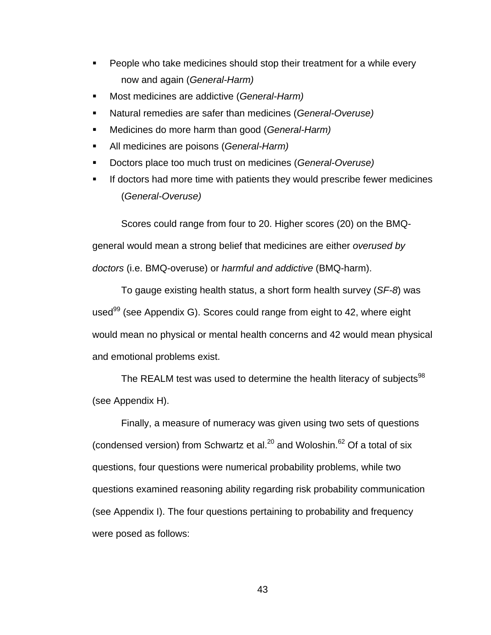- **People who take medicines should stop their treatment for a while every** now and again (*General-Harm)*
- Most medicines are addictive (*General-Harm)*
- Natural remedies are safer than medicines (*General-Overuse)*
- Medicines do more harm than good (*General-Harm)*
- All medicines are poisons (*General-Harm)*
- Doctors place too much trust on medicines (*General-Overuse)*
- If doctors had more time with patients they would prescribe fewer medicines (*General-Overuse)*

Scores could range from four to 20. Higher scores (20) on the BMQgeneral would mean a strong belief that medicines are either *overused by doctors* (i.e. BMQ-overuse) or *harmful and addictive* (BMQ-harm).

To gauge existing health status, a short form health survey (*SF-8*) was used<sup>99</sup> (see Appendix G). Scores could range from eight to 42, where eight would mean no physical or mental health concerns and 42 would mean physical and emotional problems exist.

The REALM test was used to determine the health literacy of subiects<sup>98</sup> (see Appendix H).

Finally, a measure of numeracy was given using two sets of questions (condensed version) from Schwartz et al. $^{20}$  and Woloshin.<sup>62</sup> Of a total of six questions, four questions were numerical probability problems, while two questions examined reasoning ability regarding risk probability communication (see Appendix I). The four questions pertaining to probability and frequency were posed as follows: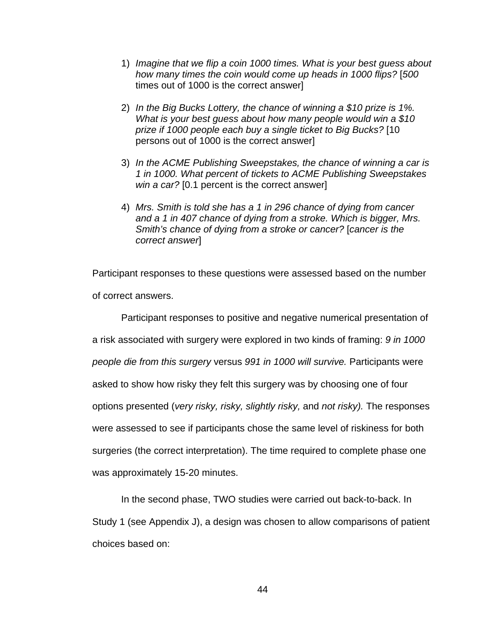- 1) *Imagine that we flip a coin 1000 times. What is your best guess about how many times the coin would come up heads in 1000 flips?* [*500* times out of 1000 is the correct answer]
- 2) *In the Big Bucks Lottery, the chance of winning a \$10 prize is 1%. What is your best guess about how many people would win a \$10 prize if 1000 people each buy a single ticket to Big Bucks?* [10 persons out of 1000 is the correct answer]
- 3) *In the ACME Publishing Sweepstakes, the chance of winning a car is 1 in 1000. What percent of tickets to ACME Publishing Sweepstakes win a car?* [0.1 percent is the correct answer]
- 4) *Mrs. Smith is told she has a 1 in 296 chance of dying from cancer and a 1 in 407 chance of dying from a stroke. Which is bigger, Mrs. Smith's chance of dying from a stroke or cancer?* [*cancer is the correct answer*]

Participant responses to these questions were assessed based on the number of correct answers.

 Participant responses to positive and negative numerical presentation of a risk associated with surgery were explored in two kinds of framing: *9 in 1000 people die from this surgery* versus *991 in 1000 will survive.* Participants were asked to show how risky they felt this surgery was by choosing one of four options presented (*very risky, risky, slightly risky,* and *not risky).* The responses were assessed to see if participants chose the same level of riskiness for both surgeries (the correct interpretation). The time required to complete phase one was approximately 15-20 minutes.

In the second phase, TWO studies were carried out back-to-back. In Study 1 (see Appendix J), a design was chosen to allow comparisons of patient choices based on: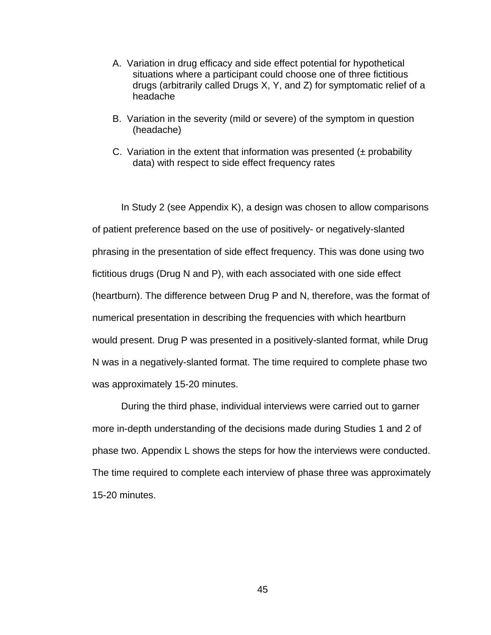- A. Variation in drug efficacy and side effect potential for hypothetical situations where a participant could choose one of three fictitious drugs (arbitrarily called Drugs X, Y, and Z) for symptomatic relief of a headache
- B. Variation in the severity (mild or severe) of the symptom in question (headache)
- C. Variation in the extent that information was presented  $(±$  probability data) with respect to side effect frequency rates

 In Study 2 (see Appendix K), a design was chosen to allow comparisons of patient preference based on the use of positively- or negatively-slanted phrasing in the presentation of side effect frequency. This was done using two fictitious drugs (Drug N and P), with each associated with one side effect (heartburn). The difference between Drug P and N, therefore, was the format of numerical presentation in describing the frequencies with which heartburn would present. Drug P was presented in a positively-slanted format, while Drug N was in a negatively-slanted format. The time required to complete phase two was approximately 15-20 minutes.

During the third phase, individual interviews were carried out to garner more in-depth understanding of the decisions made during Studies 1 and 2 of phase two. Appendix L shows the steps for how the interviews were conducted. The time required to complete each interview of phase three was approximately 15-20 minutes.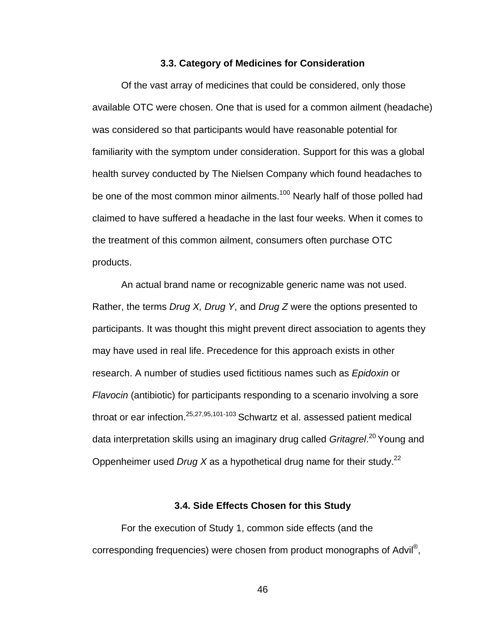### **3.3. Category of Medicines for Consideration**

Of the vast array of medicines that could be considered, only those available OTC were chosen. One that is used for a common ailment (headache) was considered so that participants would have reasonable potential for familiarity with the symptom under consideration. Support for this was a global health survey conducted by The Nielsen Company which found headaches to be one of the most common minor ailments.<sup>100</sup> Nearly half of those polled had claimed to have suffered a headache in the last four weeks. When it comes to the treatment of this common ailment, consumers often purchase OTC products.

An actual brand name or recognizable generic name was not used. Rather, the terms *Drug X, Drug Y*, and *Drug Z* were the options presented to participants. It was thought this might prevent direct association to agents they may have used in real life. Precedence for this approach exists in other research. A number of studies used fictitious names such as *Epidoxin* or *Flavocin* (antibiotic) for participants responding to a scenario involving a sore throat or ear infection.<sup>25,27,95,101-103</sup> Schwartz et al. assessed patient medical data interpretation skills using an imaginary drug called *Gritagrel*. 20 Young and Oppenheimer used *Drug X* as a hypothetical drug name for their study.22

## **3.4. Side Effects Chosen for this Study**

 For the execution of Study 1, common side effects (and the corresponding frequencies) were chosen from product monographs of Advil®,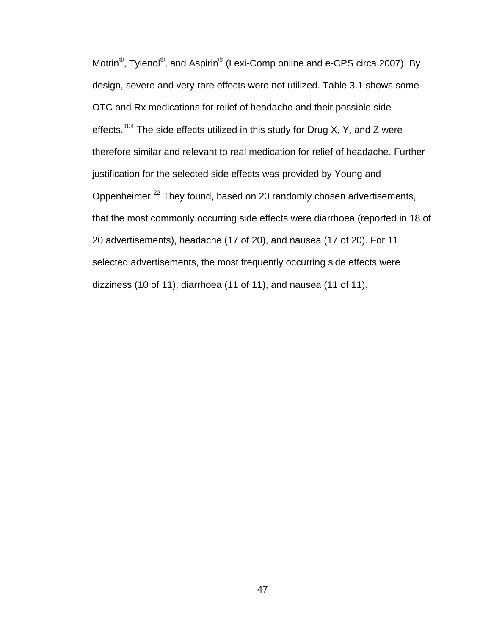Motrin<sup>®</sup>, Tylenol<sup>®</sup>, and Aspirin<sup>®</sup> (Lexi-Comp online and e-CPS circa 2007). By design, severe and very rare effects were not utilized. Table 3.1 shows some OTC and Rx medications for relief of headache and their possible side effects.<sup>104</sup> The side effects utilized in this study for Drug X, Y, and Z were therefore similar and relevant to real medication for relief of headache. Further justification for the selected side effects was provided by Young and Oppenheimer.22 They found, based on 20 randomly chosen advertisements, that the most commonly occurring side effects were diarrhoea (reported in 18 of 20 advertisements), headache (17 of 20), and nausea (17 of 20). For 11 selected advertisements, the most frequently occurring side effects were dizziness (10 of 11), diarrhoea (11 of 11), and nausea (11 of 11).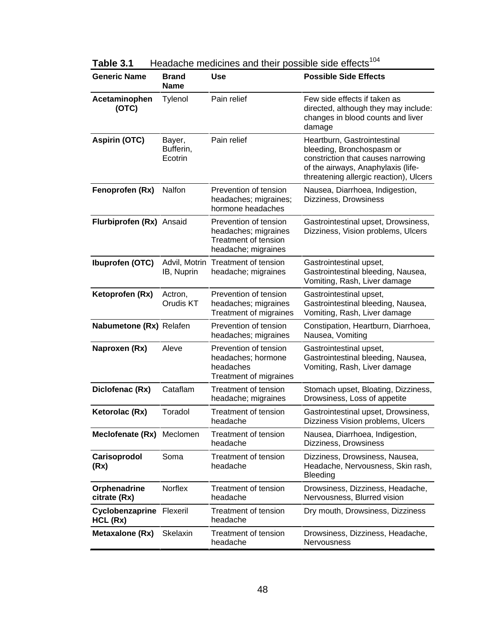| <b>Generic Name</b>                         | <b>Brand</b><br><b>Name</b>    | <b>Use</b>                                                                                          | <b>Possible Side Effects</b>                                                                                                                                                   |  |
|---------------------------------------------|--------------------------------|-----------------------------------------------------------------------------------------------------|--------------------------------------------------------------------------------------------------------------------------------------------------------------------------------|--|
| Acetaminophen<br>(OTC)                      | Tylenol                        | Pain relief                                                                                         | Few side effects if taken as<br>directed, although they may include:<br>changes in blood counts and liver<br>damage                                                            |  |
| <b>Aspirin (OTC)</b>                        | Bayer,<br>Bufferin,<br>Ecotrin | Pain relief                                                                                         | Heartburn, Gastrointestinal<br>bleeding, Bronchospasm or<br>constriction that causes narrowing<br>of the airways, Anaphylaxis (life-<br>threatening allergic reaction), Ulcers |  |
| Fenoprofen (Rx)                             | Nalfon                         | Prevention of tension<br>headaches; migraines;<br>hormone headaches                                 | Nausea, Diarrhoea, Indigestion,<br>Dizziness, Drowsiness                                                                                                                       |  |
| Flurbiprofen (Rx) Ansaid                    |                                | Prevention of tension<br>headaches; migraines<br><b>Treatment of tension</b><br>headache; migraines | Gastrointestinal upset, Drowsiness,<br>Dizziness, Vision problems, Ulcers                                                                                                      |  |
| Ibuprofen (OTC)                             | Advil, Motrin<br>IB, Nuprin    | Treatment of tension<br>headache; migraines                                                         | Gastrointestinal upset,<br>Gastrointestinal bleeding, Nausea,<br>Vomiting, Rash, Liver damage                                                                                  |  |
| Ketoprofen (Rx)                             | Actron,<br>Orudis KT           | Prevention of tension<br>headaches; migraines<br>Treatment of migraines                             | Gastrointestinal upset,<br>Gastrointestinal bleeding, Nausea,<br>Vomiting, Rash, Liver damage                                                                                  |  |
| Nabumetone (Rx) Relafen                     |                                | Prevention of tension<br>headaches; migraines                                                       | Constipation, Heartburn, Diarrhoea,<br>Nausea, Vomiting                                                                                                                        |  |
| Naproxen (Rx)                               | Aleve                          | Prevention of tension<br>headaches; hormone<br>headaches<br>Treatment of migraines                  | Gastrointestinal upset,<br>Gastrointestinal bleeding, Nausea,<br>Vomiting, Rash, Liver damage                                                                                  |  |
| Diclofenac (Rx)                             | Cataflam                       | Treatment of tension<br>headache; migraines                                                         | Stomach upset, Bloating, Dizziness,<br>Drowsiness, Loss of appetite                                                                                                            |  |
| Ketorolac (Rx)                              | Toradol                        | <b>Treatment of tension</b><br>headache                                                             | Gastrointestinal upset, Drowsiness,<br>Dizziness Vision problems, Ulcers                                                                                                       |  |
| Meclofenate (Rx) Meclomen                   |                                | <b>Treatment of tension</b><br>headache                                                             | Nausea, Diarrhoea, Indigestion,<br>Dizziness, Drowsiness                                                                                                                       |  |
| Carisoprodol<br>(Rx)                        | Soma                           | <b>Treatment of tension</b><br>headache                                                             | Dizziness, Drowsiness, Nausea,<br>Headache, Nervousness, Skin rash,<br>Bleeding                                                                                                |  |
| Orphenadrine<br>citrate (Rx)                | <b>Norflex</b>                 | <b>Treatment of tension</b><br>headache                                                             | Drowsiness, Dizziness, Headache,<br>Nervousness, Blurred vision                                                                                                                |  |
| <b>Cyclobenzaprine Flexeril</b><br>HCL (Rx) |                                | Treatment of tension<br>headache                                                                    | Dry mouth, Drowsiness, Dizziness                                                                                                                                               |  |
| <b>Metaxalone (Rx)</b>                      | Skelaxin                       | Treatment of tension<br>headache                                                                    | Drowsiness, Dizziness, Headache,<br><b>Nervousness</b>                                                                                                                         |  |

**Table 3.1** Headache medicines and their possible side effects<sup>104</sup>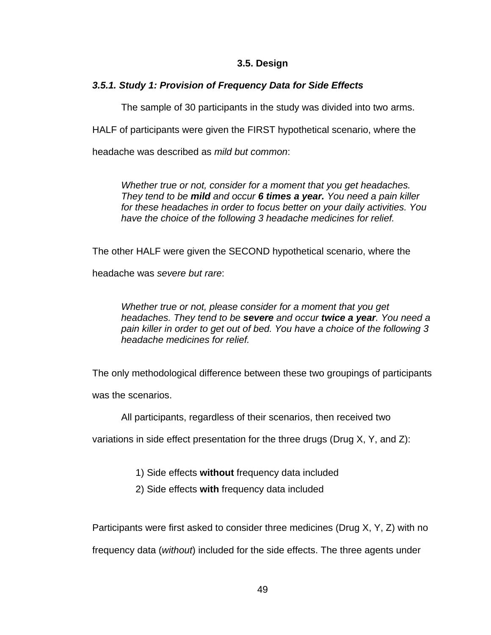# **3.5. Design**

# *3.5.1. Study 1: Provision of Frequency Data for Side Effects*

The sample of 30 participants in the study was divided into two arms.

HALF of participants were given the FIRST hypothetical scenario, where the

headache was described as *mild but common*:

*Whether true or not, consider for a moment that you get headaches. They tend to be mild and occur 6 times a year. You need a pain killer for these headaches in order to focus better on your daily activities. You have the choice of the following 3 headache medicines for relief.* 

The other HALF were given the SECOND hypothetical scenario, where the

headache was *severe but rare*:

*Whether true or not, please consider for a moment that you get headaches. They tend to be severe and occur twice a year. You need a pain killer in order to get out of bed. You have a choice of the following 3 headache medicines for relief.* 

The only methodological difference between these two groupings of participants

was the scenarios.

All participants, regardless of their scenarios, then received two

variations in side effect presentation for the three drugs (Drug X, Y, and Z):

1) Side effects **without** frequency data included

2) Side effects **with** frequency data included

Participants were first asked to consider three medicines (Drug X, Y, Z) with no

frequency data (*without*) included for the side effects. The three agents under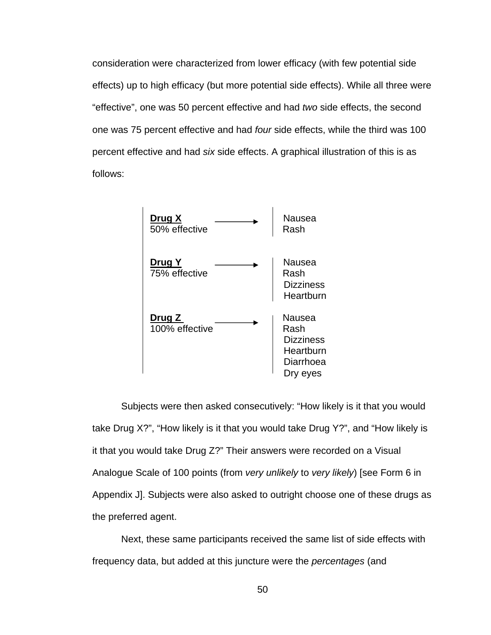consideration were characterized from lower efficacy (with few potential side effects) up to high efficacy (but more potential side effects). While all three were "effective", one was 50 percent effective and had *two* side effects, the second one was 75 percent effective and had *four* side effects, while the third was 100 percent effective and had *six* side effects. A graphical illustration of this is as follows:



 Subjects were then asked consecutively: "How likely is it that you would take Drug X?", "How likely is it that you would take Drug Y?", and "How likely is it that you would take Drug Z?" Their answers were recorded on a Visual Analogue Scale of 100 points (from *very unlikely* to *very likely*) [see Form 6 in Appendix J]. Subjects were also asked to outright choose one of these drugs as the preferred agent.

 Next, these same participants received the same list of side effects with frequency data, but added at this juncture were the *percentages* (and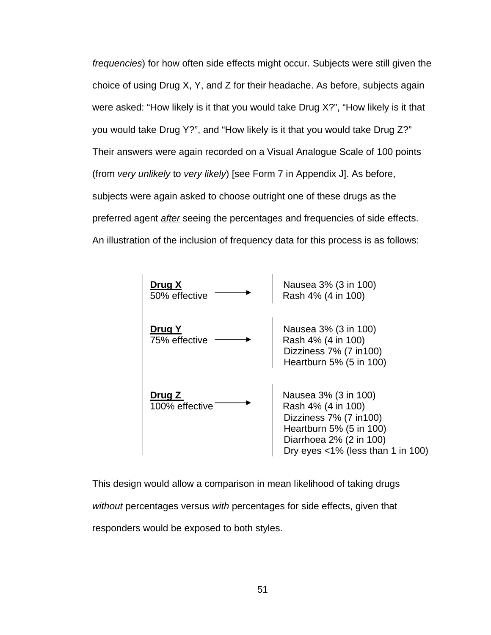*frequencies*) for how often side effects might occur. Subjects were still given the choice of using Drug X, Y, and Z for their headache. As before, subjects again were asked: "How likely is it that you would take Drug X?", "How likely is it that you would take Drug Y?", and "How likely is it that you would take Drug Z?" Their answers were again recorded on a Visual Analogue Scale of 100 points (from *very unlikely* to *very likely*) [see Form 7 in Appendix J]. As before, subjects were again asked to choose outright one of these drugs as the preferred agent *after* seeing the percentages and frequencies of side effects. An illustration of the inclusion of frequency data for this process is as follows:



This design would allow a comparison in mean likelihood of taking drugs *without* percentages versus *with* percentages for side effects, given that responders would be exposed to both styles.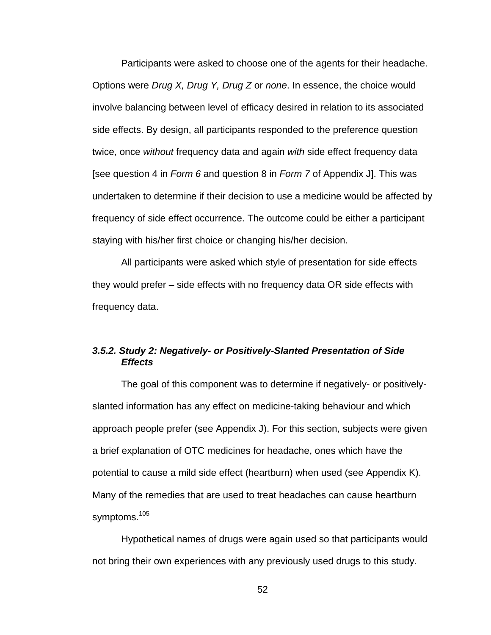Participants were asked to choose one of the agents for their headache. Options were *Drug X, Drug Y, Drug Z* or *none*. In essence, the choice would involve balancing between level of efficacy desired in relation to its associated side effects. By design, all participants responded to the preference question twice, once *without* frequency data and again *with* side effect frequency data [see question 4 in *Form 6* and question 8 in *Form 7* of Appendix J]. This was undertaken to determine if their decision to use a medicine would be affected by frequency of side effect occurrence. The outcome could be either a participant staying with his/her first choice or changing his/her decision.

 All participants were asked which style of presentation for side effects they would prefer – side effects with no frequency data OR side effects with frequency data.

# *3.5.2. Study 2: Negatively- or Positively-Slanted Presentation of Side Effects*

The goal of this component was to determine if negatively- or positivelyslanted information has any effect on medicine-taking behaviour and which approach people prefer (see Appendix J). For this section, subjects were given a brief explanation of OTC medicines for headache, ones which have the potential to cause a mild side effect (heartburn) when used (see Appendix K). Many of the remedies that are used to treat headaches can cause heartburn symptoms.<sup>105</sup>

 Hypothetical names of drugs were again used so that participants would not bring their own experiences with any previously used drugs to this study.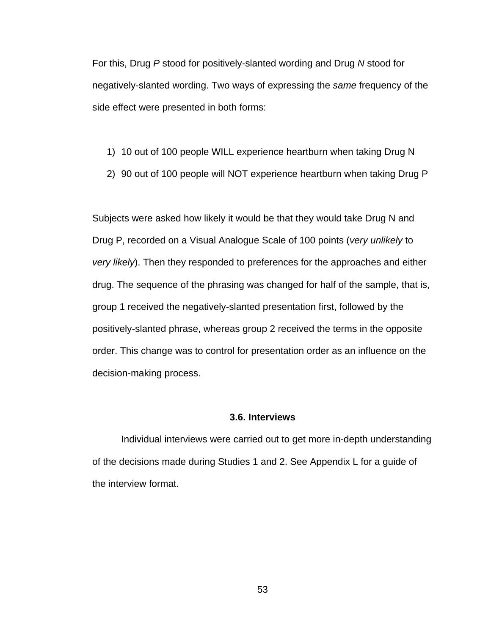For this, Drug *P* stood for positively-slanted wording and Drug *N* stood for negatively-slanted wording. Two ways of expressing the *same* frequency of the side effect were presented in both forms:

- 1) 10 out of 100 people WILL experience heartburn when taking Drug N
- 2) 90 out of 100 people will NOT experience heartburn when taking Drug P

Subjects were asked how likely it would be that they would take Drug N and Drug P, recorded on a Visual Analogue Scale of 100 points (*very unlikely* to *very likely*). Then they responded to preferences for the approaches and either drug. The sequence of the phrasing was changed for half of the sample, that is, group 1 received the negatively-slanted presentation first, followed by the positively-slanted phrase, whereas group 2 received the terms in the opposite order. This change was to control for presentation order as an influence on the decision-making process.

### **3.6. Interviews**

 Individual interviews were carried out to get more in-depth understanding of the decisions made during Studies 1 and 2. See Appendix L for a guide of the interview format.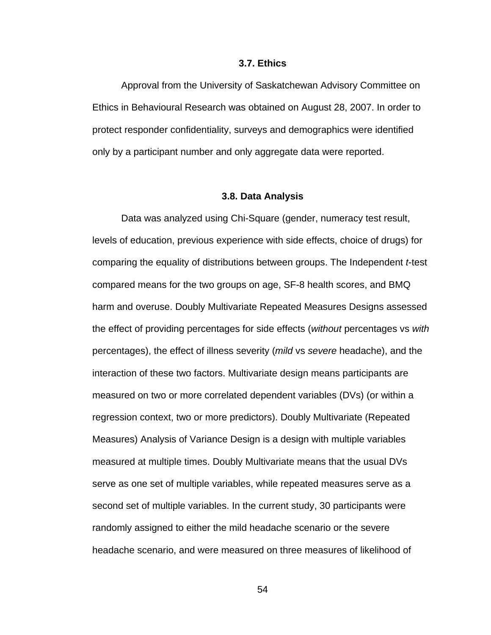#### **3.7. Ethics**

Approval from the University of Saskatchewan Advisory Committee on Ethics in Behavioural Research was obtained on August 28, 2007. In order to protect responder confidentiality, surveys and demographics were identified only by a participant number and only aggregate data were reported.

#### **3.8. Data Analysis**

Data was analyzed using Chi-Square (gender, numeracy test result, levels of education, previous experience with side effects, choice of drugs) for comparing the equality of distributions between groups. The Independent *t*-test compared means for the two groups on age, SF-8 health scores, and BMQ harm and overuse. Doubly Multivariate Repeated Measures Designs assessed the effect of providing percentages for side effects (*without* percentages vs *with* percentages), the effect of illness severity (*mild* vs *severe* headache), and the interaction of these two factors. Multivariate design means participants are measured on two or more correlated dependent variables (DVs) (or within a regression context, two or more predictors). Doubly Multivariate (Repeated Measures) Analysis of Variance Design is a design with multiple variables measured at multiple times. Doubly Multivariate means that the usual DVs serve as one set of multiple variables, while repeated measures serve as a second set of multiple variables. In the current study, 30 participants were randomly assigned to either the mild headache scenario or the severe headache scenario, and were measured on three measures of likelihood of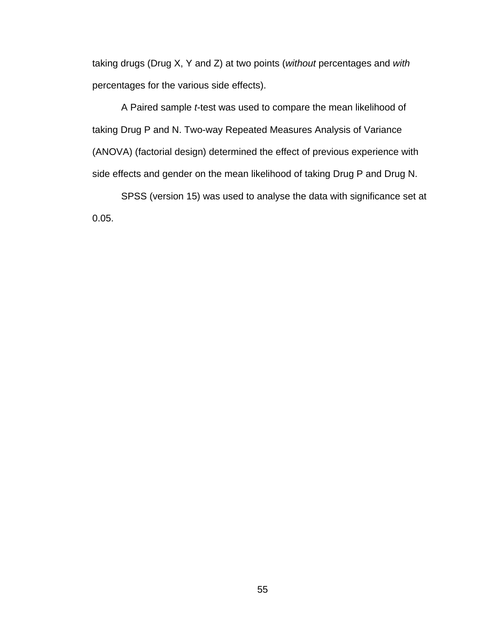taking drugs (Drug X, Y and Z) at two points (*without* percentages and *with* percentages for the various side effects).

A Paired sample *t*-test was used to compare the mean likelihood of taking Drug P and N. Two-way Repeated Measures Analysis of Variance (ANOVA) (factorial design) determined the effect of previous experience with side effects and gender on the mean likelihood of taking Drug P and Drug N.

SPSS (version 15) was used to analyse the data with significance set at 0.05.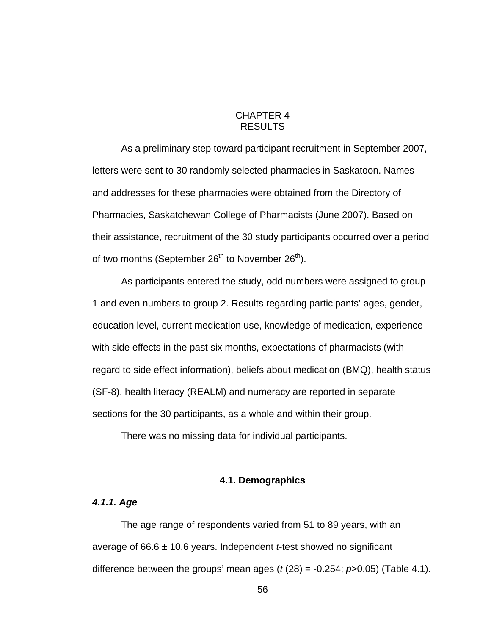# CHAPTER 4 RESULTS

As a preliminary step toward participant recruitment in September 2007, letters were sent to 30 randomly selected pharmacies in Saskatoon. Names and addresses for these pharmacies were obtained from the Directory of Pharmacies, Saskatchewan College of Pharmacists (June 2007). Based on their assistance, recruitment of the 30 study participants occurred over a period of two months (September  $26<sup>th</sup>$  to November  $26<sup>th</sup>$ ).

As participants entered the study, odd numbers were assigned to group 1 and even numbers to group 2. Results regarding participants' ages, gender, education level, current medication use, knowledge of medication, experience with side effects in the past six months, expectations of pharmacists (with regard to side effect information), beliefs about medication (BMQ), health status (SF-8), health literacy (REALM) and numeracy are reported in separate sections for the 30 participants, as a whole and within their group.

There was no missing data for individual participants.

## **4.1. Demographics**

## *4.1.1. Age*

The age range of respondents varied from 51 to 89 years, with an average of 66.6 ± 10.6 years. Independent *t*-test showed no significant difference between the groups' mean ages  $(t(28) = -0.254; p > 0.05)$  (Table 4.1).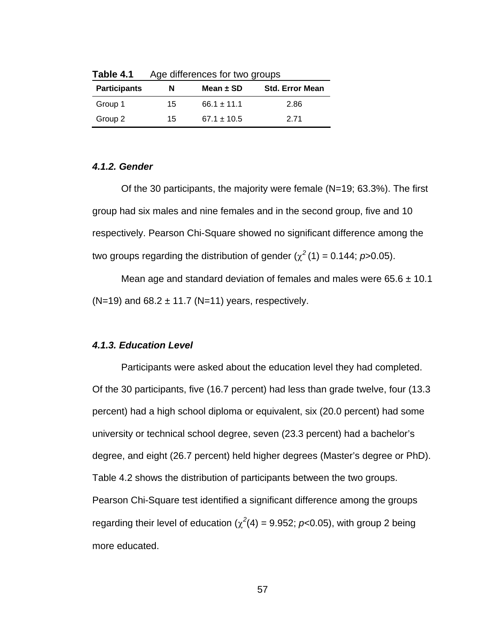| <b>Participants</b> | N  | Mean $\pm$ SD   | <b>Std. Error Mean</b> |  |
|---------------------|----|-----------------|------------------------|--|
| Group 1             | 15 | $66.1 \pm 11.1$ | 2.86                   |  |
| Group 2             | 15 | $67.1 \pm 10.5$ | 2 71                   |  |

**Table 4.1** Age differences for two groups

# *4.1.2. Gender*

Of the 30 participants, the majority were female (N=19; 63.3%). The first group had six males and nine females and in the second group, five and 10 respectively. Pearson Chi-Square showed no significant difference among the two groups regarding the distribution of gender  $(\chi^2(1) = 0.144; p > 0.05)$ .

Mean age and standard deviation of females and males were  $65.6 \pm 10.1$  $(N=19)$  and 68.2  $\pm$  11.7 (N=11) years, respectively.

# *4.1.3. Education Level*

Participants were asked about the education level they had completed. Of the 30 participants, five (16.7 percent) had less than grade twelve, four (13.3 percent) had a high school diploma or equivalent, six (20.0 percent) had some university or technical school degree, seven (23.3 percent) had a bachelor's degree, and eight (26.7 percent) held higher degrees (Master's degree or PhD). Table 4.2 shows the distribution of participants between the two groups. Pearson Chi-Square test identified a significant difference among the groups regarding their level of education  $(\chi^2(4) = 9.952; p<0.05)$ , with group 2 being more educated.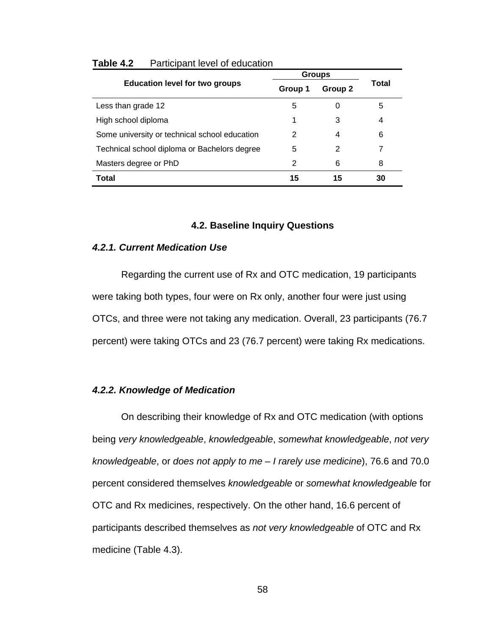|                                               |         | <b>Groups</b> |       |
|-----------------------------------------------|---------|---------------|-------|
| <b>Education level for two groups</b>         | Group 1 | Group 2       | Total |
| Less than grade 12                            | 5       |               | 5     |
| High school diploma                           | 1       | 3             | 4     |
| Some university or technical school education | 2       | 4             | 6     |
| Technical school diploma or Bachelors degree  | 5       | 2             | 7     |
| Masters degree or PhD                         | 2       | 6             | 8     |
| Total                                         | 15      | 15            | 30    |

#### **Table 4.2** Participant level of education

## **4.2. Baseline Inquiry Questions**

#### *4.2.1. Current Medication Use*

Regarding the current use of Rx and OTC medication, 19 participants were taking both types, four were on Rx only, another four were just using OTCs, and three were not taking any medication. Overall, 23 participants (76.7 percent) were taking OTCs and 23 (76.7 percent) were taking Rx medications.

## *4.2.2. Knowledge of Medication*

On describing their knowledge of Rx and OTC medication (with options being *very knowledgeable*, *knowledgeable*, *somewhat knowledgeable*, *not very knowledgeable*, or *does not apply to me* – *I rarely use medicine*), 76.6 and 70.0 percent considered themselves *knowledgeable* or *somewhat knowledgeable* for OTC and Rx medicines, respectively. On the other hand, 16.6 percent of participants described themselves as *not very knowledgeable* of OTC and Rx medicine (Table 4.3).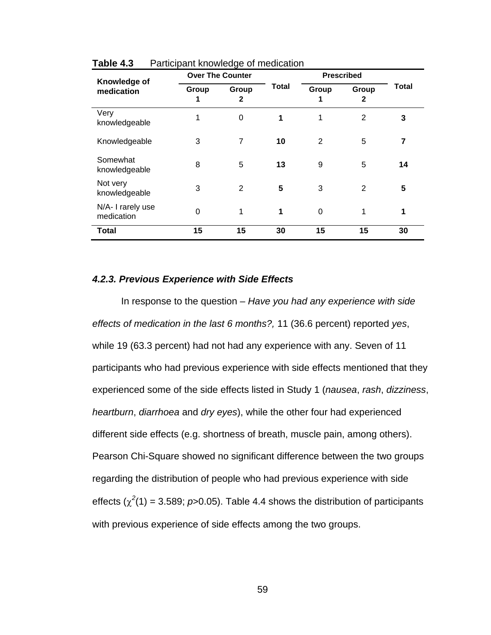| Knowledge of                    |            | <b>Over The Counter</b> |              |            | <b>Prescribed</b> |       |
|---------------------------------|------------|-------------------------|--------------|------------|-------------------|-------|
| medication                      | Group<br>1 | Group<br>$\mathbf{2}$   | <b>Total</b> | Group<br>1 | Group<br>2        | Total |
| Very<br>knowledgeable           | 1          | 0                       | 1            | 1          | 2                 | 3     |
| Knowledgeable                   | 3          | 7                       | 10           | 2          | 5                 | 7     |
| Somewhat<br>knowledgeable       | 8          | 5                       | 13           | 9          | 5                 | 14    |
| Not very<br>knowledgeable       | 3          | $\overline{2}$          | 5            | 3          | 2                 | 5     |
| N/A- I rarely use<br>medication | $\Omega$   |                         | 1            | $\Omega$   | 1                 | 1     |
| Total                           | 15         | 15                      | 30           | 15         | 15                | 30    |

**Table 4.3** Participant knowledge of medication

### *4.2.3. Previous Experience with Side Effects*

In response to the question – *Have you had any experience with side effects of medication in the last 6 months?,* 11 (36.6 percent) reported *yes*, while 19 (63.3 percent) had not had any experience with any. Seven of 11 participants who had previous experience with side effects mentioned that they experienced some of the side effects listed in Study 1 (*nausea*, *rash*, *dizziness*, *heartburn*, *diarrhoea* and *dry eyes*), while the other four had experienced different side effects (e.g. shortness of breath, muscle pain, among others). Pearson Chi-Square showed no significant difference between the two groups regarding the distribution of people who had previous experience with side effects  $(\chi^2(1) = 3.589; p > 0.05)$ . Table 4.4 shows the distribution of participants with previous experience of side effects among the two groups.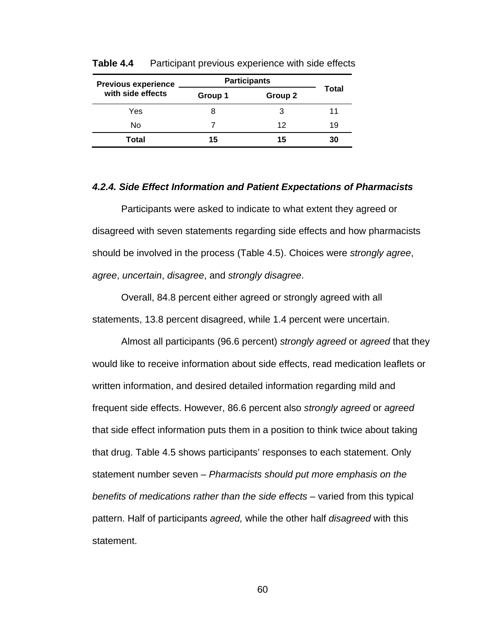| <b>Previous experience</b> | <b>Participants</b> |         |       |
|----------------------------|---------------------|---------|-------|
| with side effects          | Group 1             | Group 2 | Total |
| Yes                        |                     | 3       | 11    |
| No                         |                     | 12      | 19    |
| Total                      | 15                  | 15      | 30    |

**Table 4.4** Participant previous experience with side effects

#### *4.2.4. Side Effect Information and Patient Expectations of Pharmacists*

 Participants were asked to indicate to what extent they agreed or disagreed with seven statements regarding side effects and how pharmacists should be involved in the process (Table 4.5). Choices were *strongly agree*, *agree*, *uncertain*, *disagree*, and *strongly disagree*.

 Overall, 84.8 percent either agreed or strongly agreed with all statements, 13.8 percent disagreed, while 1.4 percent were uncertain.

 Almost all participants (96.6 percent) *strongly agreed* or *agreed* that they would like to receive information about side effects, read medication leaflets or written information, and desired detailed information regarding mild and frequent side effects. However, 86.6 percent also *strongly agreed* or *agreed* that side effect information puts them in a position to think twice about taking that drug. Table 4.5 shows participants' responses to each statement. Only statement number seven – *Pharmacists should put more emphasis on the benefits of medications rather than the side effects – varied from this typical* pattern. Half of participants *agreed,* while the other half *disagreed* with this statement.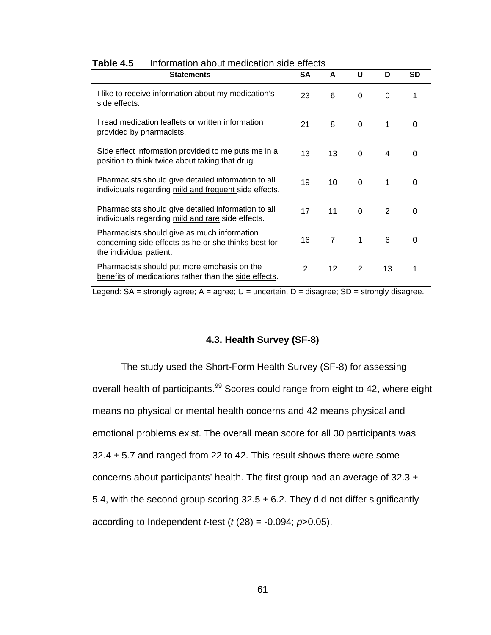| <b>Statements</b>                                                                                                              | <b>SA</b> | A              | U        | D             | <b>SD</b> |
|--------------------------------------------------------------------------------------------------------------------------------|-----------|----------------|----------|---------------|-----------|
| I like to receive information about my medication's<br>side effects.                                                           | 23        | 6              | 0        | 0             | 1         |
| I read medication leaflets or written information<br>provided by pharmacists.                                                  | 21        | 8              | $\Omega$ | 1             | 0         |
| Side effect information provided to me puts me in a<br>position to think twice about taking that drug.                         | 13        | 13             | $\Omega$ | 4             | 0         |
| Pharmacists should give detailed information to all<br>individuals regarding mild and frequent side effects.                   | 19        | 10             | $\Omega$ | 1             | 0         |
| Pharmacists should give detailed information to all<br>individuals regarding mild and rare side effects.                       | 17        | 11             | $\Omega$ | $\mathcal{P}$ | 0         |
| Pharmacists should give as much information<br>concerning side effects as he or she thinks best for<br>the individual patient. | 16        | $\overline{7}$ | 1        | 6             | 0         |
| Pharmacists should put more emphasis on the<br>benefits of medications rather than the side effects.                           | 2         | 12             | 2        | 13            | 1         |

#### **Table 4.5** Information about medication side effects

Legend:  $SA =$  strongly agree;  $A =$  agree;  $U =$  uncertain,  $D =$  disagree;  $SD =$  strongly disagree.

## **4.3. Health Survey (SF-8)**

The study used the Short-Form Health Survey (SF-8) for assessing overall health of participants.<sup>99</sup> Scores could range from eight to 42, where eight means no physical or mental health concerns and 42 means physical and emotional problems exist. The overall mean score for all 30 participants was  $32.4 \pm 5.7$  and ranged from 22 to 42. This result shows there were some concerns about participants' health. The first group had an average of  $32.3 \pm$ 5.4, with the second group scoring  $32.5 \pm 6.2$ . They did not differ significantly according to Independent *t*-test (*t* (28) = -0.094; *p*>0.05).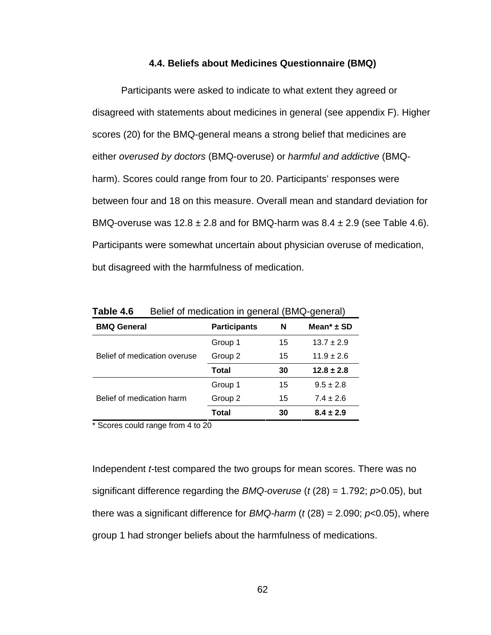#### **4.4. Beliefs about Medicines Questionnaire (BMQ)**

 Participants were asked to indicate to what extent they agreed or disagreed with statements about medicines in general (see appendix F). Higher scores (20) for the BMQ-general means a strong belief that medicines are either *overused by doctors* (BMQ-overuse) or *harmful and addictive* (BMQharm). Scores could range from four to 20. Participants' responses were between four and 18 on this measure. Overall mean and standard deviation for BMQ-overuse was  $12.8 \pm 2.8$  and for BMQ-harm was  $8.4 \pm 2.9$  (see Table 4.6). Participants were somewhat uncertain about physician overuse of medication, but disagreed with the harmfulness of medication.

| ייד טושטו<br><b>Dollor of incalcation in gonoral (Divide gonoral)</b> |                     |    |                            |  |  |  |
|-----------------------------------------------------------------------|---------------------|----|----------------------------|--|--|--|
| <b>BMQ General</b>                                                    | <b>Participants</b> | N  | Mean <sup>*</sup> $\pm$ SD |  |  |  |
|                                                                       | Group 1             | 15 | $13.7 \pm 2.9$             |  |  |  |
| Belief of medication overuse                                          | Group 2             | 15 | $11.9 \pm 2.6$             |  |  |  |
|                                                                       | Total               | 30 | $12.8 \pm 2.8$             |  |  |  |
|                                                                       | Group 1             | 15 | $9.5 \pm 2.8$              |  |  |  |
| Belief of medication harm                                             | Group 2             | 15 | $7.4 \pm 2.6$              |  |  |  |
|                                                                       | Total               | 30 | $8.4 \pm 2.9$              |  |  |  |

**Table 4.6** • Belief of medication in general (BMQ-general)

\* Scores could range from 4 to 20

Independent *t*-test compared the two groups for mean scores. There was no significant difference regarding the *BMQ-overuse* (*t* (28) = 1.792; *p*>0.05), but there was a significant difference for *BMQ-harm* ( $t$  (28) = 2.090;  $p$ <0.05), where group 1 had stronger beliefs about the harmfulness of medications.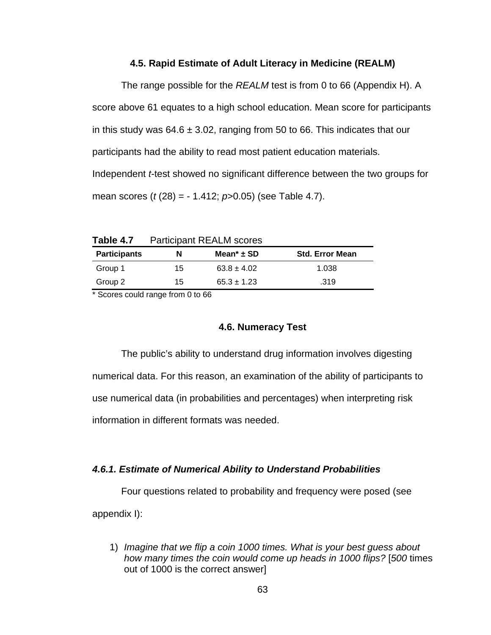#### **4.5. Rapid Estimate of Adult Literacy in Medicine (REALM)**

The range possible for the *REALM* test is from 0 to 66 (Appendix H). A score above 61 equates to a high school education. Mean score for participants in this study was  $64.6 \pm 3.02$ , ranging from 50 to 66. This indicates that our participants had the ability to read most patient education materials. Independent *t*-test showed no significant difference between the two groups for mean scores (*t* (28) = - 1.412; *p*>0.05) (see Table 4.7).

**Table 4.7** Participant REALM scores

| <b>Participants</b> | N  | Mean <sup>*</sup> $\pm$ SD | <b>Std. Error Mean</b> |
|---------------------|----|----------------------------|------------------------|
| Group 1             | 15 | $63.8 \pm 4.02$            | 1.038                  |
| Group 2             | 15 | $65.3 \pm 1.23$            | .319                   |

\* Scores could range from 0 to 66

## **4.6. Numeracy Test**

The public's ability to understand drug information involves digesting numerical data. For this reason, an examination of the ability of participants to use numerical data (in probabilities and percentages) when interpreting risk information in different formats was needed.

### *4.6.1. Estimate of Numerical Ability to Understand Probabilities*

Four questions related to probability and frequency were posed (see

appendix I):

1) *Imagine that we flip a coin 1000 times. What is your best guess about how many times the coin would come up heads in 1000 flips?* [*500* times out of 1000 is the correct answer]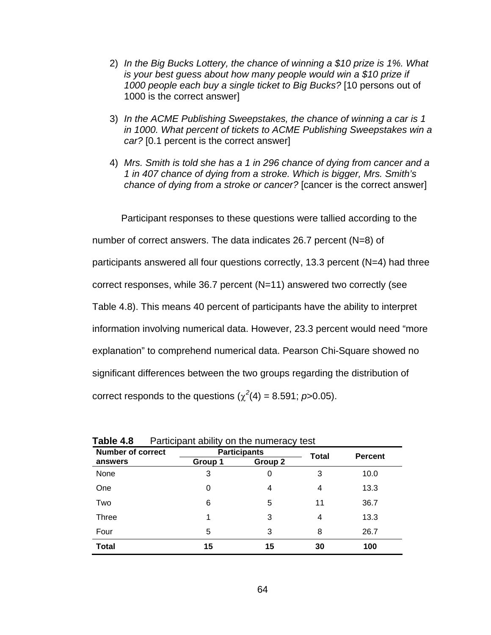- 2) *In the Big Bucks Lottery, the chance of winning a \$10 prize is 1%. What is your best guess about how many people would win a \$10 prize if 1000 people each buy a single ticket to Big Bucks?* [10 persons out of 1000 is the correct answer]
- 3) *In the ACME Publishing Sweepstakes, the chance of winning a car is 1 in 1000. What percent of tickets to ACME Publishing Sweepstakes win a car?* [0.1 percent is the correct answer]
- 4) *Mrs. Smith is told she has a 1 in 296 chance of dying from cancer and a 1 in 407 chance of dying from a stroke. Which is bigger, Mrs. Smith's chance of dying from a stroke or cancer?* [cancer is the correct answer]

Participant responses to these questions were tallied according to the

number of correct answers. The data indicates 26.7 percent (N=8) of

participants answered all four questions correctly, 13.3 percent (N=4) had three

correct responses, while 36.7 percent (N=11) answered two correctly (see

Table 4.8). This means 40 percent of participants have the ability to interpret

information involving numerical data. However, 23.3 percent would need "more

explanation" to comprehend numerical data. Pearson Chi-Square showed no

significant differences between the two groups regarding the distribution of

correct responds to the questions  $(\chi^2(4) = 8.591; p > 0.05)$ .

| <b>Number of correct</b> |         | <b>Participants</b> | <b>Total</b> | <b>Percent</b> |
|--------------------------|---------|---------------------|--------------|----------------|
| answers                  | Group 1 | Group 2             |              |                |
| None                     | 3       | 0                   | 3            | 10.0           |
| One                      | 0       | 4                   | 4            | 13.3           |
| Two                      | 6       | 5                   | 11           | 36.7           |
| <b>Three</b>             |         | 3                   | 4            | 13.3           |
| Four                     | 5       | 3                   | 8            | 26.7           |
| <b>Total</b>             | 15      | 15                  | 30           | 100            |

| Table 4.8 | Participant ability on the numeracy test |  |  |  |  |
|-----------|------------------------------------------|--|--|--|--|
|-----------|------------------------------------------|--|--|--|--|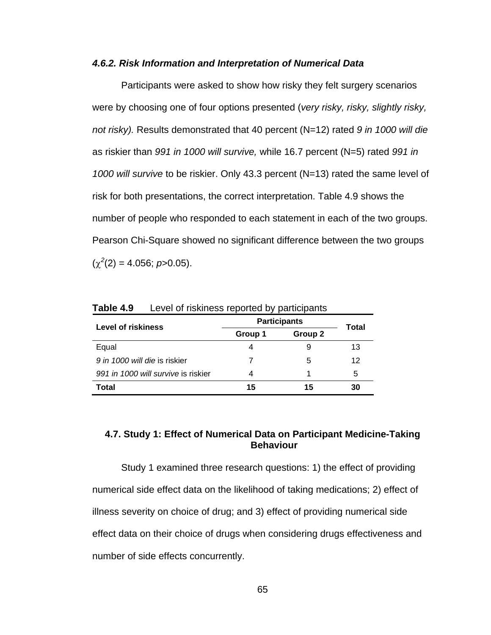#### *4.6.2. Risk Information and Interpretation of Numerical Data*

Participants were asked to show how risky they felt surgery scenarios were by choosing one of four options presented (*very risky, risky, slightly risky, not risky).* Results demonstrated that 40 percent (N=12) rated *9 in 1000 will die* as riskier than *991 in 1000 will survive,* while 16.7 percent (N=5) rated *991 in 1000 will survive* to be riskier. Only 43.3 percent (N=13) rated the same level of risk for both presentations, the correct interpretation. Table 4.9 shows the number of people who responded to each statement in each of the two groups. Pearson Chi-Square showed no significant difference between the two groups  $(\chi^2(2) = 4.056; p > 0.05)$ .

| <b>Level of riskiness</b>           | <b>Participants</b> | Total   |    |  |
|-------------------------------------|---------------------|---------|----|--|
|                                     | Group 1             | Group 2 |    |  |
| Equal                               |                     |         | 13 |  |
| 9 in 1000 will die is riskier       |                     | 5       | 12 |  |
| 991 in 1000 will survive is riskier |                     |         | 5  |  |
| Total                               | 15                  | 15      | 30 |  |

**Table 4.9** Level of riskiness reported by participants

### **4.7. Study 1: Effect of Numerical Data on Participant Medicine-Taking Behaviour**

 Study 1 examined three research questions: 1) the effect of providing numerical side effect data on the likelihood of taking medications; 2) effect of illness severity on choice of drug; and 3) effect of providing numerical side effect data on their choice of drugs when considering drugs effectiveness and number of side effects concurrently.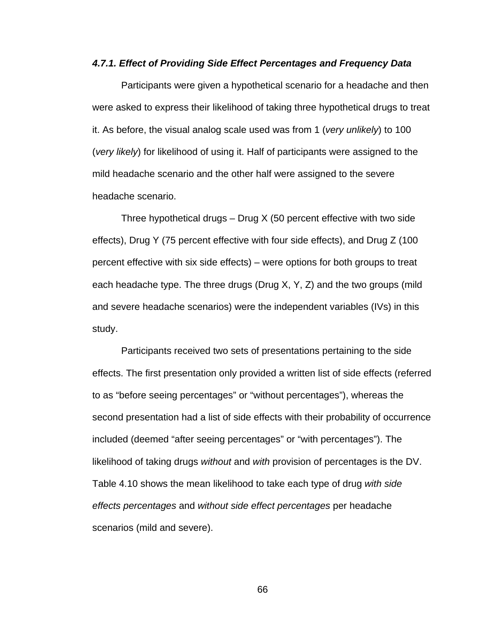#### *4.7.1. Effect of Providing Side Effect Percentages and Frequency Data*

Participants were given a hypothetical scenario for a headache and then were asked to express their likelihood of taking three hypothetical drugs to treat it. As before, the visual analog scale used was from 1 (*very unlikely*) to 100 (*very likely*) for likelihood of using it. Half of participants were assigned to the mild headache scenario and the other half were assigned to the severe headache scenario.

Three hypothetical drugs  $-$  Drug X (50 percent effective with two side effects), Drug Y (75 percent effective with four side effects), and Drug Z (100 percent effective with six side effects) – were options for both groups to treat each headache type. The three drugs (Drug X, Y, Z) and the two groups (mild and severe headache scenarios) were the independent variables (IVs) in this study.

Participants received two sets of presentations pertaining to the side effects. The first presentation only provided a written list of side effects (referred to as "before seeing percentages" or "without percentages"), whereas the second presentation had a list of side effects with their probability of occurrence included (deemed "after seeing percentages" or "with percentages"). The likelihood of taking drugs *without* and *with* provision of percentages is the DV. Table 4.10 shows the mean likelihood to take each type of drug *with side effects percentages* and *without side effect percentages* per headache scenarios (mild and severe).

66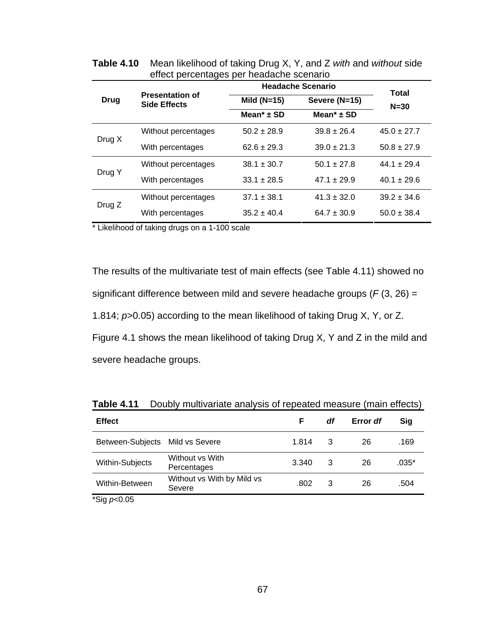|        |                                               | <b>Headache Scenario</b>   | <b>Total</b>               |                 |  |
|--------|-----------------------------------------------|----------------------------|----------------------------|-----------------|--|
| Drug   | <b>Presentation of</b><br><b>Side Effects</b> | Mild $(N=15)$              | Severe (N=15)              | $N = 30$        |  |
|        |                                               | Mean <sup>*</sup> $\pm$ SD | Mean <sup>*</sup> $\pm$ SD |                 |  |
|        | Without percentages                           | $50.2 \pm 28.9$            | $39.8 \pm 26.4$            | $45.0 \pm 27.7$ |  |
| Drug X | With percentages                              | $62.6 \pm 29.3$            | $39.0 \pm 21.3$            | $50.8 \pm 27.9$ |  |
|        | Without percentages                           | $38.1 \pm 30.7$            | $50.1 + 27.8$              | $44.1 + 29.4$   |  |
| Drug Y | With percentages                              | $33.1 \pm 28.5$            | $47.1 \pm 29.9$            | $40.1 \pm 29.6$ |  |
| Drug Z | Without percentages                           | $37.1 \pm 38.1$            | $41.3 \pm 32.0$            | $39.2 \pm 34.6$ |  |
|        | With percentages                              | $35.2 \pm 40.4$            | $64.7 \pm 30.9$            | $50.0 \pm 38.4$ |  |

**Table 4.10** Mean likelihood of taking Drug X, Y, and Z *with* and *without* side effect percentages per headache scenario

\* Likelihood of taking drugs on a 1-100 scale

The results of the multivariate test of main effects (see Table 4.11) showed no significant difference between mild and severe headache groups (*F* (3, 26) = 1.814; *p*>0.05) according to the mean likelihood of taking Drug X, Y, or Z. Figure 4.1 shows the mean likelihood of taking Drug X, Y and Z in the mild and severe headache groups.

| <b>Effect</b>                                    |                                      | F     | df | Error df | Sig     |
|--------------------------------------------------|--------------------------------------|-------|----|----------|---------|
| Between-Subjects Mild vs Severe                  |                                      | 1.814 | 3  | 26       | .169    |
| Within-Subjects                                  | Without vs With<br>Percentages       | 3.340 | 3  | 26       | $.035*$ |
| Within-Between                                   | Without vs With by Mild vs<br>Severe | .802  | 3  | 26       | .504    |
| $*$ $\Omega$ : $\sim$ $\Omega$ $\Omega$ $\Gamma$ |                                      |       |    |          |         |

**Table 4.11** Doubly multivariate analysis of repeated measure (main effects)

\*Sig *p*<0.05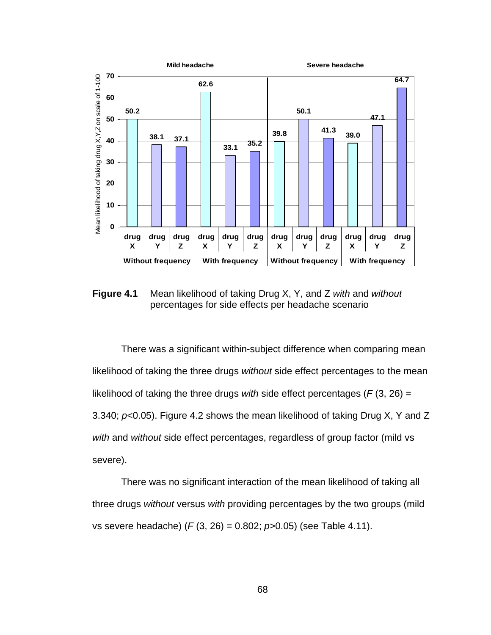

**Figure 4.1** Mean likelihood of taking Drug X, Y, and Z *with* and *without* percentages for side effects per headache scenario

There was a significant within-subject difference when comparing mean likelihood of taking the three drugs *without* side effect percentages to the mean likelihood of taking the three drugs *with* side effect percentages (*F* (3, 26) = 3.340; *p*<0.05). Figure 4.2 shows the mean likelihood of taking Drug X, Y and Z *with* and *without* side effect percentages, regardless of group factor (mild vs severe).

There was no significant interaction of the mean likelihood of taking all three drugs *without* versus *with* providing percentages by the two groups (mild vs severe headache) (*F* (3, 26) = 0.802; *p*>0.05) (see Table 4.11).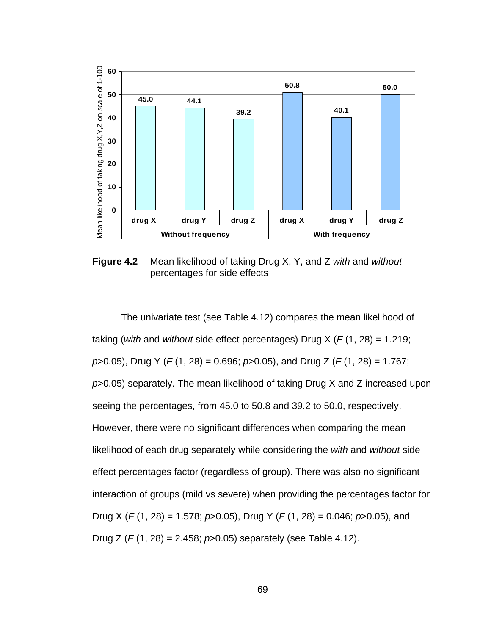

**Figure 4.2** Mean likelihood of taking Drug X, Y, and Z *with* and *without*  percentages for side effects

The univariate test (see Table 4.12) compares the mean likelihood of taking (*with* and *without* side effect percentages) Drug X (*F* (1, 28) = 1.219; *p*>0.05), Drug Y (*F* (1, 28) = 0.696; *p*>0.05), and Drug Z (*F* (1, 28) = 1.767; *p*>0.05) separately. The mean likelihood of taking Drug X and Z increased upon seeing the percentages, from 45.0 to 50.8 and 39.2 to 50.0, respectively. However, there were no significant differences when comparing the mean likelihood of each drug separately while considering the *with* and *without* side effect percentages factor (regardless of group). There was also no significant interaction of groups (mild vs severe) when providing the percentages factor for Drug X (*F* (1, 28) = 1.578; *p*>0.05), Drug Y (*F* (1, 28) = 0.046; *p*>0.05), and Drug Z (*F* (1, 28) = 2.458; *p*>0.05) separately (see Table 4.12).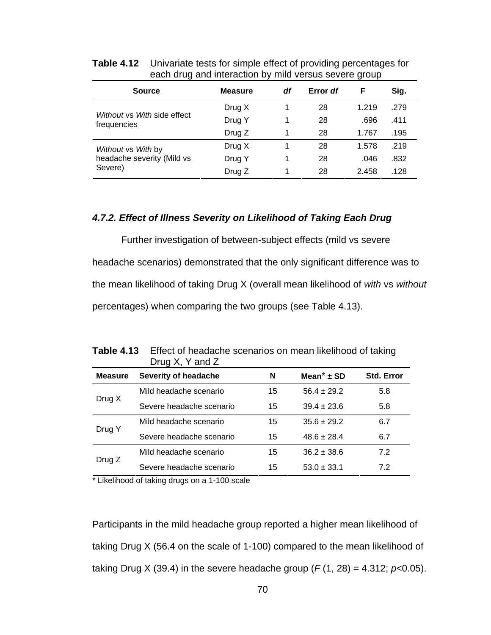| ~                                          |                |    |          |       |      |
|--------------------------------------------|----------------|----|----------|-------|------|
| <b>Source</b>                              | <b>Measure</b> | df | Error df | F     | Sig. |
|                                            | Drug X         |    | 28       | 1.219 | .279 |
| Without vs With side effect<br>frequencies | Drug Y         |    | 28       | .696  | .411 |
|                                            | Drug Z         |    | 28       | 1.767 | .195 |
| Without vs With by                         | Drug X         |    | 28       | 1.578 | .219 |
| headache severity (Mild vs                 | Drug Y         |    | 28       | .046  | .832 |
| Severe)                                    | Drug Z         |    | 28       | 2.458 | .128 |

**Table 4.12** Univariate tests for simple effect of providing percentages for each drug and interaction by mild versus severe group

### *4.7.2. Effect of Illness Severity on Likelihood of Taking Each Drug*

Further investigation of between-subject effects (mild vs severe headache scenarios) demonstrated that the only significant difference was to the mean likelihood of taking Drug X (overall mean likelihood of *with* vs *without*  percentages) when comparing the two groups (see Table 4.13).

|                | Drug $X$ , Y and Z       |    |                            |            |
|----------------|--------------------------|----|----------------------------|------------|
| <b>Measure</b> | Severity of headache     | N  | Mean <sup>*</sup> $\pm$ SD | Std. Error |
| Drug X         | Mild headache scenario   | 15 | $56.4 \pm 29.2$            | 5.8        |
|                | Severe headache scenario | 15 | $39.4 \pm 23.6$            | 5.8        |
| Drug Y         | Mild headache scenario   | 15 | $35.6 \pm 29.2$            | 6.7        |
|                | Severe headache scenario | 15 | $48.6 \pm 28.4$            | 6.7        |
| Drug Z         | Mild headache scenario   | 15 | $36.2 \pm 38.6$            | 7.2        |
|                | Severe headache scenario | 15 | $53.0 \pm 33.1$            | 7.2        |

**Table 4.13** Effect of headache scenarios on mean likelihood of taking

\* Likelihood of taking drugs on a 1-100 scale

Participants in the mild headache group reported a higher mean likelihood of taking Drug X (56.4 on the scale of 1-100) compared to the mean likelihood of taking Drug X (39.4) in the severe headache group  $(F(1, 28) = 4.312; p<0.05)$ .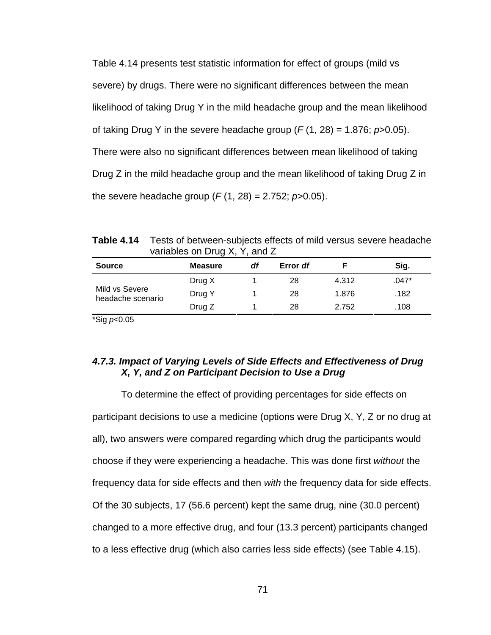Table 4.14 presents test statistic information for effect of groups (mild vs severe) by drugs. There were no significant differences between the mean likelihood of taking Drug Y in the mild headache group and the mean likelihood of taking Drug Y in the severe headache group  $(F(1, 28) = 1.876; p > 0.05)$ . There were also no significant differences between mean likelihood of taking Drug Z in the mild headache group and the mean likelihood of taking Drug Z in the severe headache group (*F* (1, 28) = 2.752; *p*>0.05).

**Table 4.14** Tests of between-subjects effects of mild versus severe headache variables on Drug X, Y, and Z

| <b>Source</b>                       | <b>Measure</b> | df | Error df |       | Sig.  |
|-------------------------------------|----------------|----|----------|-------|-------|
|                                     | Drug X         |    | 28       | 4.312 | .047* |
| Mild vs Severe<br>headache scenario | Drug Y         |    | 28       | 1.876 | .182  |
|                                     | Drug Z         |    | 28       | 2.752 | .108  |

\*Sig *p*<0.05

## *4.7.3. Impact of Varying Levels of Side Effects and Effectiveness of Drug X, Y, and Z on Participant Decision to Use a Drug*

To determine the effect of providing percentages for side effects on participant decisions to use a medicine (options were Drug X, Y, Z or no drug at all), two answers were compared regarding which drug the participants would choose if they were experiencing a headache. This was done first *without* the frequency data for side effects and then *with* the frequency data for side effects. Of the 30 subjects, 17 (56.6 percent) kept the same drug, nine (30.0 percent) changed to a more effective drug, and four (13.3 percent) participants changed to a less effective drug (which also carries less side effects) (see Table 4.15).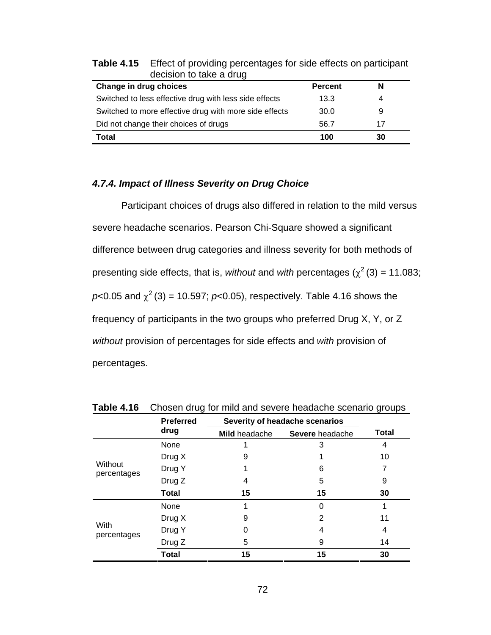| Change in drug choices                                 | <b>Percent</b> | N  |  |
|--------------------------------------------------------|----------------|----|--|
| Switched to less effective drug with less side effects | 13.3           | 4  |  |
| Switched to more effective drug with more side effects | 30.0           | 9  |  |
| Did not change their choices of drugs                  | 56.7           | 17 |  |
| Total                                                  | 100            | 30 |  |

**Table 4.15** Effect of providing percentages for side effects on participant decision to take a drug

## *4.7.4. Impact of Illness Severity on Drug Choice*

Participant choices of drugs also differed in relation to the mild versus severe headache scenarios. Pearson Chi-Square showed a significant difference between drug categories and illness severity for both methods of presenting side effects, that is, *without* and *with* percentages ( $\chi^2$  (3) = 11.083;  $p$ <0.05 and  $\chi^2$  (3) = 10.597;  $p$ <0.05), respectively. Table 4.16 shows the frequency of participants in the two groups who preferred Drug X, Y, or Z *without* provision of percentages for side effects and *with* provision of percentages.

|                        | <b>Preferred</b> |               | Severity of headache scenarios |              |  |
|------------------------|------------------|---------------|--------------------------------|--------------|--|
|                        | drug             | Mild headache | Severe headache                | <b>Total</b> |  |
|                        | None             |               | 3                              | 4            |  |
|                        | Drug X           | 9             |                                | 10           |  |
| Without<br>percentages | Drug Y           |               | 6                              |              |  |
|                        | Drug Z           | 4             | 5                              | 9            |  |
|                        | <b>Total</b>     | 15            | 15                             | 30           |  |
|                        | None             |               | ი                              |              |  |
|                        | Drug X           | 9             | 2                              | 11           |  |
| With<br>percentages    | Drug Y           | O             | 4                              | 4            |  |
|                        | Drug Z           | 5             | 9                              | 14           |  |
|                        | <b>Total</b>     | 15            | 15                             | 30           |  |

**Table 4.16** Chosen drug for mild and severe headache scenario groups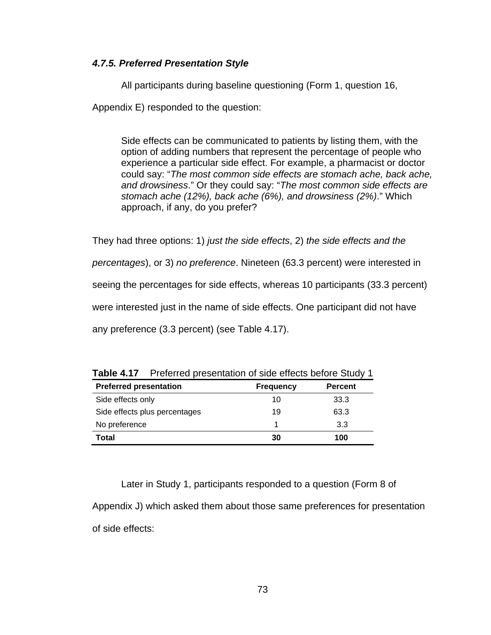## *4.7.5. Preferred Presentation Style*

 All participants during baseline questioning (Form 1, question 16, Appendix E) responded to the question:

Side effects can be communicated to patients by listing them, with the option of adding numbers that represent the percentage of people who experience a particular side effect. For example, a pharmacist or doctor could say: "*The most common side effects are stomach ache, back ache, and drowsiness*." Or they could say: "*The most common side effects are stomach ache (12%), back ache (6%), and drowsiness (2%)*." Which approach, if any, do you prefer?

They had three options: 1) *just the side effects*, 2) *the side effects and the* 

*percentages*), or 3) *no preference*. Nineteen (63.3 percent) were interested in

seeing the percentages for side effects, whereas 10 participants (33.3 percent)

were interested just in the name of side effects. One participant did not have

any preference (3.3 percent) (see Table 4.17).

| <b>TWIS</b> THE THURSTOG PRODUCTION OF DRUG DIROGO DOIDIO OLUMP. |                  |                |
|------------------------------------------------------------------|------------------|----------------|
| <b>Preferred presentation</b>                                    | <b>Frequency</b> | <b>Percent</b> |
| Side effects only                                                | 10               | 33.3           |
| Side effects plus percentages                                    | 19               | 63.3           |
| No preference                                                    |                  | 3.3            |
| Total                                                            | 30               | 100            |

**Table 4.17** Preferred presentation of side effects before Study 1

 Later in Study 1, participants responded to a question (Form 8 of Appendix J) which asked them about those same preferences for presentation of side effects: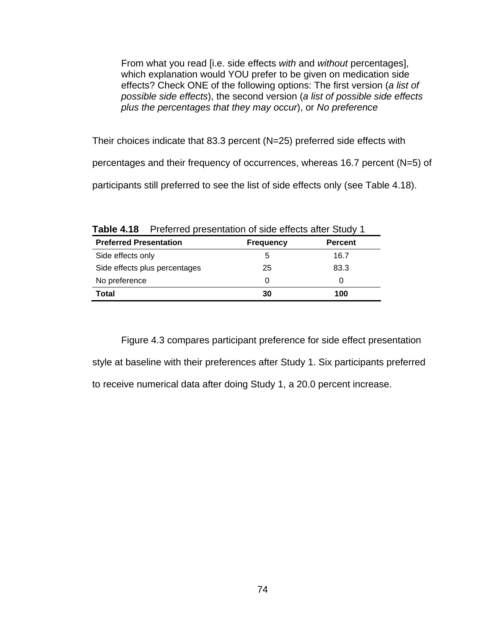From what you read [i.e. side effects *with* and *without* percentages], which explanation would YOU prefer to be given on medication side effects? Check ONE of the following options: The first version (*a list of possible side effects*), the second version (*a list of possible side effects plus the percentages that they may occur*), or *No preference*

Their choices indicate that 83.3 percent (N=25) preferred side effects with

percentages and their frequency of occurrences, whereas 16.7 percent (N=5) of

participants still preferred to see the list of side effects only (see Table 4.18).

|                               | <b>Table 4.18</b> Preferred presentation of side effects after Study T |                |  |  |  |  |
|-------------------------------|------------------------------------------------------------------------|----------------|--|--|--|--|
| <b>Preferred Presentation</b> | <b>Frequency</b>                                                       | <b>Percent</b> |  |  |  |  |
| Side effects only             | 5                                                                      | 16.7           |  |  |  |  |
| Side effects plus percentages | 25                                                                     | 83.3           |  |  |  |  |
| No preference                 | $\Omega$                                                               | O              |  |  |  |  |
| Total                         | 30                                                                     | 100            |  |  |  |  |

**Table 4.18** Preferred presentation of side effects after Study 1

 Figure 4.3 compares participant preference for side effect presentation style at baseline with their preferences after Study 1. Six participants preferred to receive numerical data after doing Study 1, a 20.0 percent increase.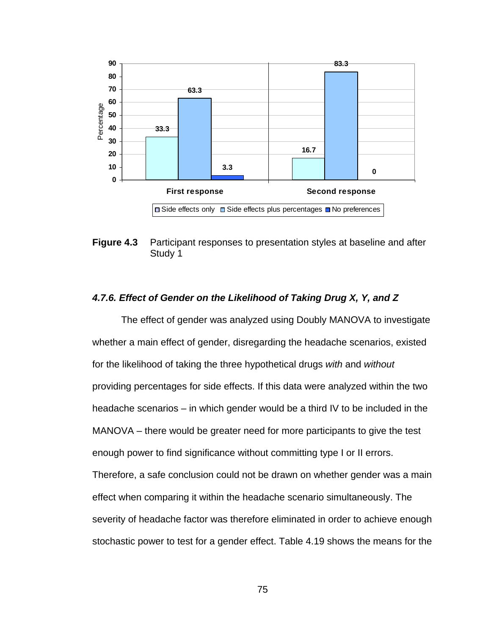

**Figure 4.3** Participant responses to presentation styles at baseline and after Study 1

### *4.7.6. Effect of Gender on the Likelihood of Taking Drug X, Y, and Z*

The effect of gender was analyzed using Doubly MANOVA to investigate whether a main effect of gender, disregarding the headache scenarios, existed for the likelihood of taking the three hypothetical drugs *with* and *without*  providing percentages for side effects. If this data were analyzed within the two headache scenarios – in which gender would be a third IV to be included in the MANOVA – there would be greater need for more participants to give the test enough power to find significance without committing type I or II errors. Therefore, a safe conclusion could not be drawn on whether gender was a main effect when comparing it within the headache scenario simultaneously. The severity of headache factor was therefore eliminated in order to achieve enough stochastic power to test for a gender effect. Table 4.19 shows the means for the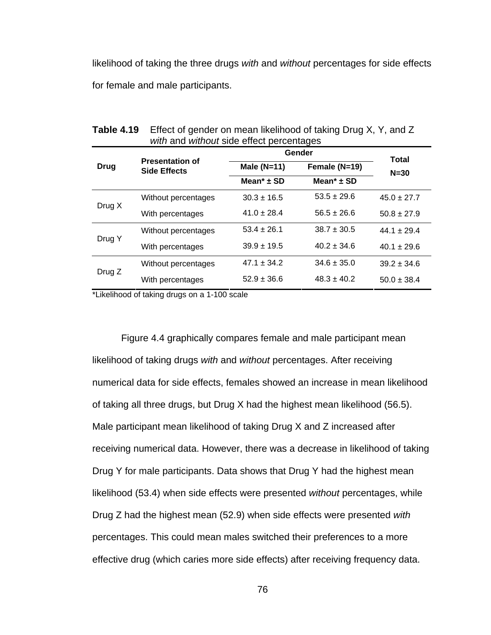likelihood of taking the three drugs *with* and *without* percentages for side effects for female and male participants.

| <i>mar</i> and <i>marout</i> side encer percentages |                                               |                            |                            |                        |  |  |
|-----------------------------------------------------|-----------------------------------------------|----------------------------|----------------------------|------------------------|--|--|
| <b>Drug</b>                                         |                                               |                            | Gender                     |                        |  |  |
|                                                     | <b>Presentation of</b><br><b>Side Effects</b> | Male $(N=11)$              | Female (N=19)              | <b>Total</b><br>$N=30$ |  |  |
|                                                     |                                               | Mean <sup>*</sup> $\pm$ SD | Mean <sup>*</sup> $\pm$ SD |                        |  |  |
| Drug X                                              | Without percentages                           | $30.3 \pm 16.5$            | $53.5 \pm 29.6$            | $45.0 \pm 27.7$        |  |  |
|                                                     | With percentages                              | $41.0 \pm 28.4$            | $56.5 \pm 26.6$            | $50.8 \pm 27.9$        |  |  |
| Drug Y                                              | Without percentages                           | $53.4 \pm 26.1$            | $38.7 \pm 30.5$            | $44.1 \pm 29.4$        |  |  |
|                                                     | With percentages                              | $39.9 \pm 19.5$            | $40.2 \pm 34.6$            | $40.1 \pm 29.6$        |  |  |
| Drug Z                                              | Without percentages                           | $47.1 \pm 34.2$            | $34.6 \pm 35.0$            | $39.2 \pm 34.6$        |  |  |
|                                                     | With percentages                              | $52.9 \pm 36.6$            | $48.3 \pm 40.2$            | $50.0 \pm 38.4$        |  |  |

**Table 4.19** Effect of gender on mean likelihood of taking Drug X, Y, and Z *with* and *without* side effect percentages

\*Likelihood of taking drugs on a 1-100 scale

Figure 4.4 graphically compares female and male participant mean likelihood of taking drugs *with* and *without* percentages. After receiving numerical data for side effects, females showed an increase in mean likelihood of taking all three drugs, but Drug X had the highest mean likelihood (56.5). Male participant mean likelihood of taking Drug X and Z increased after receiving numerical data. However, there was a decrease in likelihood of taking Drug Y for male participants. Data shows that Drug Y had the highest mean likelihood (53.4) when side effects were presented *without* percentages, while Drug Z had the highest mean (52.9) when side effects were presented *with* percentages. This could mean males switched their preferences to a more effective drug (which caries more side effects) after receiving frequency data.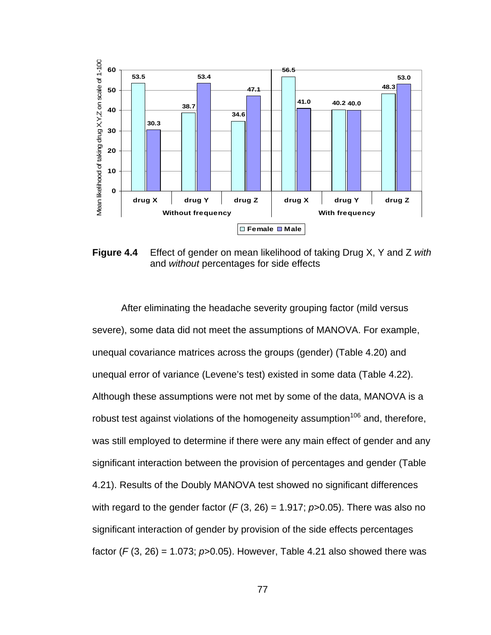

**Figure 4.4** Effect of gender on mean likelihood of taking Drug X, Y and Z *with* and *without* percentages for side effects

After eliminating the headache severity grouping factor (mild versus severe), some data did not meet the assumptions of MANOVA. For example, unequal covariance matrices across the groups (gender) (Table 4.20) and unequal error of variance (Levene's test) existed in some data (Table 4.22). Although these assumptions were not met by some of the data, MANOVA is a robust test against violations of the homogeneity assumption<sup>106</sup> and, therefore, was still employed to determine if there were any main effect of gender and any significant interaction between the provision of percentages and gender (Table 4.21). Results of the Doubly MANOVA test showed no significant differences with regard to the gender factor  $(F(3, 26) = 1.917; p > 0.05)$ . There was also no significant interaction of gender by provision of the side effects percentages factor  $(F(3, 26) = 1.073$ ;  $p > 0.05$ ). However, Table 4.21 also showed there was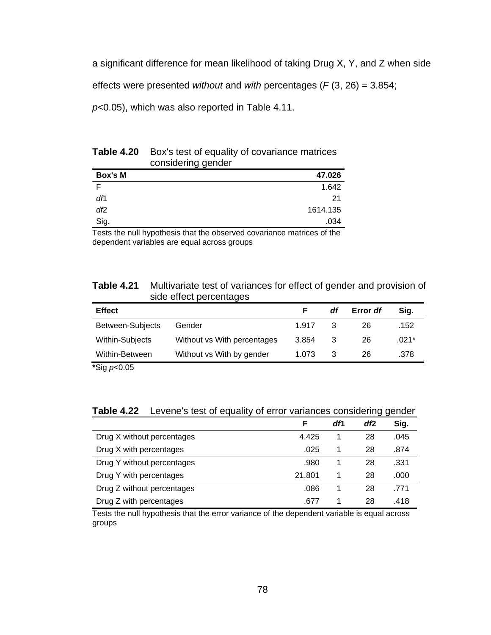a significant difference for mean likelihood of taking Drug X, Y, and Z when side

effects were presented *without* and *with* percentages (*F* (3, 26) = 3.854;

*p*<0.05), which was also reported in Table 4.11.

| 47.026   |
|----------|
| 1.642    |
| 21       |
| 1614.135 |
| .034     |
|          |

**Table 4.20** Box's test of equality of covariance matrices considering gender

Tests the null hypothesis that the observed covariance matrices of the dependent variables are equal across groups

#### **Table 4.21** Multivariate test of variances for effect of gender and provision of side effect percentages

| <b>Effect</b>           |                             |       | df | Error df | Sig.  |
|-------------------------|-----------------------------|-------|----|----------|-------|
| <b>Between-Subjects</b> | Gender                      | 1.917 | 3  | 26       | .152  |
| Within-Subjects         | Without vs With percentages | 3.854 | 3  | 26       | .021* |
| Within-Between          | Without vs With by gender   | 1.073 | 3  | 26       | .378  |
| *Sig $p<0.05$           |                             |       |    |          |       |

**Table 4.22** Levene's test of equality of error variances considering gender

|                            | F      | dfl | df2 | Sig. |
|----------------------------|--------|-----|-----|------|
| Drug X without percentages | 4.425  |     | 28  | .045 |
| Drug X with percentages    | .025   |     | 28  | .874 |
| Drug Y without percentages | .980   |     | 28  | .331 |
| Drug Y with percentages    | 21.801 |     | 28  | .000 |
| Drug Z without percentages | .086   |     | 28  | .771 |
| Drug Z with percentages    | .677   |     | 28  | .418 |

Tests the null hypothesis that the error variance of the dependent variable is equal across groups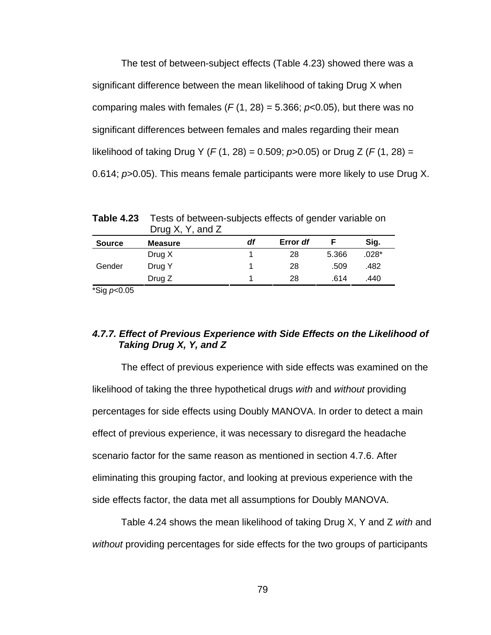The test of between-subject effects (Table 4.23) showed there was a significant difference between the mean likelihood of taking Drug X when comparing males with females  $(F(1, 28) = 5.366; p<0.05)$ , but there was no significant differences between females and males regarding their mean likelihood of taking Drug Y (*F* (1, 28) = 0.509; *p*>0.05) or Drug Z (*F* (1, 28) = 0.614; *p*>0.05). This means female participants were more likely to use Drug X.

Drug X, Y, and Z **Source Measure** *df* **Error** *df* **F Sig.**  Drug X 1 28 5.366 .028\* Gender Drug Y 1 28 .509 .482 Drug Z 1 28 .614 .440

**Table 4.23** Tests of between-subjects effects of gender variable on

\*Sig *p*<0.05

## *4.7.7. Effect of Previous Experience with Side Effects on the Likelihood of Taking Drug X, Y, and Z*

The effect of previous experience with side effects was examined on the likelihood of taking the three hypothetical drugs *with* and *without* providing percentages for side effects using Doubly MANOVA. In order to detect a main effect of previous experience, it was necessary to disregard the headache scenario factor for the same reason as mentioned in section 4.7.6. After eliminating this grouping factor, and looking at previous experience with the side effects factor, the data met all assumptions for Doubly MANOVA.

Table 4.24 shows the mean likelihood of taking Drug X, Y and Z *with* and *without* providing percentages for side effects for the two groups of participants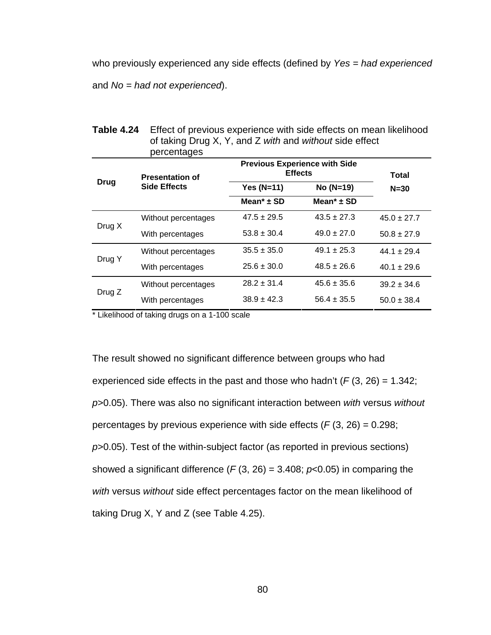who previously experienced any side effects (defined by *Yes = had experienced*

and *No = had not experienced*).

|             | percentages            |                            |                                                        |                 |  |  |
|-------------|------------------------|----------------------------|--------------------------------------------------------|-----------------|--|--|
|             | <b>Presentation of</b> |                            | <b>Previous Experience with Side</b><br><b>Effects</b> |                 |  |  |
| <b>Drug</b> | <b>Side Effects</b>    | <b>Yes (N=11)</b>          | No (N=19)                                              | $N = 30$        |  |  |
|             |                        | Mean <sup>*</sup> $\pm$ SD | Mean <sup>*</sup> $\pm$ SD                             |                 |  |  |
| Drug X      | Without percentages    | $47.5 \pm 29.5$            | $43.5 \pm 27.3$                                        | $45.0 \pm 27.7$ |  |  |
|             | With percentages       | $53.8 \pm 30.4$            | $49.0 \pm 27.0$                                        | $50.8 \pm 27.9$ |  |  |
| Drug Y      | Without percentages    | $35.5 \pm 35.0$            | $49.1 \pm 25.3$                                        | $44.1 \pm 29.4$ |  |  |
|             | With percentages       | $25.6 \pm 30.0$            | $48.5 \pm 26.6$                                        | $40.1 \pm 29.6$ |  |  |
| Drug Z      | Without percentages    | $28.2 \pm 31.4$            | $45.6 \pm 35.6$                                        | $39.2 \pm 34.6$ |  |  |
|             | With percentages       | $38.9 \pm 42.3$            | $56.4 \pm 35.5$                                        | $50.0 \pm 38.4$ |  |  |

**Table 4.24** Effect of previous experience with side effects on mean likelihood of taking Drug X, Y, and Z *with* and *without* side effect

\* Likelihood of taking drugs on a 1-100 scale

The result showed no significant difference between groups who had experienced side effects in the past and those who hadn't  $(F(3, 26) = 1.342;$ *p*>0.05). There was also no significant interaction between *with* versus *without* percentages by previous experience with side effects  $(F(3, 26) = 0.298)$ ; *p*>0.05). Test of the within-subject factor (as reported in previous sections) showed a significant difference  $(F(3, 26) = 3.408; p<0.05)$  in comparing the *with* versus *without* side effect percentages factor on the mean likelihood of taking Drug X, Y and Z (see Table 4.25).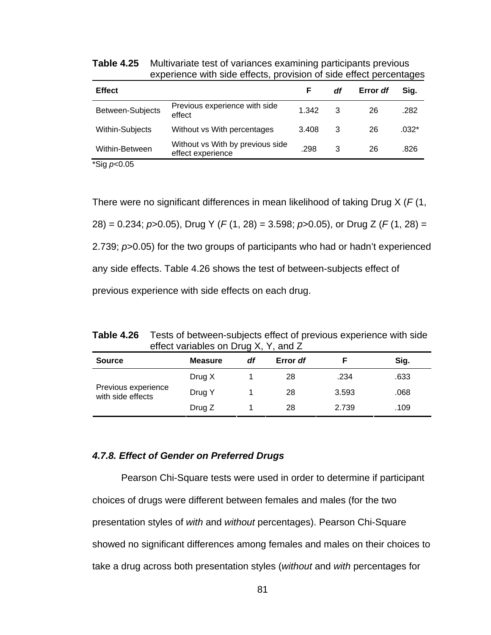**Table 4.25** Multivariate test of variances examining participants previous experience with side effects, provision of side effect percentages

| <b>Effect</b>                            |                                                       | F     | df | Error df | Sig.    |
|------------------------------------------|-------------------------------------------------------|-------|----|----------|---------|
| Between-Subjects                         | Previous experience with side<br>effect               | 1.342 | 3  | 26       | .282    |
| Within-Subjects                          | Without vs With percentages                           | 3.408 | 3  | 26       | $.032*$ |
| Within-Between                           | Without vs With by previous side<br>effect experience | .298  | 3  | 26       | .826    |
| $*$ $\cap$ : $\sim$ $\cap$ $\cap$ $\cap$ |                                                       |       |    |          |         |

\*Sig *p*<0.05

There were no significant differences in mean likelihood of taking Drug X (*F* (1, 28) = 0.234; *p*>0.05), Drug Y (*F* (1, 28) = 3.598; *p*>0.05), or Drug Z (*F* (1, 28) = 2.739; *p*>0.05) for the two groups of participants who had or hadn't experienced any side effects. Table 4.26 shows the test of between-subjects effect of previous experience with side effects on each drug.

**Table 4.26** Tests of between-subjects effect of previous experience with side effect variables on Drug X, Y, and Z

| <b>Source</b>                            | <b>Measure</b> | df | Error df |       | Sig. |
|------------------------------------------|----------------|----|----------|-------|------|
|                                          | Drug X         |    | 28       | .234  | .633 |
| Previous experience<br>with side effects | Drug Y         |    | 28       | 3.593 | .068 |
|                                          | Drug Z         |    | 28       | 2.739 | .109 |

#### *4.7.8. Effect of Gender on Preferred Drugs*

Pearson Chi-Square tests were used in order to determine if participant choices of drugs were different between females and males (for the two presentation styles of *with* and *without* percentages). Pearson Chi-Square showed no significant differences among females and males on their choices to take a drug across both presentation styles (*without* and *with* percentages for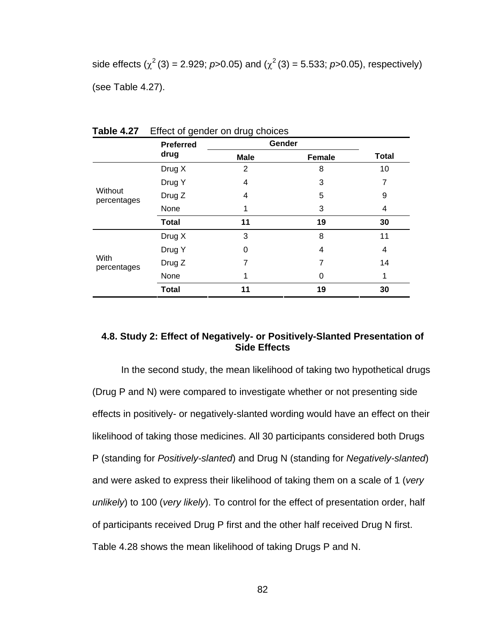side effects  $(\chi^2(3) = 2.929; p > 0.05)$  and  $(\chi^2(3) = 5.533; p > 0.05)$ , respectively) (see Table 4.27).

|                        | <b>Preferred</b> | Gender      |               |              |
|------------------------|------------------|-------------|---------------|--------------|
|                        | drug             | <b>Male</b> | <b>Female</b> | <b>Total</b> |
|                        | Drug X           | 2           | 8             | 10           |
|                        | Drug Y           | 4           | 3             | 7            |
| Without<br>percentages | Drug Z           | 4           | 5             | 9            |
|                        | None             | 1           | 3             | 4            |
|                        | <b>Total</b>     | 11          | 19            | 30           |
|                        | Drug X           | 3           | 8             | 11           |
|                        | Drug Y           | 0           | 4             | 4            |
| With<br>percentages    | Drug Z           |             |               | 14           |
|                        | None             |             | 0             | 1            |
|                        | <b>Total</b>     | 11          | 19            | 30           |

**Table 4.27** Effect of gender on drug choices

# **4.8. Study 2: Effect of Negatively- or Positively-Slanted Presentation of Side Effects**

In the second study, the mean likelihood of taking two hypothetical drugs (Drug P and N) were compared to investigate whether or not presenting side effects in positively- or negatively-slanted wording would have an effect on their likelihood of taking those medicines. All 30 participants considered both Drugs P (standing for *Positively-slanted*) and Drug N (standing for *Negatively-slanted*) and were asked to express their likelihood of taking them on a scale of 1 (*very unlikely*) to 100 (*very likely*). To control for the effect of presentation order, half of participants received Drug P first and the other half received Drug N first. Table 4.28 shows the mean likelihood of taking Drugs P and N.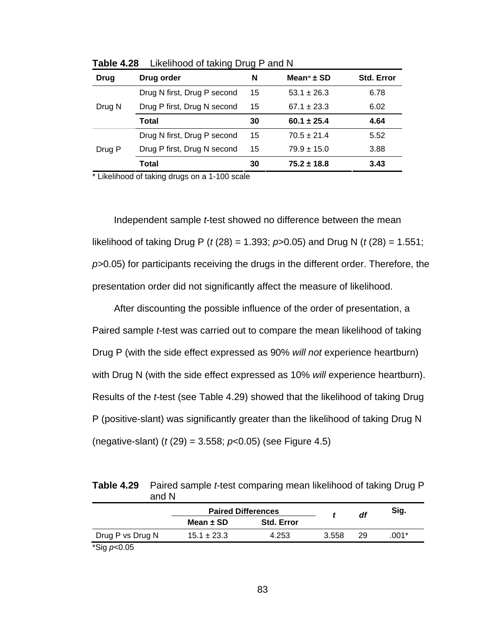| Drug   | Drug order                  | N  | Mean $*$ $\pm$ SD | <b>Std. Error</b> |
|--------|-----------------------------|----|-------------------|-------------------|
| Drug N | Drug N first, Drug P second | 15 | $53.1 \pm 26.3$   | 6.78              |
|        | Drug P first, Drug N second | 15 | $67.1 \pm 23.3$   | 6.02              |
|        | Total                       | 30 | $60.1 \pm 25.4$   | 4.64              |
| Drug P | Drug N first, Drug P second | 15 | $70.5 \pm 21.4$   | 5.52              |
|        | Drug P first, Drug N second | 15 | $79.9 \pm 15.0$   | 3.88              |
|        | Total                       | 30 | $75.2 \pm 18.8$   | 3.43              |

**Table 4.28** Likelihood of taking Drug P and N

\* Likelihood of taking drugs on a 1-100 scale

Independent sample *t*-test showed no difference between the mean likelihood of taking Drug P (*t* (28) = 1.393; *p*>0.05) and Drug N (*t* (28) = 1.551; *p>*0.05) for participants receiving the drugs in the different order. Therefore, the presentation order did not significantly affect the measure of likelihood.

After discounting the possible influence of the order of presentation, a Paired sample *t*-test was carried out to compare the mean likelihood of taking Drug P (with the side effect expressed as 90% *will not* experience heartburn) with Drug N (with the side effect expressed as 10% *will* experience heartburn). Results of the *t*-test (see Table 4.29) showed that the likelihood of taking Drug P (positive-slant) was significantly greater than the likelihood of taking Drug N (negative-slant) (*t* (29) = 3.558; *p*<0.05) (see Figure 4.5)

| <b>Table 4.29</b> Paired sample <i>t</i> -test comparing mean likelihood of taking Drug P |
|-------------------------------------------------------------------------------------------|
| and N                                                                                     |

|                     | <b>Paired Differences</b> |                   | df    | Sig. |       |
|---------------------|---------------------------|-------------------|-------|------|-------|
|                     | Mean $\pm$ SD             | <b>Std. Error</b> |       |      |       |
| Drug P vs Drug N    | $15.1 \pm 23.3$           | 4.253             | 3.558 | 29   | .001* |
| *Sig <i>p</i> <0.05 |                           |                   |       |      |       |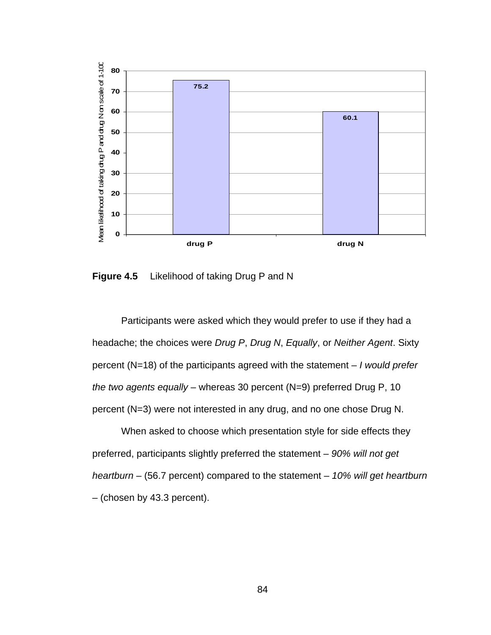

**Figure 4.5** Likelihood of taking Drug P and N

Participants were asked which they would prefer to use if they had a headache; the choices were *Drug P*, *Drug N*, *Equally*, or *Neither Agent*. Sixty percent (N=18) of the participants agreed with the statement – *I would prefer the two agents equally* – whereas 30 percent (N=9) preferred Drug P, 10 percent (N=3) were not interested in any drug, and no one chose Drug N.

When asked to choose which presentation style for side effects they preferred, participants slightly preferred the statement – *90% will not get heartburn* – (56.7 percent) compared to the statement – *10% will get heartburn* – (chosen by 43.3 percent).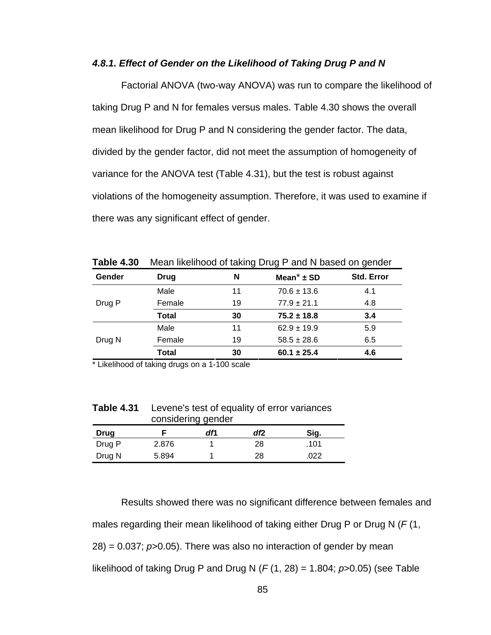#### *4.8.1. Effect of Gender on the Likelihood of Taking Drug P and N*

Factorial ANOVA (two-way ANOVA) was run to compare the likelihood of taking Drug P and N for females versus males. Table 4.30 shows the overall mean likelihood for Drug P and N considering the gender factor. The data, divided by the gender factor, did not meet the assumption of homogeneity of variance for the ANOVA test (Table 4.31), but the test is robust against violations of the homogeneity assumption. Therefore, it was used to examine if there was any significant effect of gender.

| Taple 4.30 | IVIEAN IIKEIINOOD OF LAKING DRUG P AND IN DASED ON GENOEI |    |                            |                   |  |  |
|------------|-----------------------------------------------------------|----|----------------------------|-------------------|--|--|
| Gender     | Drug                                                      | N  | Mean <sup>*</sup> $\pm$ SD | <b>Std. Error</b> |  |  |
|            | Male                                                      | 11 | $70.6 \pm 13.6$            | 4.1               |  |  |
| Drug P     | Female                                                    | 19 | $77.9 \pm 21.1$            | 4.8               |  |  |
|            | <b>Total</b>                                              | 30 | $75.2 \pm 18.8$            | 3.4               |  |  |
|            | Male                                                      | 11 | $62.9 \pm 19.9$            | 5.9               |  |  |
| Drug N     | Female                                                    | 19 | $58.5 \pm 28.6$            | 6.5               |  |  |
|            | <b>Total</b>                                              | 30 | $60.1 \pm 25.4$            | 4.6               |  |  |

**Table 4.30** Mean likelihood of taking Drug P and N based on gender

\* Likelihood of taking drugs on a 1-100 scale

| <b>Table 4.31</b> | Levene's test of equality of error variances |
|-------------------|----------------------------------------------|
|                   | considering gender                           |
|                   |                                              |

| <b>Drug</b> |       | dfl | df2 | Sig. |
|-------------|-------|-----|-----|------|
| Drug P      | 2.876 |     | 28  | .101 |
| Drug N      | 5.894 |     | 28  | 022  |

Results showed there was no significant difference between females and males regarding their mean likelihood of taking either Drug P or Drug N (*F* (1, 28) = 0.037; *p*>0.05). There was also no interaction of gender by mean likelihood of taking Drug P and Drug N (*F* (1, 28) = 1.804; *p*>0.05) (see Table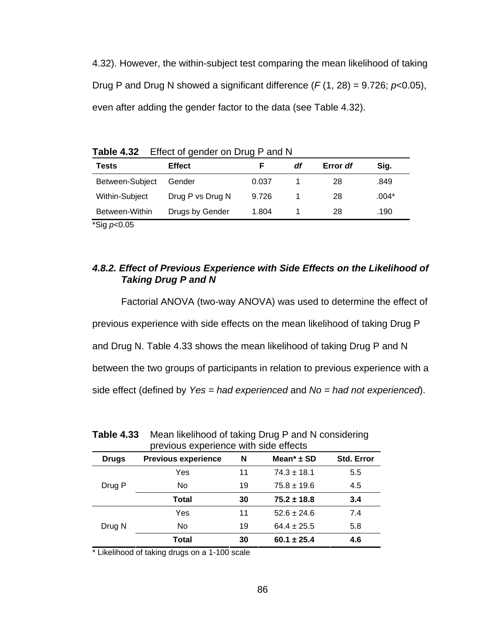4.32). However, the within-subject test comparing the mean likelihood of taking Drug P and Drug N showed a significant difference  $(F(1, 28) = 9.726; p<0.05)$ , even after adding the gender factor to the data (see Table 4.32).

| <b>Tests</b>    | <b>Effect</b>    |       | df | Error df | Sig.    |  |
|-----------------|------------------|-------|----|----------|---------|--|
| Between-Subject | Gender           | 0.037 |    | 28       | .849    |  |
| Within-Subject  | Drug P vs Drug N | 9.726 |    | 28       | $.004*$ |  |
| Between-Within  | Drugs by Gender  | 1.804 |    | 28       | .190    |  |
| *Sig $p<0.05$   |                  |       |    |          |         |  |

**Table 4.32** Effect of gender on Drug P and N

## *4.8.2. Effect of Previous Experience with Side Effects on the Likelihood of Taking Drug P and N*

Factorial ANOVA (two-way ANOVA) was used to determine the effect of previous experience with side effects on the mean likelihood of taking Drug P and Drug N. Table 4.33 shows the mean likelihood of taking Drug P and N between the two groups of participants in relation to previous experience with a side effect (defined by *Yes = had experienced* and *No = had not experienced*).

| previous experience with side effects |                            |    |                   |            |  |  |
|---------------------------------------|----------------------------|----|-------------------|------------|--|--|
| <b>Drugs</b>                          | <b>Previous experience</b> | N  | Mean $*$ $\pm$ SD | Std. Error |  |  |
|                                       | Yes                        | 11 | $74.3 \pm 18.1$   | 5.5        |  |  |
| Drug P                                | No                         | 19 | $75.8 \pm 19.6$   | 4.5        |  |  |
|                                       | Total                      | 30 | $75.2 \pm 18.8$   | 3.4        |  |  |
|                                       | Yes                        | 11 | $52.6 \pm 24.6$   | 7.4        |  |  |
| Drug N                                | No                         | 19 | $64.4 \pm 25.5$   | 5.8        |  |  |
|                                       | Total                      | 30 | $60.1 \pm 25.4$   | 4.6        |  |  |

| <b>Table 4.33</b> | Mean likelihood of taking Drug P and N considering |
|-------------------|----------------------------------------------------|
|                   | previous experience with side effects              |

\* Likelihood of taking drugs on a 1-100 scale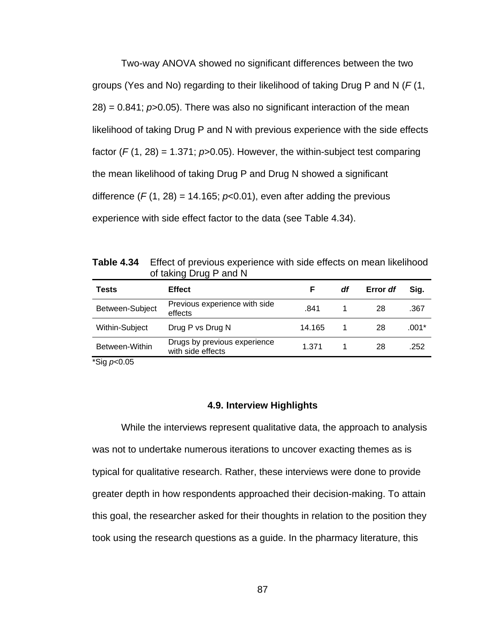Two-way ANOVA showed no significant differences between the two groups (Yes and No) regarding to their likelihood of taking Drug P and N (*F* (1, 28) = 0.841; *p*>0.05). There was also no significant interaction of the mean likelihood of taking Drug P and N with previous experience with the side effects factor  $(F(1, 28) = 1.371$ ;  $p > 0.05$ ). However, the within-subject test comparing the mean likelihood of taking Drug P and Drug N showed a significant difference  $(F(1, 28) = 14.165; p<0.01)$ , even after adding the previous experience with side effect factor to the data (see Table 4.34).

**Table 4.34** Effect of previous experience with side effects on mean likelihood of taking Drug P and N

| Tests                                                     | <b>Effect</b>                                     | F      | df | Error df | Sia.  |
|-----------------------------------------------------------|---------------------------------------------------|--------|----|----------|-------|
| Between-Subject                                           | Previous experience with side<br>effects          | .841   |    | 28       | .367  |
| Within-Subject                                            | Drug P vs Drug N                                  | 14.165 |    | 28       | .001* |
| Between-Within                                            | Drugs by previous experience<br>with side effects | 1.371  |    | 28       | .252  |
| $*$ $\Omega$ $\Omega$ $\Omega$ $\Omega$ $\Omega$ $\Omega$ |                                                   |        |    |          |       |

\*Sig *p*<0.05

#### **4.9. Interview Highlights**

 While the interviews represent qualitative data, the approach to analysis was not to undertake numerous iterations to uncover exacting themes as is typical for qualitative research. Rather, these interviews were done to provide greater depth in how respondents approached their decision-making. To attain this goal, the researcher asked for their thoughts in relation to the position they took using the research questions as a guide. In the pharmacy literature, this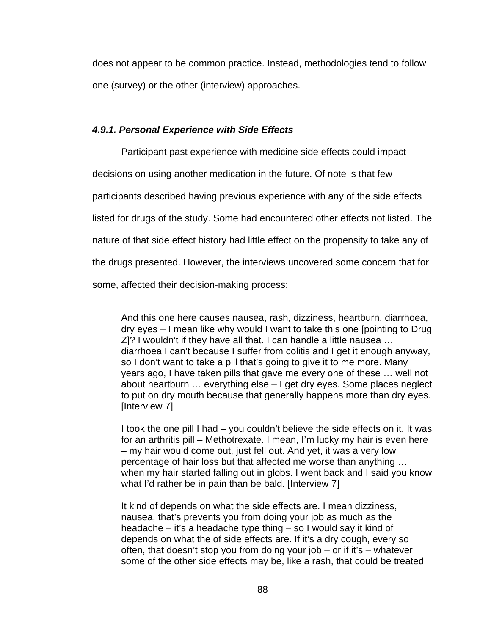does not appear to be common practice. Instead, methodologies tend to follow one (survey) or the other (interview) approaches.

#### *4.9.1. Personal Experience with Side Effects*

 Participant past experience with medicine side effects could impact decisions on using another medication in the future. Of note is that few participants described having previous experience with any of the side effects listed for drugs of the study. Some had encountered other effects not listed. The nature of that side effect history had little effect on the propensity to take any of the drugs presented. However, the interviews uncovered some concern that for some, affected their decision-making process:

And this one here causes nausea, rash, dizziness, heartburn, diarrhoea, dry eyes – I mean like why would I want to take this one [pointing to Drug Z]? I wouldn't if they have all that. I can handle a little nausea … diarrhoea I can't because I suffer from colitis and I get it enough anyway, so I don't want to take a pill that's going to give it to me more. Many years ago, I have taken pills that gave me every one of these … well not about heartburn … everything else – I get dry eyes. Some places neglect to put on dry mouth because that generally happens more than dry eyes. [Interview 7]

I took the one pill I had – you couldn't believe the side effects on it. It was for an arthritis pill – Methotrexate. I mean, I'm lucky my hair is even here – my hair would come out, just fell out. And yet, it was a very low percentage of hair loss but that affected me worse than anything … when my hair started falling out in globs. I went back and I said you know what I'd rather be in pain than be bald. [Interview 7]

It kind of depends on what the side effects are. I mean dizziness, nausea, that's prevents you from doing your job as much as the headache – it's a headache type thing – so I would say it kind of depends on what the of side effects are. If it's a dry cough, every so often, that doesn't stop you from doing your job – or if it's – whatever some of the other side effects may be, like a rash, that could be treated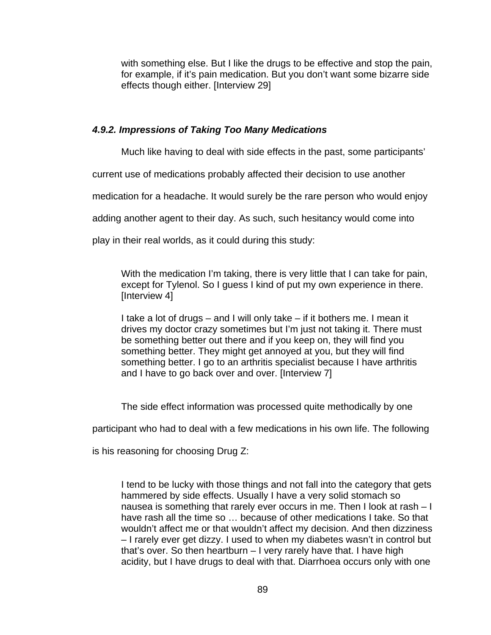with something else. But I like the drugs to be effective and stop the pain, for example, if it's pain medication. But you don't want some bizarre side effects though either. [Interview 29]

## *4.9.2. Impressions of Taking Too Many Medications*

Much like having to deal with side effects in the past, some participants'

current use of medications probably affected their decision to use another

medication for a headache. It would surely be the rare person who would enjoy

adding another agent to their day. As such, such hesitancy would come into

play in their real worlds, as it could during this study:

With the medication I'm taking, there is very little that I can take for pain, except for Tylenol. So I guess I kind of put my own experience in there. [Interview 4]

I take a lot of drugs – and I will only take – if it bothers me. I mean it drives my doctor crazy sometimes but I'm just not taking it. There must be something better out there and if you keep on, they will find you something better. They might get annoyed at you, but they will find something better. I go to an arthritis specialist because I have arthritis and I have to go back over and over. [Interview 7]

The side effect information was processed quite methodically by one

participant who had to deal with a few medications in his own life. The following

is his reasoning for choosing Drug Z:

I tend to be lucky with those things and not fall into the category that gets hammered by side effects. Usually I have a very solid stomach so nausea is something that rarely ever occurs in me. Then I look at rash – I have rash all the time so … because of other medications I take. So that wouldn't affect me or that wouldn't affect my decision. And then dizziness – I rarely ever get dizzy. I used to when my diabetes wasn't in control but that's over. So then heartburn – I very rarely have that. I have high acidity, but I have drugs to deal with that. Diarrhoea occurs only with one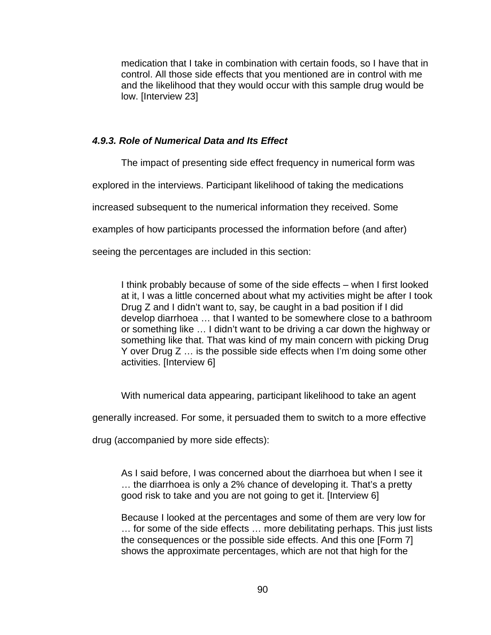medication that I take in combination with certain foods, so I have that in control. All those side effects that you mentioned are in control with me and the likelihood that they would occur with this sample drug would be low. [Interview 23]

## *4.9.3. Role of Numerical Data and Its Effect*

The impact of presenting side effect frequency in numerical form was

explored in the interviews. Participant likelihood of taking the medications

increased subsequent to the numerical information they received. Some

examples of how participants processed the information before (and after)

seeing the percentages are included in this section:

I think probably because of some of the side effects – when I first looked at it, I was a little concerned about what my activities might be after I took Drug Z and I didn't want to, say, be caught in a bad position if I did develop diarrhoea … that I wanted to be somewhere close to a bathroom or something like … I didn't want to be driving a car down the highway or something like that. That was kind of my main concern with picking Drug Y over Drug Z … is the possible side effects when I'm doing some other activities. [Interview 6]

With numerical data appearing, participant likelihood to take an agent

generally increased. For some, it persuaded them to switch to a more effective

drug (accompanied by more side effects):

As I said before, I was concerned about the diarrhoea but when I see it … the diarrhoea is only a 2% chance of developing it. That's a pretty good risk to take and you are not going to get it. [Interview 6]

Because I looked at the percentages and some of them are very low for … for some of the side effects … more debilitating perhaps. This just lists the consequences or the possible side effects. And this one [Form 7] shows the approximate percentages, which are not that high for the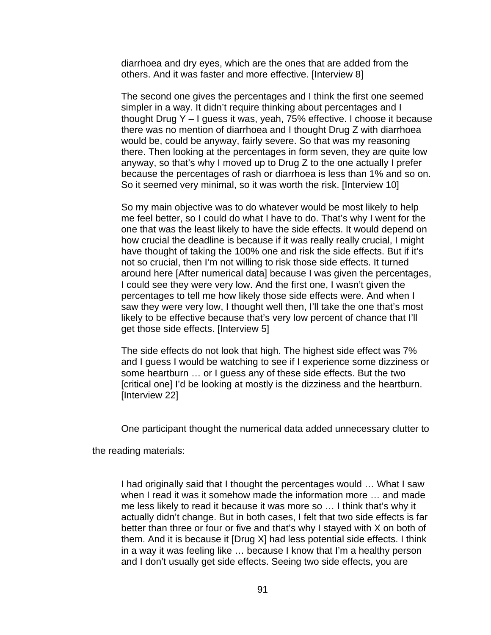diarrhoea and dry eyes, which are the ones that are added from the others. And it was faster and more effective. [Interview 8]

The second one gives the percentages and I think the first one seemed simpler in a way. It didn't require thinking about percentages and I thought Drug Y – I guess it was, yeah, 75% effective. I choose it because there was no mention of diarrhoea and I thought Drug Z with diarrhoea would be, could be anyway, fairly severe. So that was my reasoning there. Then looking at the percentages in form seven, they are quite low anyway, so that's why I moved up to Drug Z to the one actually I prefer because the percentages of rash or diarrhoea is less than 1% and so on. So it seemed very minimal, so it was worth the risk. [Interview 10]

So my main objective was to do whatever would be most likely to help me feel better, so I could do what I have to do. That's why I went for the one that was the least likely to have the side effects. It would depend on how crucial the deadline is because if it was really really crucial, I might have thought of taking the 100% one and risk the side effects. But if it's not so crucial, then I'm not willing to risk those side effects. It turned around here [After numerical data] because I was given the percentages, I could see they were very low. And the first one, I wasn't given the percentages to tell me how likely those side effects were. And when I saw they were very low, I thought well then, I'll take the one that's most likely to be effective because that's very low percent of chance that I'll get those side effects. [Interview 5]

The side effects do not look that high. The highest side effect was 7% and I guess I would be watching to see if I experience some dizziness or some heartburn … or I guess any of these side effects. But the two [critical one] I'd be looking at mostly is the dizziness and the heartburn. [Interview 22]

One participant thought the numerical data added unnecessary clutter to

the reading materials:

I had originally said that I thought the percentages would … What I saw when I read it was it somehow made the information more … and made me less likely to read it because it was more so … I think that's why it actually didn't change. But in both cases, I felt that two side effects is far better than three or four or five and that's why I stayed with X on both of them. And it is because it [Drug X] had less potential side effects. I think in a way it was feeling like … because I know that I'm a healthy person and I don't usually get side effects. Seeing two side effects, you are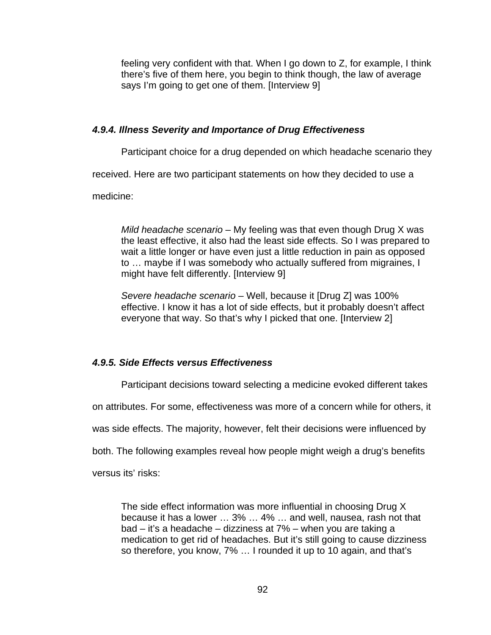feeling very confident with that. When I go down to Z, for example, I think there's five of them here, you begin to think though, the law of average says I'm going to get one of them. [Interview 9]

## *4.9.4. Illness Severity and Importance of Drug Effectiveness*

Participant choice for a drug depended on which headache scenario they

received. Here are two participant statements on how they decided to use a

medicine:

*Mild headache scenario* – My feeling was that even though Drug X was the least effective, it also had the least side effects. So I was prepared to wait a little longer or have even just a little reduction in pain as opposed to … maybe if I was somebody who actually suffered from migraines, I might have felt differently. [Interview 9]

*Severe headache scenario* – Well, because it [Drug Z] was 100% effective. I know it has a lot of side effects, but it probably doesn't affect everyone that way. So that's why I picked that one. [Interview 2]

# *4.9.5. Side Effects versus Effectiveness*

Participant decisions toward selecting a medicine evoked different takes

on attributes. For some, effectiveness was more of a concern while for others, it

was side effects. The majority, however, felt their decisions were influenced by

both. The following examples reveal how people might weigh a drug's benefits

versus its' risks:

The side effect information was more influential in choosing Drug X because it has a lower … 3% … 4% … and well, nausea, rash not that bad – it's a headache – dizziness at 7% – when you are taking a medication to get rid of headaches. But it's still going to cause dizziness so therefore, you know, 7% … I rounded it up to 10 again, and that's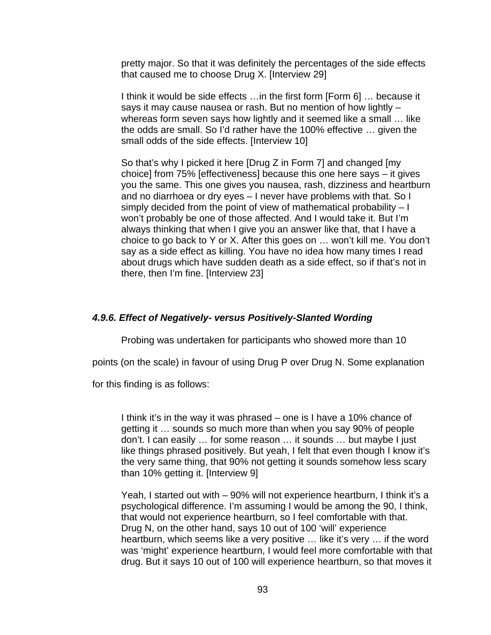pretty major. So that it was definitely the percentages of the side effects that caused me to choose Drug X. [Interview 29]

I think it would be side effects …in the first form [Form 6] … because it says it may cause nausea or rash. But no mention of how lightly – whereas form seven says how lightly and it seemed like a small ... like the odds are small. So I'd rather have the 100% effective … given the small odds of the side effects. [Interview 10]

So that's why I picked it here [Drug Z in Form 7] and changed [my choice] from 75% [effectiveness] because this one here says – it gives you the same. This one gives you nausea, rash, dizziness and heartburn and no diarrhoea or dry eyes – I never have problems with that. So I simply decided from the point of view of mathematical probability  $-1$ won't probably be one of those affected. And I would take it. But I'm always thinking that when I give you an answer like that, that I have a choice to go back to Y or X. After this goes on … won't kill me. You don't say as a side effect as killing. You have no idea how many times I read about drugs which have sudden death as a side effect, so if that's not in there, then I'm fine. [Interview 23]

## *4.9.6. Effect of Negatively- versus Positively-Slanted Wording*

Probing was undertaken for participants who showed more than 10

points (on the scale) in favour of using Drug P over Drug N. Some explanation

for this finding is as follows:

I think it's in the way it was phrased – one is I have a 10% chance of getting it … sounds so much more than when you say 90% of people don't. I can easily … for some reason … it sounds … but maybe I just like things phrased positively. But yeah, I felt that even though I know it's the very same thing, that 90% not getting it sounds somehow less scary than 10% getting it. [Interview 9]

Yeah, I started out with – 90% will not experience heartburn, I think it's a psychological difference. I'm assuming I would be among the 90, I think, that would not experience heartburn, so I feel comfortable with that. Drug N, on the other hand, says 10 out of 100 'will' experience heartburn, which seems like a very positive … like it's very … if the word was 'might' experience heartburn, I would feel more comfortable with that drug. But it says 10 out of 100 will experience heartburn, so that moves it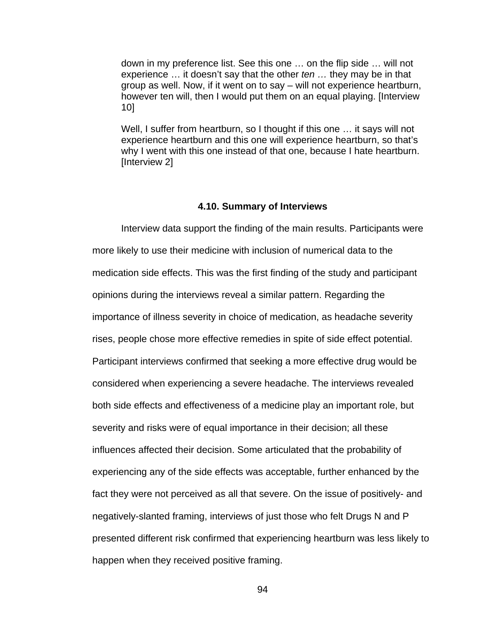down in my preference list. See this one … on the flip side … will not experience … it doesn't say that the other *ten …* they may be in that group as well. Now, if it went on to say – will not experience heartburn, however ten will, then I would put them on an equal playing. [Interview 10]

Well, I suffer from heartburn, so I thought if this one … it says will not experience heartburn and this one will experience heartburn, so that's why I went with this one instead of that one, because I hate heartburn. [Interview 2]

#### **4.10. Summary of Interviews**

 Interview data support the finding of the main results. Participants were more likely to use their medicine with inclusion of numerical data to the medication side effects. This was the first finding of the study and participant opinions during the interviews reveal a similar pattern. Regarding the importance of illness severity in choice of medication, as headache severity rises, people chose more effective remedies in spite of side effect potential. Participant interviews confirmed that seeking a more effective drug would be considered when experiencing a severe headache. The interviews revealed both side effects and effectiveness of a medicine play an important role, but severity and risks were of equal importance in their decision; all these influences affected their decision. Some articulated that the probability of experiencing any of the side effects was acceptable, further enhanced by the fact they were not perceived as all that severe. On the issue of positively- and negatively-slanted framing, interviews of just those who felt Drugs N and P presented different risk confirmed that experiencing heartburn was less likely to happen when they received positive framing.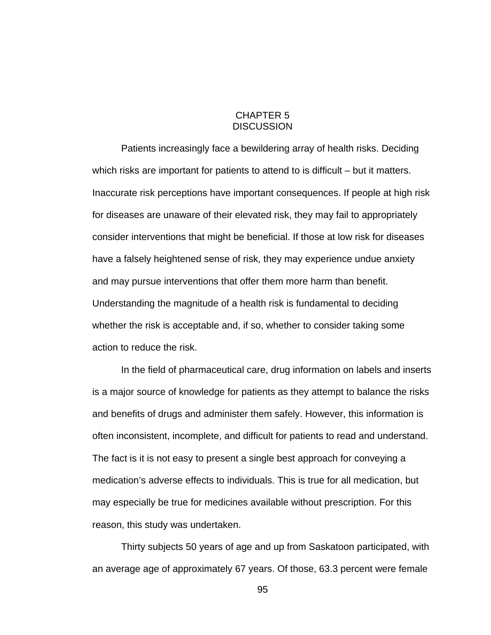### CHAPTER 5 **DISCUSSION**

Patients increasingly face a bewildering array of health risks. Deciding which risks are important for patients to attend to is difficult – but it matters. Inaccurate risk perceptions have important consequences. If people at high risk for diseases are unaware of their elevated risk, they may fail to appropriately consider interventions that might be beneficial. If those at low risk for diseases have a falsely heightened sense of risk, they may experience undue anxiety and may pursue interventions that offer them more harm than benefit. Understanding the magnitude of a health risk is fundamental to deciding whether the risk is acceptable and, if so, whether to consider taking some action to reduce the risk.

In the field of pharmaceutical care, drug information on labels and inserts is a major source of knowledge for patients as they attempt to balance the risks and benefits of drugs and administer them safely. However, this information is often inconsistent, incomplete, and difficult for patients to read and understand. The fact is it is not easy to present a single best approach for conveying a medication's adverse effects to individuals. This is true for all medication, but may especially be true for medicines available without prescription. For this reason, this study was undertaken.

Thirty subjects 50 years of age and up from Saskatoon participated, with an average age of approximately 67 years. Of those, 63.3 percent were female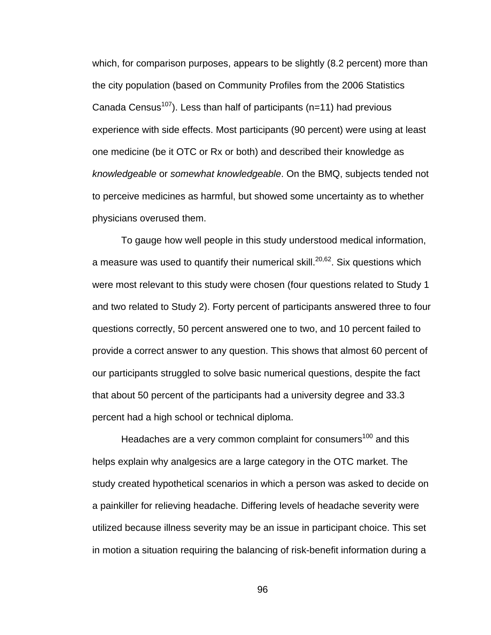which, for comparison purposes, appears to be slightly (8.2 percent) more than the city population (based on Community Profiles from the 2006 Statistics Canada Census<sup>107</sup>). Less than half of participants (n=11) had previous experience with side effects. Most participants (90 percent) were using at least one medicine (be it OTC or Rx or both) and described their knowledge as *knowledgeable* or *somewhat knowledgeable*. On the BMQ, subjects tended not to perceive medicines as harmful, but showed some uncertainty as to whether physicians overused them.

To gauge how well people in this study understood medical information, a measure was used to quantify their numerical skill.<sup>20,62</sup>. Six questions which were most relevant to this study were chosen (four questions related to Study 1 and two related to Study 2). Forty percent of participants answered three to four questions correctly, 50 percent answered one to two, and 10 percent failed to provide a correct answer to any question. This shows that almost 60 percent of our participants struggled to solve basic numerical questions, despite the fact that about 50 percent of the participants had a university degree and 33.3 percent had a high school or technical diploma.

Headaches are a very common complaint for consumers<sup>100</sup> and this helps explain why analgesics are a large category in the OTC market. The study created hypothetical scenarios in which a person was asked to decide on a painkiller for relieving headache. Differing levels of headache severity were utilized because illness severity may be an issue in participant choice. This set in motion a situation requiring the balancing of risk-benefit information during a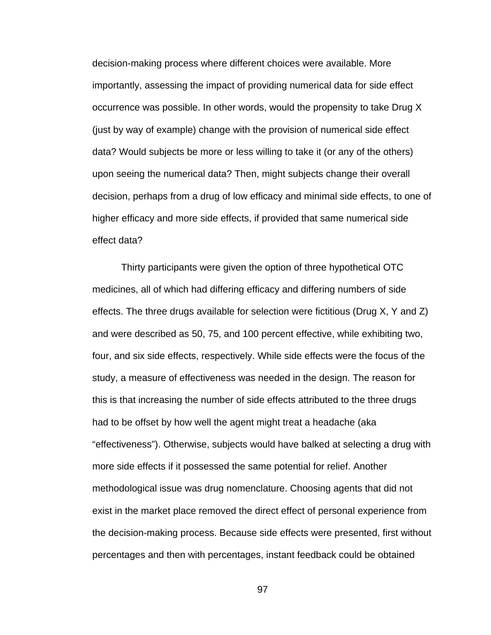decision-making process where different choices were available. More importantly, assessing the impact of providing numerical data for side effect occurrence was possible. In other words, would the propensity to take Drug X (just by way of example) change with the provision of numerical side effect data? Would subjects be more or less willing to take it (or any of the others) upon seeing the numerical data? Then, might subjects change their overall decision, perhaps from a drug of low efficacy and minimal side effects, to one of higher efficacy and more side effects, if provided that same numerical side effect data?

Thirty participants were given the option of three hypothetical OTC medicines, all of which had differing efficacy and differing numbers of side effects. The three drugs available for selection were fictitious (Drug X, Y and Z) and were described as 50, 75, and 100 percent effective, while exhibiting two, four, and six side effects, respectively. While side effects were the focus of the study, a measure of effectiveness was needed in the design. The reason for this is that increasing the number of side effects attributed to the three drugs had to be offset by how well the agent might treat a headache (aka "effectiveness"). Otherwise, subjects would have balked at selecting a drug with more side effects if it possessed the same potential for relief. Another methodological issue was drug nomenclature. Choosing agents that did not exist in the market place removed the direct effect of personal experience from the decision-making process. Because side effects were presented, first without percentages and then with percentages, instant feedback could be obtained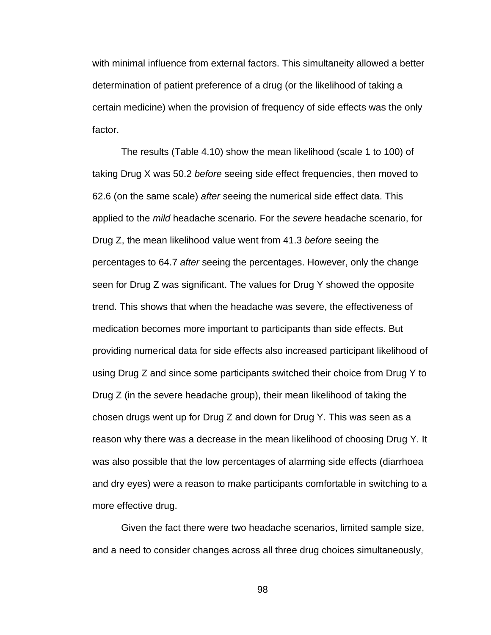with minimal influence from external factors. This simultaneity allowed a better determination of patient preference of a drug (or the likelihood of taking a certain medicine) when the provision of frequency of side effects was the only factor.

The results (Table 4.10) show the mean likelihood (scale 1 to 100) of taking Drug X was 50.2 *before* seeing side effect frequencies, then moved to 62.6 (on the same scale) *after* seeing the numerical side effect data. This applied to the *mild* headache scenario. For the *severe* headache scenario, for Drug Z, the mean likelihood value went from 41.3 *before* seeing the percentages to 64.7 *after* seeing the percentages. However, only the change seen for Drug Z was significant. The values for Drug Y showed the opposite trend. This shows that when the headache was severe, the effectiveness of medication becomes more important to participants than side effects. But providing numerical data for side effects also increased participant likelihood of using Drug Z and since some participants switched their choice from Drug Y to Drug Z (in the severe headache group), their mean likelihood of taking the chosen drugs went up for Drug Z and down for Drug Y. This was seen as a reason why there was a decrease in the mean likelihood of choosing Drug Y. It was also possible that the low percentages of alarming side effects (diarrhoea and dry eyes) were a reason to make participants comfortable in switching to a more effective drug.

Given the fact there were two headache scenarios, limited sample size, and a need to consider changes across all three drug choices simultaneously,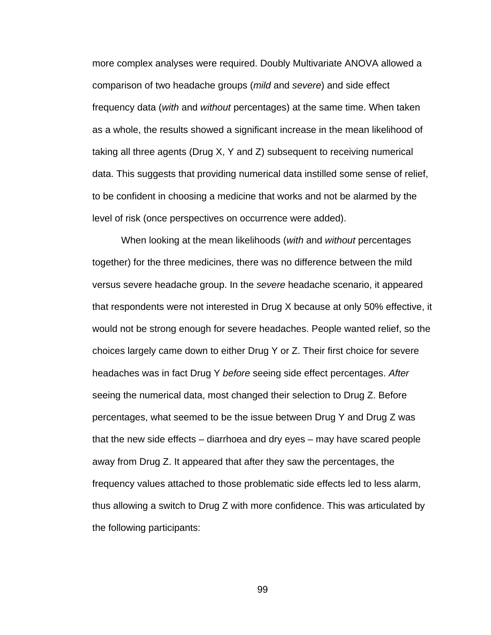more complex analyses were required. Doubly Multivariate ANOVA allowed a comparison of two headache groups (*mild* and *severe*) and side effect frequency data (*with* and *without* percentages) at the same time. When taken as a whole, the results showed a significant increase in the mean likelihood of taking all three agents (Drug X, Y and Z) subsequent to receiving numerical data. This suggests that providing numerical data instilled some sense of relief, to be confident in choosing a medicine that works and not be alarmed by the level of risk (once perspectives on occurrence were added).

When looking at the mean likelihoods (*with* and *without* percentages together) for the three medicines, there was no difference between the mild versus severe headache group. In the *severe* headache scenario, it appeared that respondents were not interested in Drug X because at only 50% effective, it would not be strong enough for severe headaches. People wanted relief, so the choices largely came down to either Drug Y or Z. Their first choice for severe headaches was in fact Drug Y *before* seeing side effect percentages. *After* seeing the numerical data, most changed their selection to Drug Z. Before percentages, what seemed to be the issue between Drug Y and Drug Z was that the new side effects – diarrhoea and dry eyes – may have scared people away from Drug Z. It appeared that after they saw the percentages, the frequency values attached to those problematic side effects led to less alarm, thus allowing a switch to Drug Z with more confidence. This was articulated by the following participants: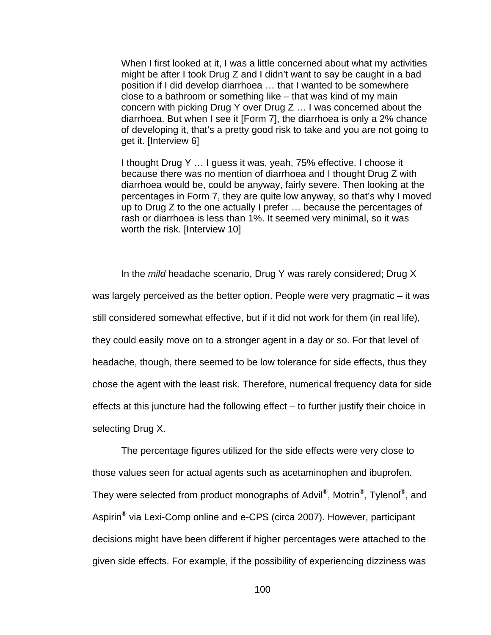When I first looked at it, I was a little concerned about what my activities might be after I took Drug Z and I didn't want to say be caught in a bad position if I did develop diarrhoea … that I wanted to be somewhere close to a bathroom or something like – that was kind of my main concern with picking Drug Y over Drug Z … I was concerned about the diarrhoea. But when I see it [Form 7], the diarrhoea is only a 2% chance of developing it, that's a pretty good risk to take and you are not going to get it. [Interview 6]

I thought Drug Y … I guess it was, yeah, 75% effective. I choose it because there was no mention of diarrhoea and I thought Drug Z with diarrhoea would be, could be anyway, fairly severe. Then looking at the percentages in Form 7, they are quite low anyway, so that's why I moved up to Drug Z to the one actually I prefer … because the percentages of rash or diarrhoea is less than 1%. It seemed very minimal, so it was worth the risk. [Interview 10]

In the *mild* headache scenario, Drug Y was rarely considered; Drug X was largely perceived as the better option. People were very pragmatic – it was still considered somewhat effective, but if it did not work for them (in real life), they could easily move on to a stronger agent in a day or so. For that level of headache, though, there seemed to be low tolerance for side effects, thus they chose the agent with the least risk. Therefore, numerical frequency data for side effects at this juncture had the following effect – to further justify their choice in selecting Drug X.

The percentage figures utilized for the side effects were very close to those values seen for actual agents such as acetaminophen and ibuprofen. They were selected from product monographs of Advil<sup>®</sup>, Motrin<sup>®</sup>, Tylenol<sup>®</sup>, and Aspirin® via Lexi-Comp online and e-CPS (circa 2007). However, participant decisions might have been different if higher percentages were attached to the given side effects. For example, if the possibility of experiencing dizziness was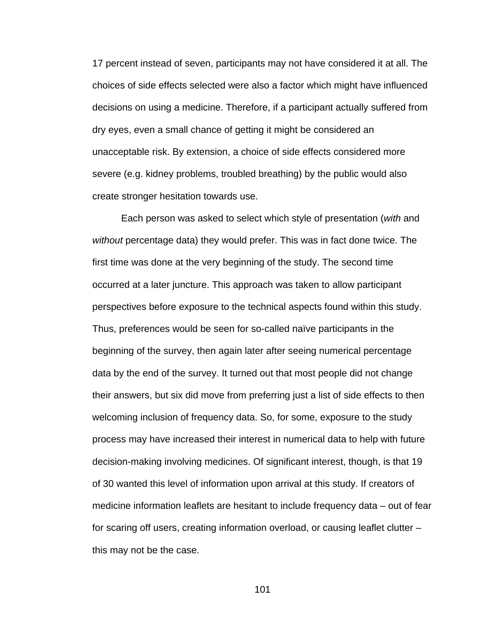17 percent instead of seven, participants may not have considered it at all. The choices of side effects selected were also a factor which might have influenced decisions on using a medicine. Therefore, if a participant actually suffered from dry eyes, even a small chance of getting it might be considered an unacceptable risk. By extension, a choice of side effects considered more severe (e.g. kidney problems, troubled breathing) by the public would also create stronger hesitation towards use.

Each person was asked to select which style of presentation (*with* and *without* percentage data) they would prefer. This was in fact done twice. The first time was done at the very beginning of the study. The second time occurred at a later juncture. This approach was taken to allow participant perspectives before exposure to the technical aspects found within this study. Thus, preferences would be seen for so-called naïve participants in the beginning of the survey, then again later after seeing numerical percentage data by the end of the survey. It turned out that most people did not change their answers, but six did move from preferring just a list of side effects to then welcoming inclusion of frequency data. So, for some, exposure to the study process may have increased their interest in numerical data to help with future decision-making involving medicines. Of significant interest, though, is that 19 of 30 wanted this level of information upon arrival at this study. If creators of medicine information leaflets are hesitant to include frequency data – out of fear for scaring off users, creating information overload, or causing leaflet clutter – this may not be the case.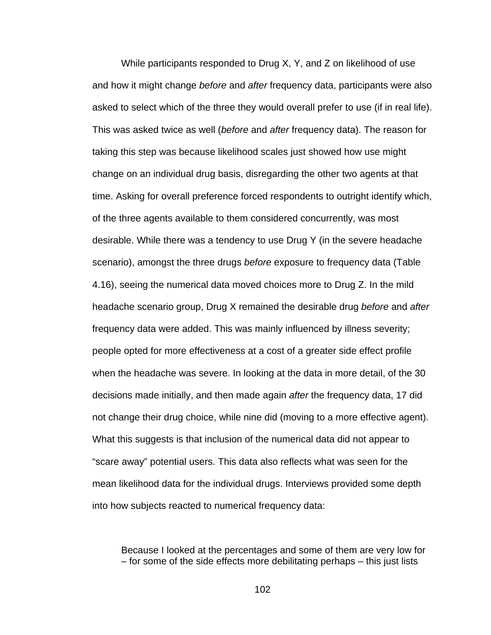While participants responded to Drug X, Y, and Z on likelihood of use and how it might change *before* and *after* frequency data, participants were also asked to select which of the three they would overall prefer to use (if in real life). This was asked twice as well (*before* and *after* frequency data). The reason for taking this step was because likelihood scales just showed how use might change on an individual drug basis, disregarding the other two agents at that time. Asking for overall preference forced respondents to outright identify which, of the three agents available to them considered concurrently, was most desirable. While there was a tendency to use Drug Y (in the severe headache scenario), amongst the three drugs *before* exposure to frequency data (Table 4.16), seeing the numerical data moved choices more to Drug Z. In the mild headache scenario group, Drug X remained the desirable drug *before* and *after* frequency data were added. This was mainly influenced by illness severity; people opted for more effectiveness at a cost of a greater side effect profile when the headache was severe. In looking at the data in more detail, of the 30 decisions made initially, and then made again *after* the frequency data, 17 did not change their drug choice, while nine did (moving to a more effective agent). What this suggests is that inclusion of the numerical data did not appear to "scare away" potential users. This data also reflects what was seen for the mean likelihood data for the individual drugs. Interviews provided some depth into how subjects reacted to numerical frequency data:

Because I looked at the percentages and some of them are very low for – for some of the side effects more debilitating perhaps – this just lists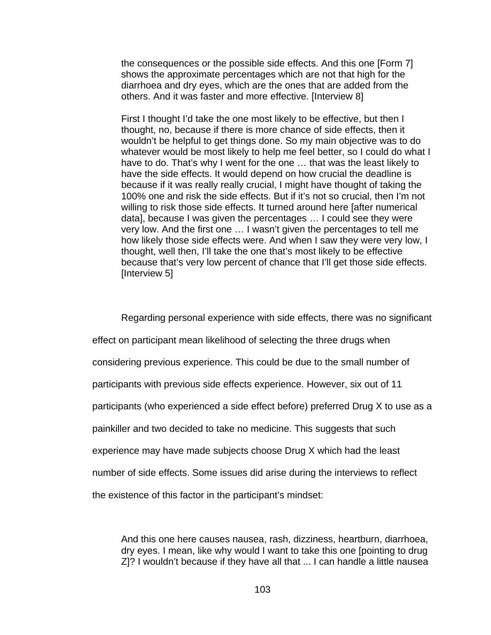the consequences or the possible side effects. And this one [Form 7] shows the approximate percentages which are not that high for the diarrhoea and dry eyes, which are the ones that are added from the others. And it was faster and more effective. [Interview 8]

First I thought I'd take the one most likely to be effective, but then I thought, no, because if there is more chance of side effects, then it wouldn't be helpful to get things done. So my main objective was to do whatever would be most likely to help me feel better, so I could do what I have to do. That's why I went for the one … that was the least likely to have the side effects. It would depend on how crucial the deadline is because if it was really really crucial, I might have thought of taking the 100% one and risk the side effects. But if it's not so crucial, then I'm not willing to risk those side effects. It turned around here [after numerical data], because I was given the percentages … I could see they were very low. And the first one … I wasn't given the percentages to tell me how likely those side effects were. And when I saw they were very low, I thought, well then, I'll take the one that's most likely to be effective because that's very low percent of chance that I'll get those side effects. [Interview 5]

Regarding personal experience with side effects, there was no significant effect on participant mean likelihood of selecting the three drugs when considering previous experience. This could be due to the small number of participants with previous side effects experience. However, six out of 11 participants (who experienced a side effect before) preferred Drug X to use as a painkiller and two decided to take no medicine. This suggests that such experience may have made subjects choose Drug X which had the least number of side effects. Some issues did arise during the interviews to reflect the existence of this factor in the participant's mindset:

And this one here causes nausea, rash, dizziness, heartburn, diarrhoea, dry eyes. I mean, like why would I want to take this one [pointing to drug Z]? I wouldn't because if they have all that ... I can handle a little nausea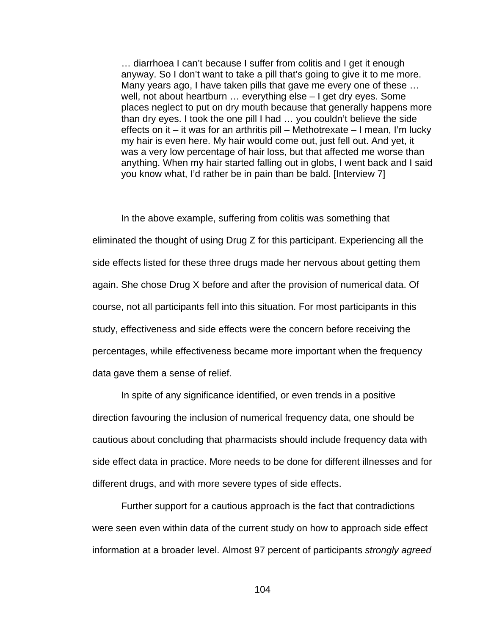… diarrhoea I can't because I suffer from colitis and I get it enough anyway. So I don't want to take a pill that's going to give it to me more. Many years ago, I have taken pills that gave me every one of these … well, not about heartburn … everything else – I get dry eyes. Some places neglect to put on dry mouth because that generally happens more than dry eyes. I took the one pill I had … you couldn't believe the side effects on it – it was for an arthritis pill – Methotrexate – I mean, I'm lucky my hair is even here. My hair would come out, just fell out. And yet, it was a very low percentage of hair loss, but that affected me worse than anything. When my hair started falling out in globs, I went back and I said you know what, I'd rather be in pain than be bald. [Interview 7]

In the above example, suffering from colitis was something that eliminated the thought of using Drug Z for this participant. Experiencing all the side effects listed for these three drugs made her nervous about getting them again. She chose Drug X before and after the provision of numerical data. Of course, not all participants fell into this situation. For most participants in this study, effectiveness and side effects were the concern before receiving the percentages, while effectiveness became more important when the frequency data gave them a sense of relief.

In spite of any significance identified, or even trends in a positive direction favouring the inclusion of numerical frequency data, one should be cautious about concluding that pharmacists should include frequency data with side effect data in practice. More needs to be done for different illnesses and for different drugs, and with more severe types of side effects.

Further support for a cautious approach is the fact that contradictions were seen even within data of the current study on how to approach side effect information at a broader level. Almost 97 percent of participants *strongly agreed*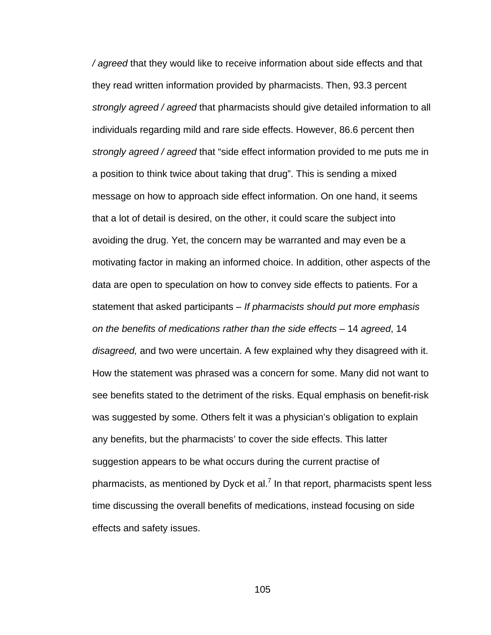*/ agreed* that they would like to receive information about side effects and that they read written information provided by pharmacists. Then, 93.3 percent *strongly agreed / agreed* that pharmacists should give detailed information to all individuals regarding mild and rare side effects. However, 86.6 percent then *strongly agreed / agreed* that "side effect information provided to me puts me in a position to think twice about taking that drug". This is sending a mixed message on how to approach side effect information. On one hand, it seems that a lot of detail is desired, on the other, it could scare the subject into avoiding the drug. Yet, the concern may be warranted and may even be a motivating factor in making an informed choice. In addition, other aspects of the data are open to speculation on how to convey side effects to patients. For a statement that asked participants – *If pharmacists should put more emphasis on the benefits of medications rather than the side effects –* 14 *agreed*, 14 *disagreed,* and two were uncertain. A few explained why they disagreed with it. How the statement was phrased was a concern for some. Many did not want to see benefits stated to the detriment of the risks. Equal emphasis on benefit-risk was suggested by some. Others felt it was a physician's obligation to explain any benefits, but the pharmacists' to cover the side effects. This latter suggestion appears to be what occurs during the current practise of pharmacists, as mentioned by Dyck et al.<sup>7</sup> In that report, pharmacists spent less time discussing the overall benefits of medications, instead focusing on side effects and safety issues.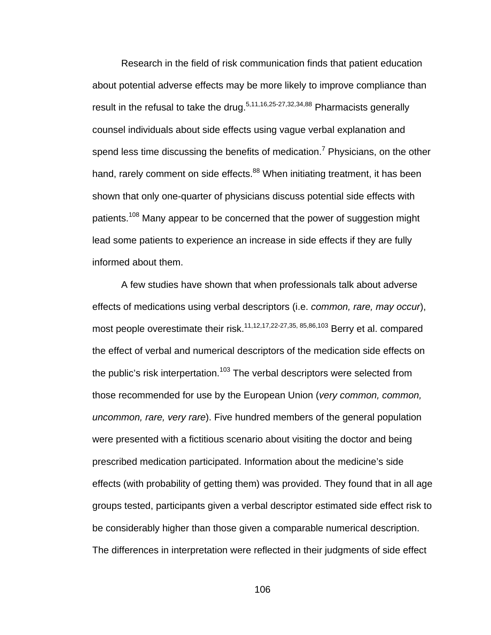Research in the field of risk communication finds that patient education about potential adverse effects may be more likely to improve compliance than result in the refusal to take the drug.<sup>5,11,16,25-27,32,34,88</sup> Pharmacists generally counsel individuals about side effects using vague verbal explanation and spend less time discussing the benefits of medication.<sup>7</sup> Physicians, on the other hand, rarely comment on side effects.<sup>88</sup> When initiating treatment, it has been shown that only one-quarter of physicians discuss potential side effects with patients.108 Many appear to be concerned that the power of suggestion might lead some patients to experience an increase in side effects if they are fully informed about them.

A few studies have shown that when professionals talk about adverse effects of medications using verbal descriptors (i.e. *common, rare, may occur*), most people overestimate their risk.<sup>11,12,17,22-27,35, 85,86,103</sup> Berry et al. compared the effect of verbal and numerical descriptors of the medication side effects on the public's risk interpertation.<sup>103</sup> The verbal descriptors were selected from those recommended for use by the European Union (*very common, common, uncommon, rare, very rare*). Five hundred members of the general population were presented with a fictitious scenario about visiting the doctor and being prescribed medication participated. Information about the medicine's side effects (with probability of getting them) was provided. They found that in all age groups tested, participants given a verbal descriptor estimated side effect risk to be considerably higher than those given a comparable numerical description. The differences in interpretation were reflected in their judgments of side effect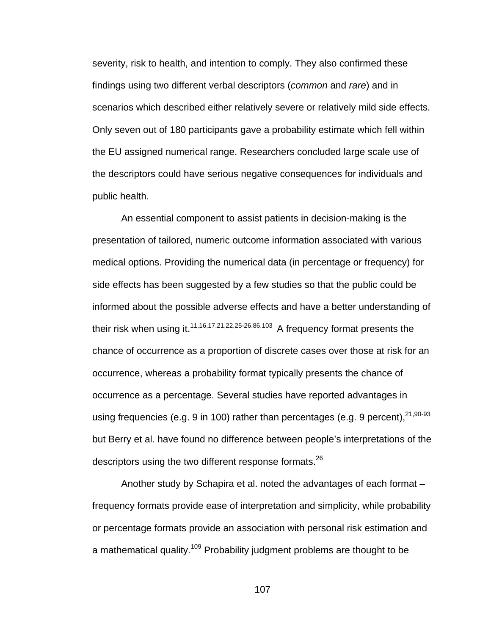severity, risk to health, and intention to comply. They also confirmed these findings using two different verbal descriptors (*common* and *rare*) and in scenarios which described either relatively severe or relatively mild side effects. Only seven out of 180 participants gave a probability estimate which fell within the EU assigned numerical range. Researchers concluded large scale use of the descriptors could have serious negative consequences for individuals and public health.

An essential component to assist patients in decision-making is the presentation of tailored, numeric outcome information associated with various medical options. Providing the numerical data (in percentage or frequency) for side effects has been suggested by a few studies so that the public could be informed about the possible adverse effects and have a better understanding of their risk when using it.<sup>11,16,17,21,22,25-26,86,103</sup> A frequency format presents the chance of occurrence as a proportion of discrete cases over those at risk for an occurrence, whereas a probability format typically presents the chance of occurrence as a percentage. Several studies have reported advantages in using frequencies (e.g. 9 in 100) rather than percentages (e.g. 9 percent),  $21,90-93$ but Berry et al. have found no difference between people's interpretations of the descriptors using the two different response formats.<sup>26</sup>

Another study by Schapira et al. noted the advantages of each format *–* frequency formats provide ease of interpretation and simplicity, while probability or percentage formats provide an association with personal risk estimation and a mathematical quality.<sup>109</sup> Probability judgment problems are thought to be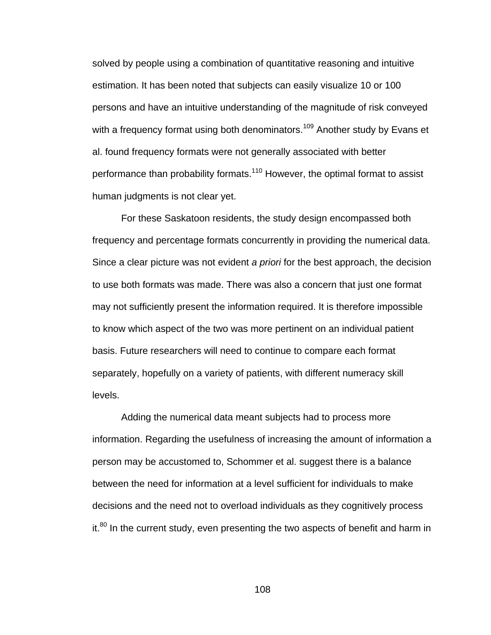solved by people using a combination of quantitative reasoning and intuitive estimation. It has been noted that subjects can easily visualize 10 or 100 persons and have an intuitive understanding of the magnitude of risk conveyed with a frequency format using both denominators.<sup>109</sup> Another study by Evans et al. found frequency formats were not generally associated with better performance than probability formats.<sup>110</sup> However, the optimal format to assist human judgments is not clear yet.

For these Saskatoon residents, the study design encompassed both frequency and percentage formats concurrently in providing the numerical data. Since a clear picture was not evident *a priori* for the best approach, the decision to use both formats was made. There was also a concern that just one format may not sufficiently present the information required. It is therefore impossible to know which aspect of the two was more pertinent on an individual patient basis. Future researchers will need to continue to compare each format separately, hopefully on a variety of patients, with different numeracy skill levels.

Adding the numerical data meant subjects had to process more information. Regarding the usefulness of increasing the amount of information a person may be accustomed to, Schommer et al. suggest there is a balance between the need for information at a level sufficient for individuals to make decisions and the need not to overload individuals as they cognitively process  $it.^{80}$  In the current study, even presenting the two aspects of benefit and harm in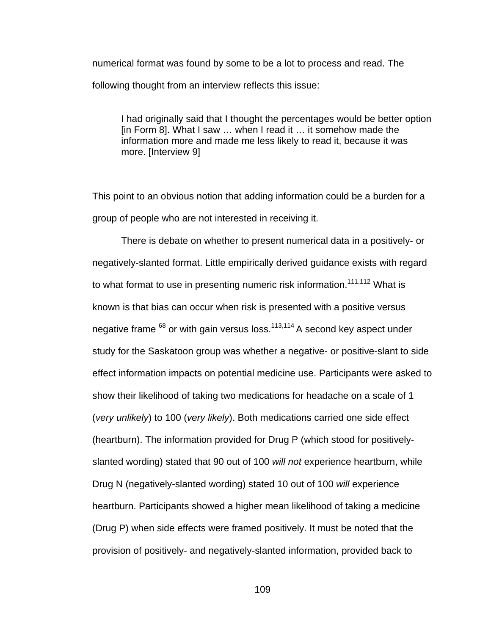numerical format was found by some to be a lot to process and read. The following thought from an interview reflects this issue:

I had originally said that I thought the percentages would be better option [in Form 8]. What I saw … when I read it … it somehow made the information more and made me less likely to read it, because it was more. [Interview 9]

This point to an obvious notion that adding information could be a burden for a group of people who are not interested in receiving it.

There is debate on whether to present numerical data in a positively- or negatively-slanted format. Little empirically derived guidance exists with regard to what format to use in presenting numeric risk information.<sup>111,112</sup> What is known is that bias can occur when risk is presented with a positive versus negative frame  $68$  or with gain versus loss.<sup>113,114</sup> A second key aspect under study for the Saskatoon group was whether a negative- or positive-slant to side effect information impacts on potential medicine use. Participants were asked to show their likelihood of taking two medications for headache on a scale of 1 (*very unlikely*) to 100 (*very likely*). Both medications carried one side effect (heartburn). The information provided for Drug P (which stood for positivelyslanted wording) stated that 90 out of 100 *will not* experience heartburn, while Drug N (negatively-slanted wording) stated 10 out of 100 *will* experience heartburn. Participants showed a higher mean likelihood of taking a medicine (Drug P) when side effects were framed positively. It must be noted that the provision of positively- and negatively-slanted information, provided back to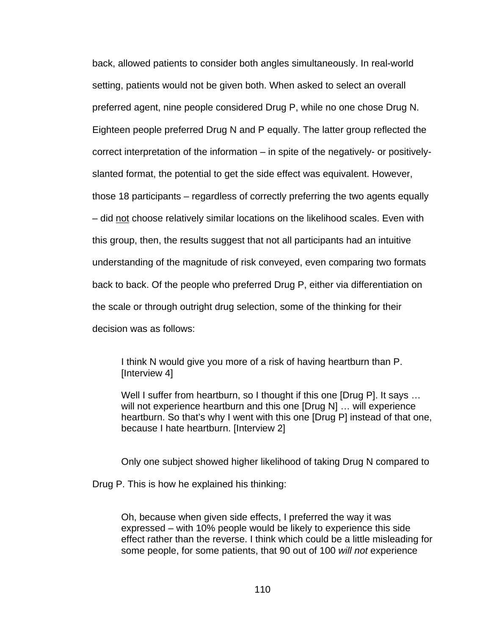back, allowed patients to consider both angles simultaneously. In real-world setting, patients would not be given both. When asked to select an overall preferred agent, nine people considered Drug P, while no one chose Drug N. Eighteen people preferred Drug N and P equally. The latter group reflected the correct interpretation of the information – in spite of the negatively- or positivelyslanted format, the potential to get the side effect was equivalent. However, those 18 participants – regardless of correctly preferring the two agents equally – did not choose relatively similar locations on the likelihood scales. Even with this group, then, the results suggest that not all participants had an intuitive understanding of the magnitude of risk conveyed, even comparing two formats back to back. Of the people who preferred Drug P, either via differentiation on the scale or through outright drug selection, some of the thinking for their decision was as follows:

I think N would give you more of a risk of having heartburn than P. [Interview 4]

Well I suffer from heartburn, so I thought if this one [Drug P]. It says ... will not experience heartburn and this one [Drug N] ... will experience heartburn. So that's why I went with this one [Drug P] instead of that one, because I hate heartburn. [Interview 2]

Only one subject showed higher likelihood of taking Drug N compared to

Drug P. This is how he explained his thinking:

Oh, because when given side effects, I preferred the way it was expressed – with 10% people would be likely to experience this side effect rather than the reverse. I think which could be a little misleading for some people, for some patients, that 90 out of 100 *will not* experience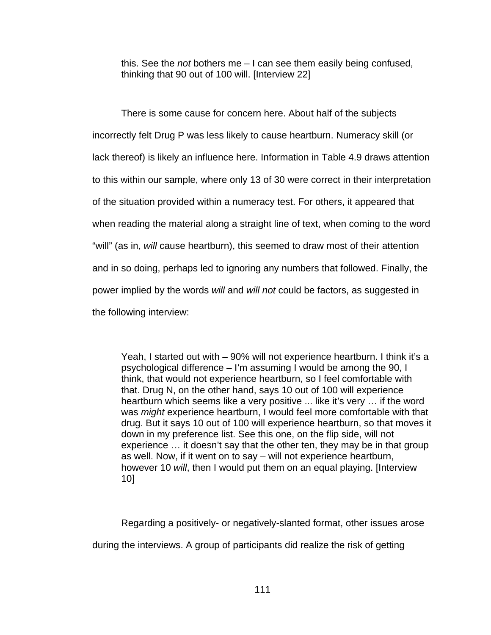this. See the *not* bothers me – I can see them easily being confused, thinking that 90 out of 100 will. [Interview 22]

There is some cause for concern here. About half of the subjects incorrectly felt Drug P was less likely to cause heartburn. Numeracy skill (or lack thereof) is likely an influence here. Information in Table 4.9 draws attention to this within our sample, where only 13 of 30 were correct in their interpretation of the situation provided within a numeracy test. For others, it appeared that when reading the material along a straight line of text, when coming to the word "will" (as in, *will* cause heartburn), this seemed to draw most of their attention and in so doing, perhaps led to ignoring any numbers that followed. Finally, the power implied by the words *will* and *will not* could be factors, as suggested in the following interview:

Yeah, I started out with – 90% will not experience heartburn. I think it's a psychological difference – I'm assuming I would be among the 90, I think, that would not experience heartburn, so I feel comfortable with that. Drug N, on the other hand, says 10 out of 100 will experience heartburn which seems like a very positive ... like it's very ... if the word was *might* experience heartburn, I would feel more comfortable with that drug. But it says 10 out of 100 will experience heartburn, so that moves it down in my preference list. See this one, on the flip side, will not experience … it doesn't say that the other ten, they may be in that group as well. Now, if it went on to say – will not experience heartburn, however 10 *will*, then I would put them on an equal playing. [Interview 10]

Regarding a positively- or negatively-slanted format, other issues arose

during the interviews. A group of participants did realize the risk of getting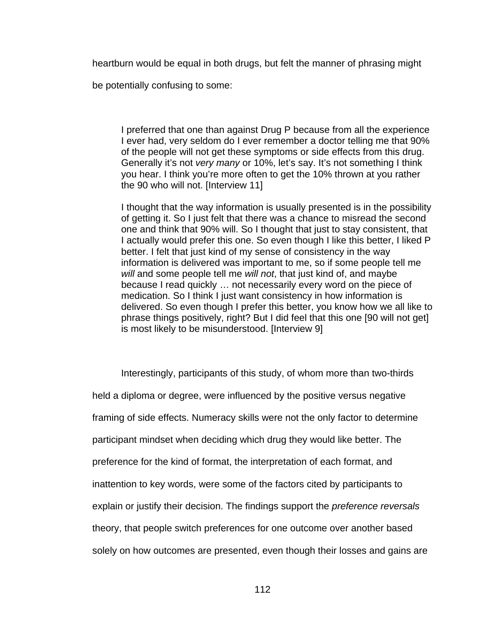heartburn would be equal in both drugs, but felt the manner of phrasing might

be potentially confusing to some:

I preferred that one than against Drug P because from all the experience I ever had, very seldom do I ever remember a doctor telling me that 90% of the people will not get these symptoms or side effects from this drug. Generally it's not *very many* or 10%, let's say. It's not something I think you hear. I think you're more often to get the 10% thrown at you rather the 90 who will not. [Interview 11]

I thought that the way information is usually presented is in the possibility of getting it. So I just felt that there was a chance to misread the second one and think that 90% will. So I thought that just to stay consistent, that I actually would prefer this one. So even though I like this better, I liked P better. I felt that just kind of my sense of consistency in the way information is delivered was important to me, so if some people tell me *will* and some people tell me *will not*, that just kind of, and maybe because I read quickly … not necessarily every word on the piece of medication. So I think I just want consistency in how information is delivered. So even though I prefer this better, you know how we all like to phrase things positively, right? But I did feel that this one [90 will not get] is most likely to be misunderstood. [Interview 9]

 Interestingly, participants of this study, of whom more than two-thirds held a diploma or degree, were influenced by the positive versus negative framing of side effects. Numeracy skills were not the only factor to determine participant mindset when deciding which drug they would like better. The preference for the kind of format, the interpretation of each format, and inattention to key words, were some of the factors cited by participants to explain or justify their decision. The findings support the *preference reversals* theory, that people switch preferences for one outcome over another based solely on how outcomes are presented, even though their losses and gains are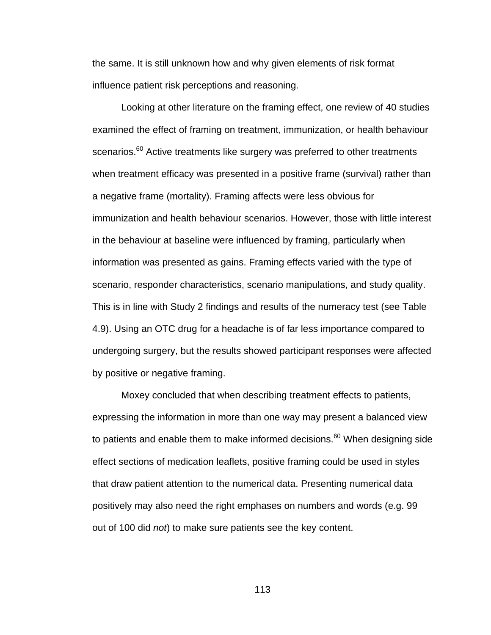the same. It is still unknown how and why given elements of risk format influence patient risk perceptions and reasoning.

 Looking at other literature on the framing effect, one review of 40 studies examined the effect of framing on treatment, immunization, or health behaviour scenarios.<sup>60</sup> Active treatments like surgery was preferred to other treatments when treatment efficacy was presented in a positive frame (survival) rather than a negative frame (mortality). Framing affects were less obvious for immunization and health behaviour scenarios. However, those with little interest in the behaviour at baseline were influenced by framing, particularly when information was presented as gains. Framing effects varied with the type of scenario, responder characteristics, scenario manipulations, and study quality. This is in line with Study 2 findings and results of the numeracy test (see Table 4.9). Using an OTC drug for a headache is of far less importance compared to undergoing surgery, but the results showed participant responses were affected by positive or negative framing.

 Moxey concluded that when describing treatment effects to patients, expressing the information in more than one way may present a balanced view to patients and enable them to make informed decisions. $60$  When designing side effect sections of medication leaflets, positive framing could be used in styles that draw patient attention to the numerical data. Presenting numerical data positively may also need the right emphases on numbers and words (e.g. 99 out of 100 did *not*) to make sure patients see the key content.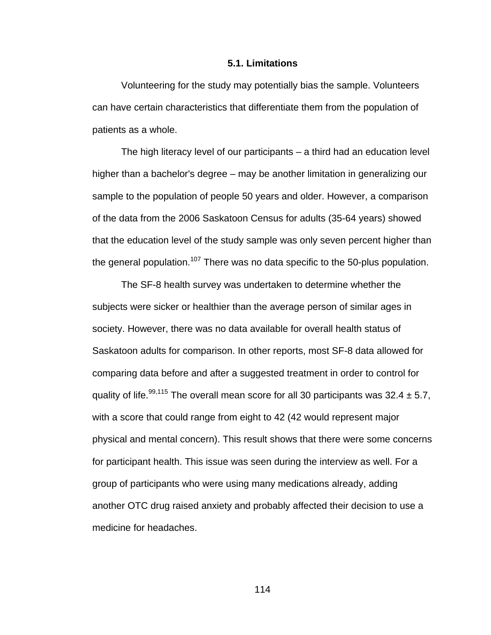#### **5.1. Limitations**

 Volunteering for the study may potentially bias the sample. Volunteers can have certain characteristics that differentiate them from the population of patients as a whole.

The high literacy level of our participants – a third had an education level higher than a bachelor's degree – may be another limitation in generalizing our sample to the population of people 50 years and older. However, a comparison of the data from the 2006 Saskatoon Census for adults (35-64 years) showed that the education level of the study sample was only seven percent higher than the general population.<sup>107</sup> There was no data specific to the 50-plus population.

 The SF-8 health survey was undertaken to determine whether the subjects were sicker or healthier than the average person of similar ages in society. However, there was no data available for overall health status of Saskatoon adults for comparison. In other reports, most SF-8 data allowed for comparing data before and after a suggested treatment in order to control for quality of life.<sup>99,115</sup> The overall mean score for all 30 participants was 32.4  $\pm$  5.7, with a score that could range from eight to 42 (42 would represent major physical and mental concern). This result shows that there were some concerns for participant health. This issue was seen during the interview as well. For a group of participants who were using many medications already, adding another OTC drug raised anxiety and probably affected their decision to use a medicine for headaches.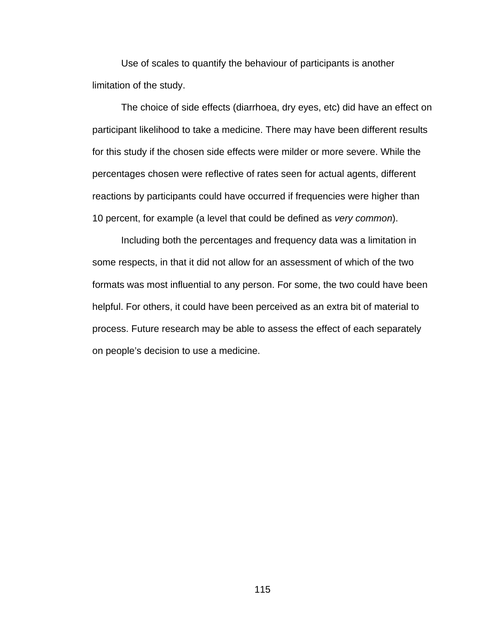Use of scales to quantify the behaviour of participants is another limitation of the study.

 The choice of side effects (diarrhoea, dry eyes, etc) did have an effect on participant likelihood to take a medicine. There may have been different results for this study if the chosen side effects were milder or more severe. While the percentages chosen were reflective of rates seen for actual agents, different reactions by participants could have occurred if frequencies were higher than 10 percent, for example (a level that could be defined as *very common*).

 Including both the percentages and frequency data was a limitation in some respects, in that it did not allow for an assessment of which of the two formats was most influential to any person. For some, the two could have been helpful. For others, it could have been perceived as an extra bit of material to process. Future research may be able to assess the effect of each separately on people's decision to use a medicine.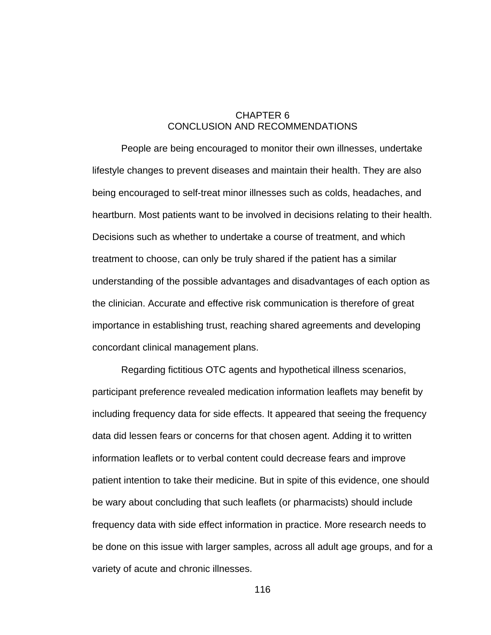### CHAPTER 6 CONCLUSION AND RECOMMENDATIONS

People are being encouraged to monitor their own illnesses, undertake lifestyle changes to prevent diseases and maintain their health. They are also being encouraged to self-treat minor illnesses such as colds, headaches, and heartburn. Most patients want to be involved in decisions relating to their health. Decisions such as whether to undertake a course of treatment, and which treatment to choose, can only be truly shared if the patient has a similar understanding of the possible advantages and disadvantages of each option as the clinician. Accurate and effective risk communication is therefore of great importance in establishing trust, reaching shared agreements and developing concordant clinical management plans.

Regarding fictitious OTC agents and hypothetical illness scenarios, participant preference revealed medication information leaflets may benefit by including frequency data for side effects. It appeared that seeing the frequency data did lessen fears or concerns for that chosen agent. Adding it to written information leaflets or to verbal content could decrease fears and improve patient intention to take their medicine. But in spite of this evidence, one should be wary about concluding that such leaflets (or pharmacists) should include frequency data with side effect information in practice. More research needs to be done on this issue with larger samples, across all adult age groups, and for a variety of acute and chronic illnesses.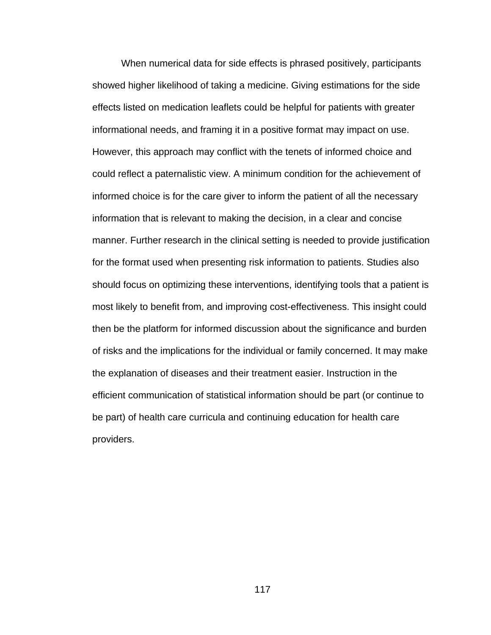When numerical data for side effects is phrased positively, participants showed higher likelihood of taking a medicine. Giving estimations for the side effects listed on medication leaflets could be helpful for patients with greater informational needs, and framing it in a positive format may impact on use. However, this approach may conflict with the tenets of informed choice and could reflect a paternalistic view. A minimum condition for the achievement of informed choice is for the care giver to inform the patient of all the necessary information that is relevant to making the decision, in a clear and concise manner. Further research in the clinical setting is needed to provide justification for the format used when presenting risk information to patients. Studies also should focus on optimizing these interventions, identifying tools that a patient is most likely to benefit from, and improving cost-effectiveness. This insight could then be the platform for informed discussion about the significance and burden of risks and the implications for the individual or family concerned. It may make the explanation of diseases and their treatment easier. Instruction in the efficient communication of statistical information should be part (or continue to be part) of health care curricula and continuing education for health care providers.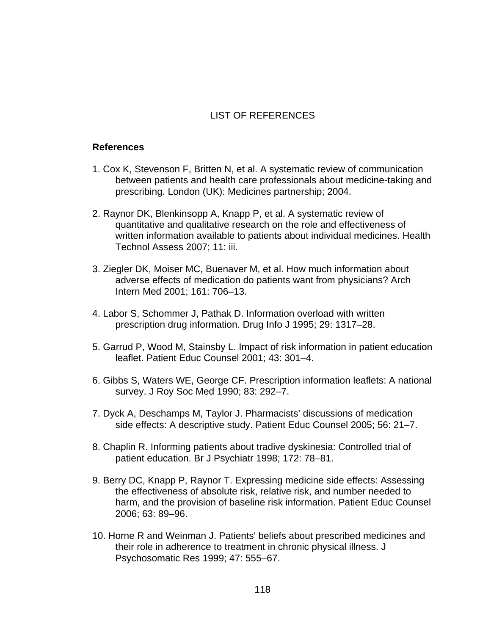## LIST OF REFERENCES

#### **References**

- 1. Cox K, Stevenson F, Britten N, et al. A systematic review of communication between patients and health care professionals about medicine-taking and prescribing. London (UK): Medicines partnership; 2004.
- 2. Raynor DK, Blenkinsopp A, Knapp P, et al. A systematic review of quantitative and qualitative research on the role and effectiveness of written information available to patients about individual medicines. Health Technol Assess 2007; 11: iii.
- 3. Ziegler DK, Moiser MC, Buenaver M, et al. How much information about adverse effects of medication do patients want from physicians? Arch Intern Med 2001; 161: 706–13.
- 4. Labor S, Schommer J, Pathak D. Information overload with written prescription drug information. Drug Info J 1995; 29: 1317–28.
- 5. Garrud P, Wood M, Stainsby L. Impact of risk information in patient education leaflet. Patient Educ Counsel 2001; 43: 301–4.
- 6. Gibbs S, Waters WE, George CF. Prescription information leaflets: A national survey. J Roy Soc Med 1990; 83: 292–7.
- 7. Dyck A, Deschamps M, Taylor J. Pharmacists' discussions of medication side effects: A descriptive study. Patient Educ Counsel 2005; 56: 21–7.
- 8. Chaplin R. Informing patients about tradive dyskinesia: Controlled trial of patient education. Br J Psychiatr 1998; 172: 78–81.
- 9. Berry DC, Knapp P, Raynor T. Expressing medicine side effects: Assessing the effectiveness of absolute risk, relative risk, and number needed to harm, and the provision of baseline risk information. Patient Educ Counsel 2006; 63: 89–96.
- 10. Horne R and Weinman J. Patients' beliefs about prescribed medicines and their role in adherence to treatment in chronic physical illness. J Psychosomatic Res 1999; 47: 555–67.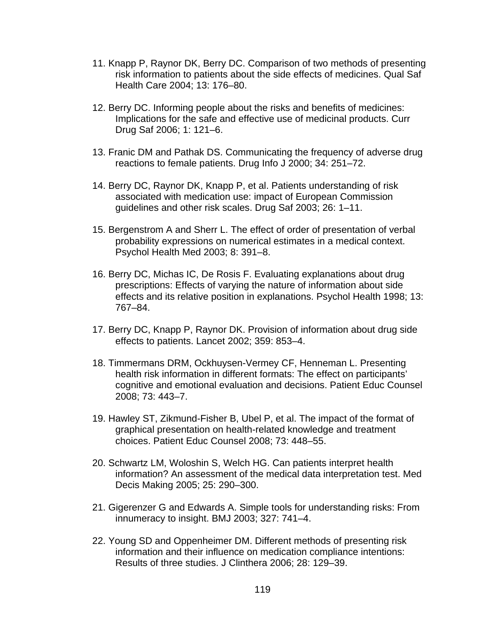- 11. Knapp P, Raynor DK, Berry DC. Comparison of two methods of presenting risk information to patients about the side effects of medicines. Qual Saf Health Care 2004; 13: 176–80.
- 12. Berry DC. Informing people about the risks and benefits of medicines: Implications for the safe and effective use of medicinal products. Curr Drug Saf 2006; 1: 121–6.
- 13. Franic DM and Pathak DS. Communicating the frequency of adverse drug reactions to female patients. Drug Info J 2000; 34: 251–72.
- 14. Berry DC, Raynor DK, Knapp P, et al. Patients understanding of risk associated with medication use: impact of European Commission guidelines and other risk scales. Drug Saf 2003; 26: 1–11.
- 15. Bergenstrom A and Sherr L. The effect of order of presentation of verbal probability expressions on numerical estimates in a medical context. Psychol Health Med 2003; 8: 391–8.
- 16. Berry DC, Michas IC, De Rosis F. Evaluating explanations about drug prescriptions: Effects of varying the nature of information about side effects and its relative position in explanations. Psychol Health 1998; 13: 767–84.
- 17. Berry DC, Knapp P, Raynor DK. Provision of information about drug side effects to patients. Lancet 2002; 359: 853–4.
- 18. Timmermans DRM, Ockhuysen-Vermey CF, Henneman L. Presenting health risk information in different formats: The effect on participants' cognitive and emotional evaluation and decisions. Patient Educ Counsel 2008; 73: 443–7.
- 19. Hawley ST, Zikmund-Fisher B, Ubel P, et al. The impact of the format of graphical presentation on health-related knowledge and treatment choices. Patient Educ Counsel 2008; 73: 448–55.
- 20. Schwartz LM, Woloshin S, Welch HG. Can patients interpret health information? An assessment of the medical data interpretation test. Med Decis Making 2005; 25: 290–300.
- 21. Gigerenzer G and Edwards A. Simple tools for understanding risks: From innumeracy to insight. BMJ 2003; 327: 741–4.
- 22. Young SD and Oppenheimer DM. Different methods of presenting risk information and their influence on medication compliance intentions: Results of three studies. J Clinthera 2006; 28: 129–39.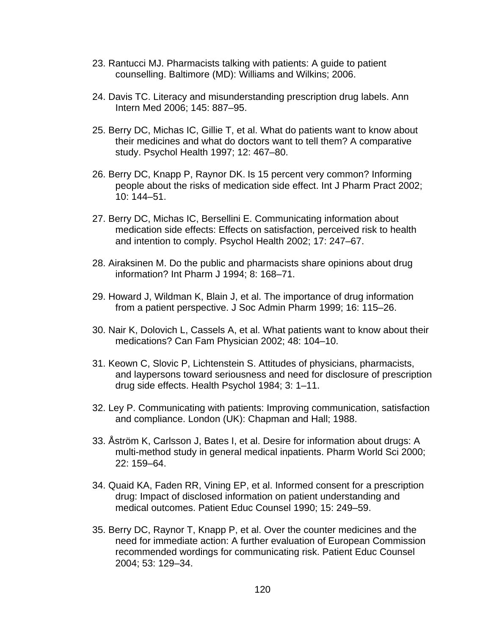- 23. Rantucci MJ. Pharmacists talking with patients: A guide to patient counselling. Baltimore (MD): Williams and Wilkins; 2006.
- 24. Davis TC. Literacy and misunderstanding prescription drug labels. Ann Intern Med 2006; 145: 887–95.
- 25. Berry DC, Michas IC, Gillie T, et al. What do patients want to know about their medicines and what do doctors want to tell them? A comparative study. Psychol Health 1997; 12: 467–80.
- 26. Berry DC, Knapp P, Raynor DK. Is 15 percent very common? Informing people about the risks of medication side effect. Int J Pharm Pract 2002; 10: 144–51.
- 27. Berry DC, Michas IC, Bersellini E. Communicating information about medication side effects: Effects on satisfaction, perceived risk to health and intention to comply. Psychol Health 2002; 17: 247–67.
- 28. Airaksinen M. Do the public and pharmacists share opinions about drug information? Int Pharm J 1994; 8: 168–71.
- 29. Howard J, Wildman K, Blain J, et al. The importance of drug information from a patient perspective. J Soc Admin Pharm 1999; 16: 115–26.
- 30. Nair K, Dolovich L, Cassels A, et al. What patients want to know about their medications? Can Fam Physician 2002; 48: 104–10.
- 31. Keown C, Slovic P, Lichtenstein S. Attitudes of physicians, pharmacists, and laypersons toward seriousness and need for disclosure of prescription drug side effects. Health Psychol 1984; 3: 1–11.
- 32. Ley P. Communicating with patients: Improving communication, satisfaction and compliance. London (UK): Chapman and Hall; 1988.
- 33. Åström K, Carlsson J, Bates I, et al. Desire for information about drugs: A multi-method study in general medical inpatients. Pharm World Sci 2000; 22: 159–64.
- 34. Quaid KA, Faden RR, Vining EP, et al. Informed consent for a prescription drug: Impact of disclosed information on patient understanding and medical outcomes. Patient Educ Counsel 1990; 15: 249–59.
- 35. Berry DC, Raynor T, Knapp P, et al. Over the counter medicines and the need for immediate action: A further evaluation of European Commission recommended wordings for communicating risk. Patient Educ Counsel 2004; 53: 129–34.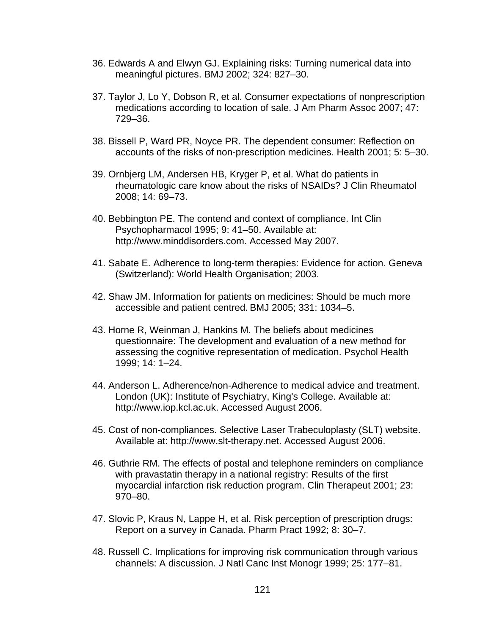- 36. Edwards A and Elwyn GJ. Explaining risks: Turning numerical data into meaningful pictures. BMJ 2002; 324: 827–30.
- 37. Taylor J, Lo Y, Dobson R, et al. Consumer expectations of nonprescription medications according to location of sale. J Am Pharm Assoc 2007; 47: 729–36.
- 38. Bissell P, Ward PR, Noyce PR. The dependent consumer: Reflection on accounts of the risks of non-prescription medicines. Health 2001; 5: 5–30.
- 39. Ornbjerg LM, Andersen HB, Kryger P, et al. What do patients in rheumatologic care know about the risks of NSAIDs? J Clin Rheumatol 2008; 14: 69–73.
- 40. Bebbington PE. The contend and context of compliance. Int Clin Psychopharmacol 1995; 9: 41–50. Available at: http://www.minddisorders.com. Accessed May 2007.
- 41. Sabate E. Adherence to long-term therapies: Evidence for action. Geneva (Switzerland): World Health Organisation; 2003.
- 42. Shaw JM. Information for patients on medicines: Should be much more accessible and patient centred. BMJ 2005; 331: 1034–5.
- 43. Horne R, Weinman J, Hankins M. The beliefs about medicines questionnaire: The development and evaluation of a new method for assessing the cognitive representation of medication. Psychol Health 1999; 14: 1–24.
- 44. Anderson L. Adherence/non-Adherence to medical advice and treatment. London (UK): Institute of Psychiatry, King's College. Available at: http://www.iop.kcl.ac.uk. Accessed August 2006.
- 45. Cost of non-compliances. Selective Laser Trabeculoplasty (SLT) website. Available at: http://www.slt-therapy.net. Accessed August 2006.
- 46. Guthrie RM. The effects of postal and telephone reminders on compliance with pravastatin therapy in a national registry: Results of the first myocardial infarction risk reduction program. Clin Therapeut 2001; 23: 970–80.
- 47. Slovic P, Kraus N, Lappe H, et al. Risk perception of prescription drugs: Report on a survey in Canada. Pharm Pract 1992; 8: 30–7.
- 48. Russell C. Implications for improving risk communication through various channels: A discussion. J Natl Canc Inst Monogr 1999; 25: 177–81.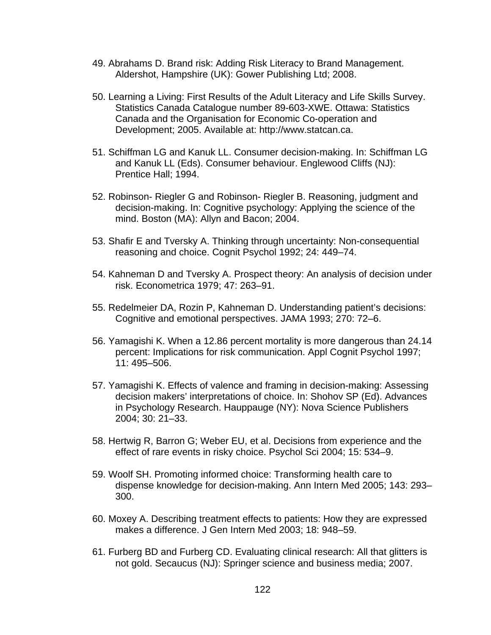- 49. Abrahams D. Brand risk: Adding Risk Literacy to Brand Management. Aldershot, Hampshire (UK): Gower Publishing Ltd; 2008.
- 50. Learning a Living: First Results of the Adult Literacy and Life Skills Survey. Statistics Canada Catalogue number 89-603-XWE. Ottawa: Statistics Canada and the Organisation for Economic Co-operation and Development; 2005. Available at: http://www.statcan.ca.
- 51. Schiffman LG and Kanuk LL. Consumer decision-making. In: Schiffman LG and Kanuk LL (Eds). Consumer behaviour. Englewood Cliffs (NJ): Prentice Hall; 1994.
- 52. Robinson- Riegler G and Robinson- Riegler B. Reasoning, judgment and decision-making. In: Cognitive psychology: Applying the science of the mind. Boston (MA): Allyn and Bacon; 2004.
- 53. Shafir E and Tversky A. Thinking through uncertainty: Non-consequential reasoning and choice. Cognit Psychol 1992; 24: 449–74.
- 54. Kahneman D and Tversky A. Prospect theory: An analysis of decision under risk. Econometrica 1979; 47: 263–91.
- 55. Redelmeier DA, Rozin P, Kahneman D. Understanding patient's decisions: Cognitive and emotional perspectives. JAMA 1993; 270: 72–6.
- 56. Yamagishi K. When a 12.86 percent mortality is more dangerous than 24.14 percent: Implications for risk communication. Appl Cognit Psychol 1997; 11: 495–506.
- 57. Yamagishi K. Effects of valence and framing in decision-making: Assessing decision makers' interpretations of choice. In: Shohov SP (Ed). Advances in Psychology Research. Hauppauge (NY): Nova Science Publishers 2004; 30: 21–33.
- 58. Hertwig R, Barron G; Weber EU, et al. Decisions from experience and the effect of rare events in risky choice. Psychol Sci 2004; 15: 534–9.
- 59. Woolf SH. Promoting informed choice: Transforming health care to dispense knowledge for decision-making. Ann Intern Med 2005; 143: 293– 300.
- 60. Moxey A. Describing treatment effects to patients: How they are expressed makes a difference. J Gen Intern Med 2003; 18: 948–59.
- 61. Furberg BD and Furberg CD. Evaluating clinical research: All that glitters is not gold. Secaucus (NJ): Springer science and business media; 2007.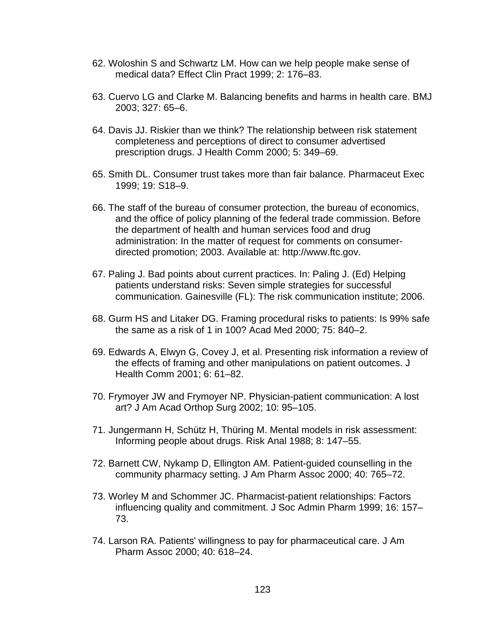- 62. Woloshin S and Schwartz LM. How can we help people make sense of medical data? Effect Clin Pract 1999; 2: 176–83.
- 63. Cuervo LG and Clarke M. Balancing benefits and harms in health care. BMJ 2003; 327: 65–6.
- 64. Davis JJ. Riskier than we think? The relationship between risk statement completeness and perceptions of direct to consumer advertised prescription drugs. J Health Comm 2000; 5: 349–69.
- 65. Smith DL. Consumer trust takes more than fair balance. Pharmaceut Exec 1999; 19: S18–9.
- 66. The staff of the bureau of consumer protection, the bureau of economics, and the office of policy planning of the federal trade commission. Before the department of health and human services food and drug administration: In the matter of request for comments on consumerdirected promotion; 2003. Available at: http://www.ftc.gov.
- 67. Paling J. Bad points about current practices. In: Paling J. (Ed) Helping patients understand risks: Seven simple strategies for successful communication. Gainesville (FL): The risk communication institute; 2006.
- 68. Gurm HS and Litaker DG. Framing procedural risks to patients: Is 99% safe the same as a risk of 1 in 100? Acad Med 2000; 75: 840–2.
- 69. Edwards A, Elwyn G, Covey J, et al. Presenting risk information a review of the effects of framing and other manipulations on patient outcomes. J Health Comm 2001; 6: 61–82.
- 70. Frymoyer JW and Frymoyer NP. Physician-patient communication: A lost art? J Am Acad Orthop Surg 2002; 10: 95–105.
- 71. Jungermann H, Schütz H, Thüring M. Mental models in risk assessment: Informing people about drugs. Risk Anal 1988; 8: 147–55.
- 72. Barnett CW, Nykamp D, Ellington AM. Patient-guided counselling in the community pharmacy setting. J Am Pharm Assoc 2000; 40: 765–72.
- 73. Worley M and Schommer JC. Pharmacist-patient relationships: Factors influencing quality and commitment. J Soc Admin Pharm 1999; 16: 157– 73.
- 74. Larson RA. Patients' willingness to pay for pharmaceutical care. J Am Pharm Assoc 2000; 40: 618–24.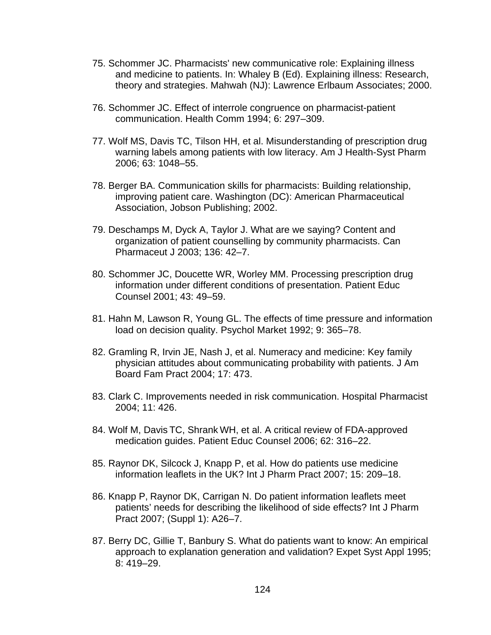- 75. Schommer JC. Pharmacists' new communicative role: Explaining illness and medicine to patients. In: Whaley B (Ed). Explaining illness: Research, theory and strategies. Mahwah (NJ): Lawrence Erlbaum Associates; 2000.
- 76. Schommer JC. Effect of interrole congruence on pharmacist-patient communication. Health Comm 1994; 6: 297–309.
- 77. Wolf MS, Davis TC, Tilson HH, et al. Misunderstanding of prescription drug warning labels among patients with low literacy. Am J Health-Syst Pharm 2006; 63: 1048–55.
- 78. Berger BA. Communication skills for pharmacists: Building relationship, improving patient care. Washington (DC): American Pharmaceutical Association, Jobson Publishing; 2002.
- 79. Deschamps M, Dyck A, Taylor J. What are we saying? Content and organization of patient counselling by community pharmacists. Can Pharmaceut J 2003; 136: 42–7.
- 80. Schommer JC, Doucette WR, Worley MM. Processing prescription drug information under different conditions of presentation. Patient Educ Counsel 2001; 43: 49–59.
- 81. Hahn M, Lawson R, Young GL. The effects of time pressure and information load on decision quality. Psychol Market 1992; 9: 365–78.
- 82. Gramling R, Irvin JE, Nash J, et al. Numeracy and medicine: Key family physician attitudes about communicating probability with patients. J Am Board Fam Pract 2004; 17: 473.
- 83. Clark C. Improvements needed in risk communication. Hospital Pharmacist 2004; 11: 426.
- 84. Wolf M, Davis TC, Shrank WH, et al. A critical review of FDA-approved medication guides. Patient Educ Counsel 2006; 62: 316–22.
- 85. Raynor DK, Silcock J, Knapp P, et al. How do patients use medicine information leaflets in the UK? Int J Pharm Pract 2007; 15: 209–18.
- 86. Knapp P, Raynor DK, Carrigan N. Do patient information leaflets meet patients' needs for describing the likelihood of side effects? Int J Pharm Pract 2007; (Suppl 1): A26–7.
- 87. Berry DC, Gillie T, Banbury S. What do patients want to know: An empirical approach to explanation generation and validation? Expet Syst Appl 1995; 8: 419–29.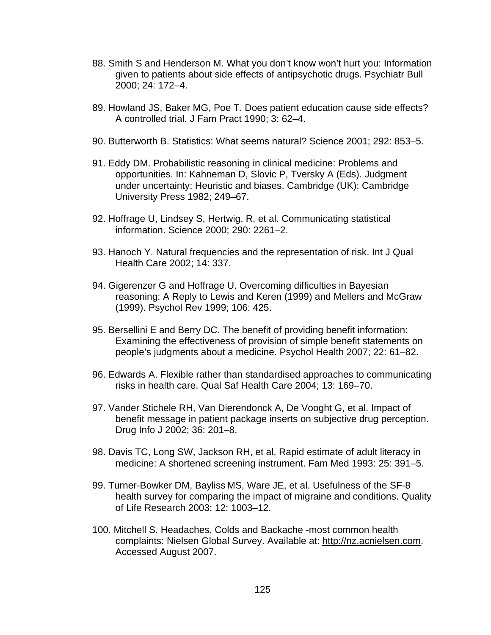- 88. Smith S and Henderson M. What you don't know won't hurt you: Information given to patients about side effects of antipsychotic drugs. Psychiatr Bull 2000; 24: 172–4.
- 89. Howland JS, Baker MG, Poe T. Does patient education cause side effects? A controlled trial. J Fam Pract 1990; 3: 62–4.
- 90. Butterworth B. Statistics: What seems natural? Science 2001; 292: 853–5.
- 91. Eddy DM. Probabilistic reasoning in clinical medicine: Problems and opportunities. In: Kahneman D, Slovic P, Tversky A (Eds). Judgment under uncertainty: Heuristic and biases. Cambridge (UK): Cambridge University Press 1982; 249–67.
- 92. Hoffrage U, Lindsey S, Hertwig, R, et al. Communicating statistical information. Science 2000; 290: 2261–2.
- 93. Hanoch Y. Natural frequencies and the representation of risk. Int J Qual Health Care 2002; 14: 337.
- 94. Gigerenzer G and Hoffrage U. Overcoming difficulties in Bayesian reasoning: A Reply to Lewis and Keren (1999) and Mellers and McGraw (1999). Psychol Rev 1999; 106: 425.
- 95. Bersellini E and Berry DC. The benefit of providing benefit information: Examining the effectiveness of provision of simple benefit statements on people's judgments about a medicine. Psychol Health 2007; 22: 61–82.
- 96. Edwards A. Flexible rather than standardised approaches to communicating risks in health care. Qual Saf Health Care 2004; 13: 169–70.
- 97. Vander Stichele RH, Van Dierendonck A, De Vooght G, et al. Impact of benefit message in patient package inserts on subjective drug perception. Drug Info J 2002; 36: 201–8.
- 98. Davis TC, Long SW, Jackson RH, et al. Rapid estimate of adult literacy in medicine: A shortened screening instrument. Fam Med 1993: 25: 391–5.
- 99. Turner-Bowker DM, Bayliss MS, Ware JE, et al. Usefulness of the SF-8 health survey for comparing the impact of migraine and conditions. Quality of Life Research 2003; 12: 1003–12.
- 100. Mitchell S. Headaches, Colds and Backache -most common health complaints: Nielsen Global Survey. Available at: [http://nz.acnielsen.com.](http://nz.acnielsen.com/) Accessed August 2007.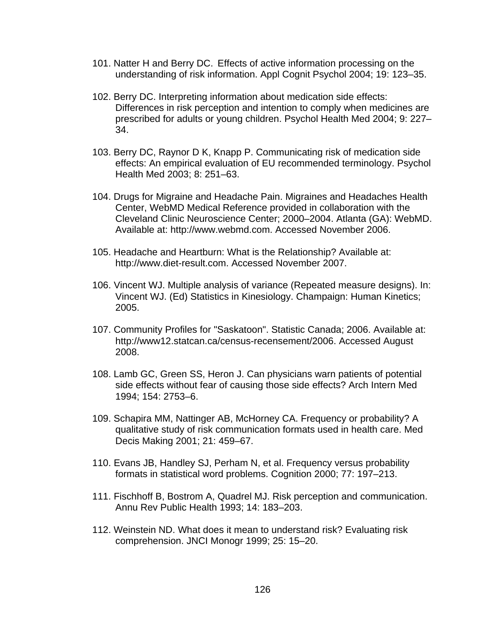- 101. Natter H and Berry DC. Effects of active information processing on the understanding of risk information. Appl Cognit Psychol 2004; 19: 123–35.
- 102. Berry DC. Interpreting information about medication side effects: Differences in risk perception and intention to comply when medicines are prescribed for adults or young children. Psychol Health Med 2004; 9: 227– 34.
- 103. Berry DC, Raynor D K, Knapp P. Communicating risk of medication side effects: An empirical evaluation of EU recommended terminology. Psychol Health Med 2003; 8: 251–63.
- 104. Drugs for Migraine and Headache Pain. Migraines and Headaches Health Center, WebMD Medical Reference provided in collaboration with the Cleveland Clinic Neuroscience Center; 2000–2004. Atlanta (GA): WebMD. Available at: http://www.webmd.com. Accessed November 2006.
- 105. Headache and Heartburn: What is the Relationship? Available at: http://www.diet-result.com. Accessed November 2007.
- 106. Vincent WJ. Multiple analysis of variance (Repeated measure designs). In: Vincent WJ. (Ed) Statistics in Kinesiology. Champaign: Human Kinetics; 2005.
- 107. Community Profiles for "Saskatoon". Statistic Canada; 2006. Available at: http://www12.statcan.ca/census-recensement/2006. Accessed August 2008.
- 108. Lamb GC, Green SS, Heron J. Can physicians warn patients of potential side effects without fear of causing those side effects? Arch Intern Med 1994; 154: 2753–6.
- 109. Schapira MM, Nattinger AB, McHorney CA. Frequency or probability? A qualitative study of risk communication formats used in health care. Med Decis Making 2001; 21: 459–67.
- 110. Evans JB, Handley SJ, Perham N, et al. Frequency versus probability formats in statistical word problems. Cognition 2000; 77: 197–213.
- 111. Fischhoff B, Bostrom A, Quadrel MJ. Risk perception and communication. Annu Rev Public Health 1993; 14: 183–203.
- 112. Weinstein ND. What does it mean to understand risk? Evaluating risk comprehension. JNCI Monogr 1999; 25: 15–20.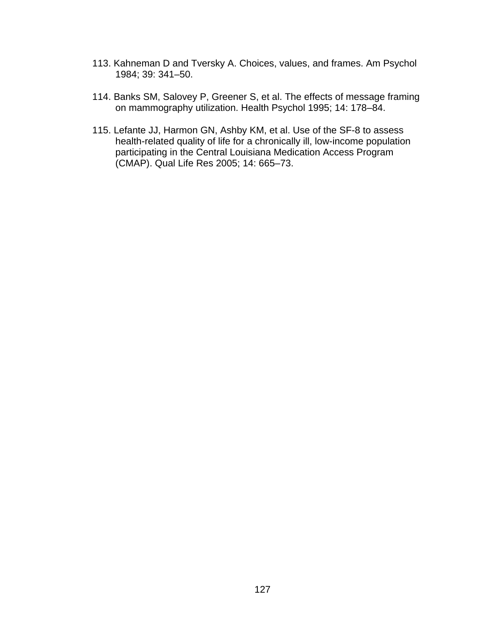- 113. Kahneman D and Tversky A. Choices, values, and frames. Am Psychol 1984; 39: 341–50.
- 114. Banks SM, Salovey P, Greener S, et al. The effects of message framing on mammography utilization. Health Psychol 1995; 14: 178–84.
- 115. Lefante JJ, Harmon GN, Ashby KM, et al. Use of the SF-8 to assess health-related quality of life for a chronically ill, low-income population participating in the Central Louisiana Medication Access Program (CMAP). Qual Life Res 2005; 14: 665–73.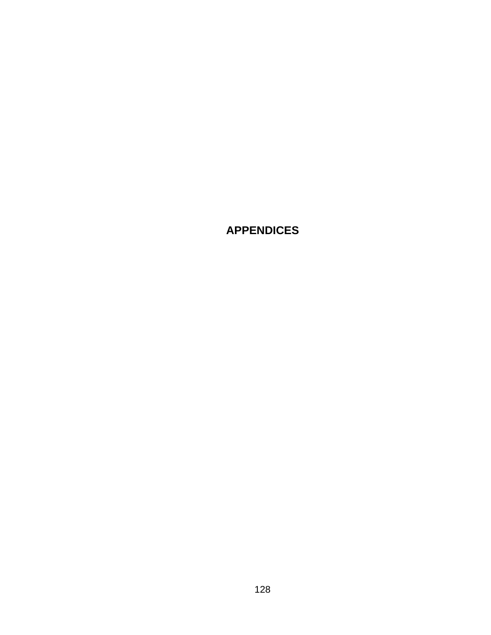**APPENDICES**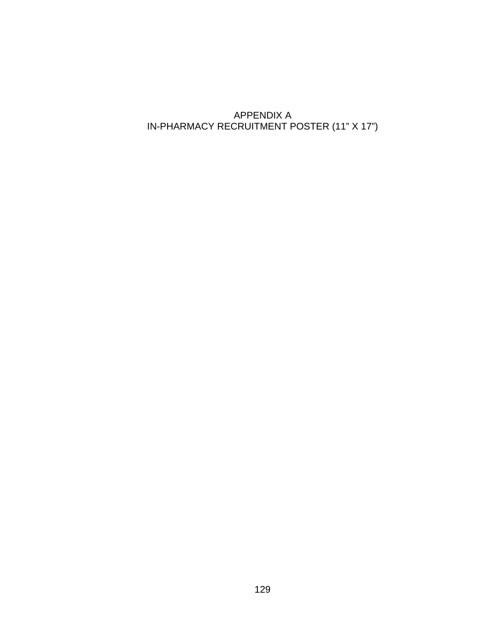# APPENDIX A IN-PHARMACY RECRUITMENT POSTER (11" X 17")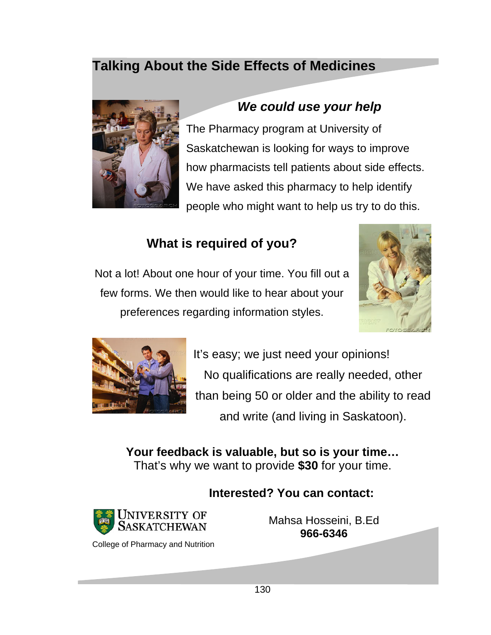# **Talking About the Side Effects of Medicines**



# *We could use your help*

The Pharmacy program at University of Saskatchewan is looking for ways to improve how pharmacists tell patients about side effects. We have asked this pharmacy to help identify people who might want to help us try to do this.

# **What is required of you?**

Not a lot! About one hour of your time. You fill out a few forms. We then would like to hear about your preferences regarding information styles.





It's easy; we just need your opinions! No qualifications are really needed, other than being 50 or older and the ability to read and write (and living in Saskatoon).

**Your feedback is valuable, but so is your time…**  That's why we want to provide **\$30** for your time.

## **Interested? You can contact:**



Mahsa Hosseini, B.Ed **966-6346**

College of Pharmacy and Nutrition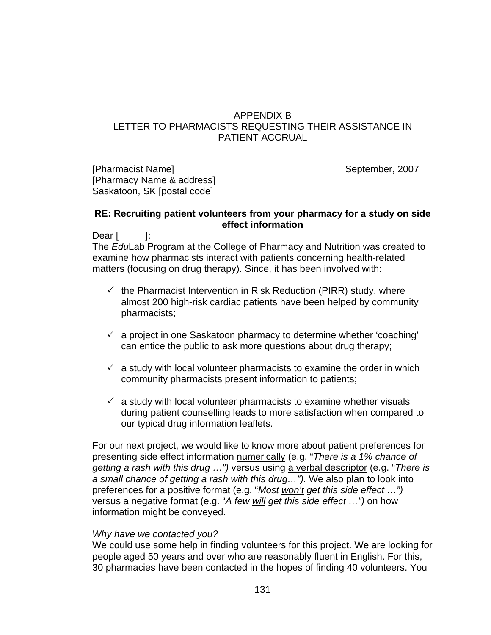### APPENDIX B LETTER TO PHARMACISTS REQUESTING THEIR ASSISTANCE IN PATIENT ACCRUAL

[Pharmacist Name] September, 2007 [Pharmacy Name & address] Saskatoon, SK [postal code]

#### **RE: Recruiting patient volunteers from your pharmacy for a study on side effect information**

Dear [ ]:

The *Edu*Lab Program at the College of Pharmacy and Nutrition was created to examine how pharmacists interact with patients concerning health-related matters (focusing on drug therapy). Since, it has been involved with:

- $\checkmark$  the Pharmacist Intervention in Risk Reduction (PIRR) study, where almost 200 high-risk cardiac patients have been helped by community pharmacists;
- $\checkmark$  a project in one Saskatoon pharmacy to determine whether 'coaching' can entice the public to ask more questions about drug therapy;
- $\checkmark$  a study with local volunteer pharmacists to examine the order in which community pharmacists present information to patients;
- $\checkmark$  a study with local volunteer pharmacists to examine whether visuals during patient counselling leads to more satisfaction when compared to our typical drug information leaflets.

For our next project, we would like to know more about patient preferences for presenting side effect information numerically (e.g. "*There is a 1% chance of getting a rash with this drug …")* versus using a verbal descriptor (e.g. "*There is a small chance of getting a rash with this drug…").* We also plan to look into preferences for a positive format (e.g. "*Most won't get this side effect …")* versus a negative format (e.g. "*A few will get this side effect …")* on how information might be conveyed.

#### *Why have we contacted you?*

We could use some help in finding volunteers for this project. We are looking for people aged 50 years and over who are reasonably fluent in English. For this, 30 pharmacies have been contacted in the hopes of finding 40 volunteers. You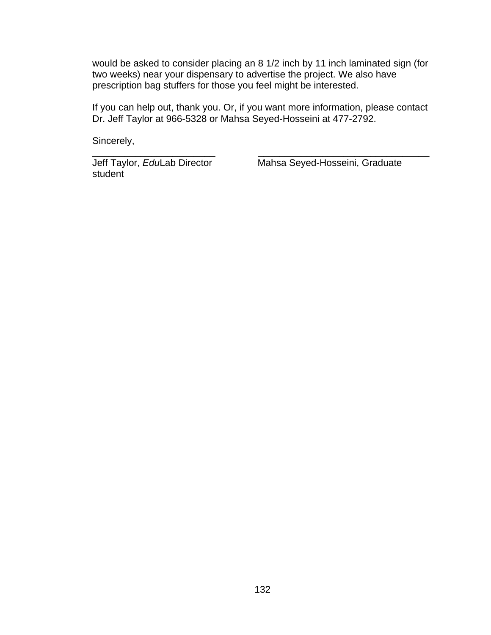would be asked to consider placing an 8 1/2 inch by 11 inch laminated sign (for two weeks) near your dispensary to advertise the project. We also have prescription bag stuffers for those you feel might be interested.

If you can help out, thank you. Or, if you want more information, please contact Dr. Jeff Taylor at 966-5328 or Mahsa Seyed-Hosseini at 477-2792.

\_\_\_\_\_\_\_\_\_\_\_\_\_\_\_\_\_\_\_\_\_\_\_ \_\_\_\_\_\_\_\_\_\_\_\_\_\_\_\_\_\_\_\_\_\_\_\_\_\_\_\_\_\_\_\_

Sincerely,

student

Jeff Taylor, *Edu*Lab Director Mahsa Seyed-Hosseini, Graduate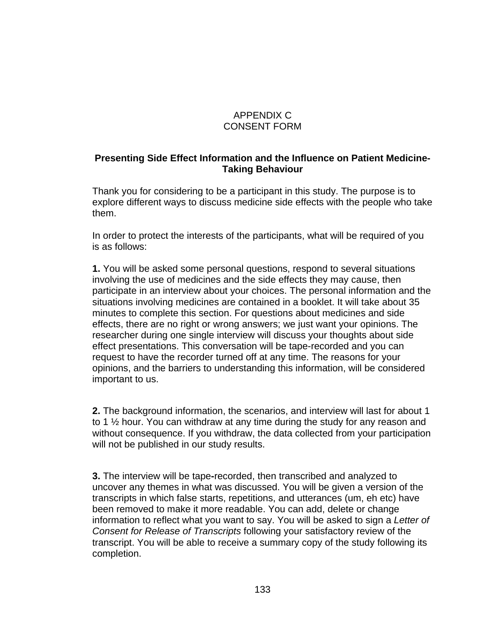## APPENDIX C CONSENT FORM

## **Presenting Side Effect Information and the Influence on Patient Medicine-Taking Behaviour**

Thank you for considering to be a participant in this study. The purpose is to explore different ways to discuss medicine side effects with the people who take them.

In order to protect the interests of the participants, what will be required of you is as follows:

**1.** You will be asked some personal questions, respond to several situations involving the use of medicines and the side effects they may cause, then participate in an interview about your choices. The personal information and the situations involving medicines are contained in a booklet. It will take about 35 minutes to complete this section. For questions about medicines and side effects, there are no right or wrong answers; we just want your opinions. The researcher during one single interview will discuss your thoughts about side effect presentations. This conversation will be tape-recorded and you can request to have the recorder turned off at any time. The reasons for your opinions, and the barriers to understanding this information, will be considered important to us.

**2.** The background information, the scenarios, and interview will last for about 1 to 1 ½ hour. You can withdraw at any time during the study for any reason and without consequence. If you withdraw, the data collected from your participation will not be published in our study results.

**3.** The interview will be tape**-**recorded, then transcribed and analyzed to uncover any themes in what was discussed. You will be given a version of the transcripts in which false starts, repetitions, and utterances (um, eh etc) have been removed to make it more readable. You can add, delete or change information to reflect what you want to say. You will be asked to sign a *Letter of Consent for Release of Transcripts* following your satisfactory review of the transcript. You will be able to receive a summary copy of the study following its completion.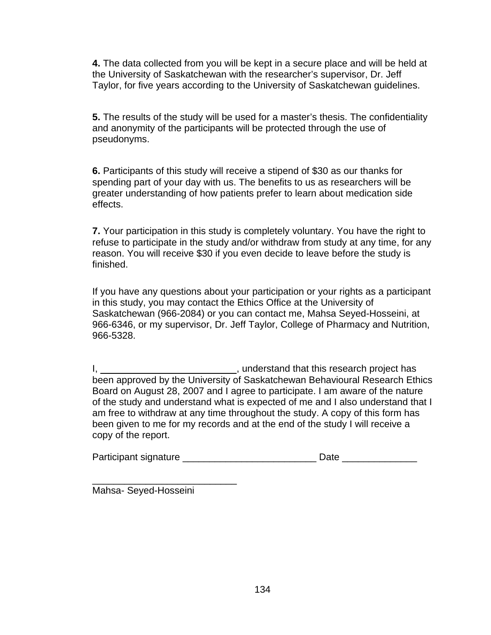**4.** The data collected from you will be kept in a secure place and will be held at the University of Saskatchewan with the researcher's supervisor, Dr. Jeff Taylor, for five years according to the University of Saskatchewan guidelines.

**5.** The results of the study will be used for a master's thesis. The confidentiality and anonymity of the participants will be protected through the use of pseudonyms.

**6.** Participants of this study will receive a stipend of \$30 as our thanks for spending part of your day with us. The benefits to us as researchers will be greater understanding of how patients prefer to learn about medication side effects.

**7.** Your participation in this study is completely voluntary. You have the right to refuse to participate in the study and/or withdraw from study at any time, for any reason. You will receive \$30 if you even decide to leave before the study is finished.

If you have any questions about your participation or your rights as a participant in this study, you may contact the Ethics Office at the University of Saskatchewan (966-2084) or you can contact me, Mahsa Seyed-Hosseini, at 966-6346, or my supervisor, Dr. Jeff Taylor, College of Pharmacy and Nutrition, 966-5328.

I, 1. All the search project has  $\mu$ , understand that this research project has been approved by the University of Saskatchewan Behavioural Research Ethics Board on August 28, 2007 and I agree to participate. I am aware of the nature of the study and understand what is expected of me and I also understand that I am free to withdraw at any time throughout the study. A copy of this form has been given to me for my records and at the end of the study I will receive a copy of the report.

| Participant signature<br>Date |
|-------------------------------|
|-------------------------------|

\_\_\_\_\_\_\_\_\_\_\_\_\_\_\_\_\_\_\_\_\_\_\_\_\_\_\_ Mahsa- Seyed-Hosseini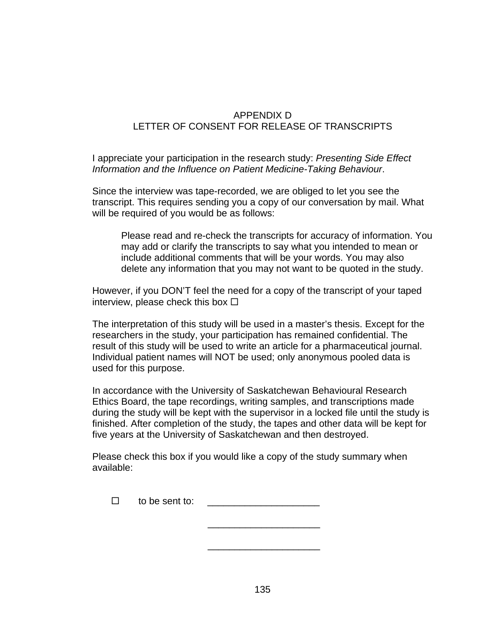## APPENDIX D LETTER OF CONSENT FOR RELEASE OF TRANSCRIPTS

I appreciate your participation in the research study: *Presenting Side Effect Information and the Influence on Patient Medicine-Taking Behaviour*.

Since the interview was tape-recorded, we are obliged to let you see the transcript. This requires sending you a copy of our conversation by mail. What will be required of you would be as follows:

Please read and re-check the transcripts for accuracy of information. You may add or clarify the transcripts to say what you intended to mean or include additional comments that will be your words. You may also delete any information that you may not want to be quoted in the study.

However, if you DON'T feel the need for a copy of the transcript of your taped interview, please check this box  $\Box$ 

The interpretation of this study will be used in a master's thesis. Except for the researchers in the study, your participation has remained confidential. The result of this study will be used to write an article for a pharmaceutical journal. Individual patient names will NOT be used; only anonymous pooled data is used for this purpose.

In accordance with the University of Saskatchewan Behavioural Research Ethics Board, the tape recordings, writing samples, and transcriptions made during the study will be kept with the supervisor in a locked file until the study is finished. After completion of the study, the tapes and other data will be kept for five years at the University of Saskatchewan and then destroyed.

Please check this box if you would like a copy of the study summary when available:

| to be sent to: |  |
|----------------|--|
|----------------|--|

 $\mathcal{L}_\text{max}$  and  $\mathcal{L}_\text{max}$  and  $\mathcal{L}_\text{max}$  and  $\mathcal{L}_\text{max}$ 

 $\frac{1}{\sqrt{2\pi}}$  ,  $\frac{1}{\sqrt{2\pi}}$  ,  $\frac{1}{\sqrt{2\pi}}$  ,  $\frac{1}{\sqrt{2\pi}}$  ,  $\frac{1}{\sqrt{2\pi}}$  ,  $\frac{1}{\sqrt{2\pi}}$  ,  $\frac{1}{\sqrt{2\pi}}$  ,  $\frac{1}{\sqrt{2\pi}}$  ,  $\frac{1}{\sqrt{2\pi}}$  ,  $\frac{1}{\sqrt{2\pi}}$  ,  $\frac{1}{\sqrt{2\pi}}$  ,  $\frac{1}{\sqrt{2\pi}}$  ,  $\frac{1}{\sqrt{2\pi}}$  ,

135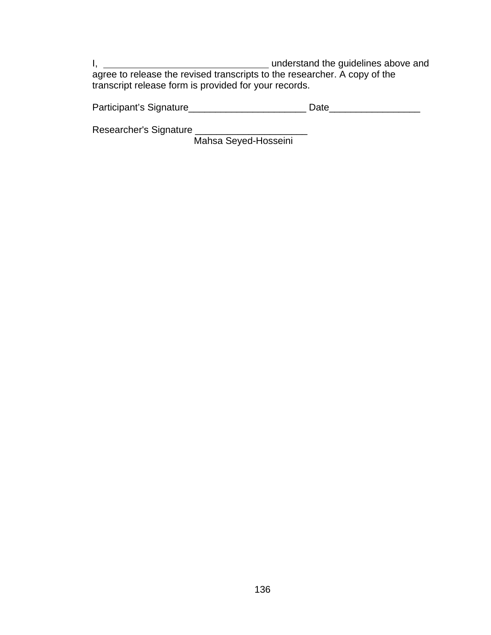I, 1. 2008 and the guidelines above and understand the guidelines above and agree to release the revised transcripts to the researcher. A copy of the transcript release form is provided for your records.

Participant's Signature\_\_\_\_\_\_\_\_\_\_\_\_\_\_\_\_\_\_\_\_\_\_\_\_\_\_\_\_\_\_ Date\_\_\_\_\_\_\_\_\_\_\_\_\_\_\_\_\_\_\_\_\_\_

Researcher's Signature \_\_\_\_\_\_\_\_\_\_\_\_\_\_\_\_\_\_\_\_\_

Mahsa Seyed-Hosseini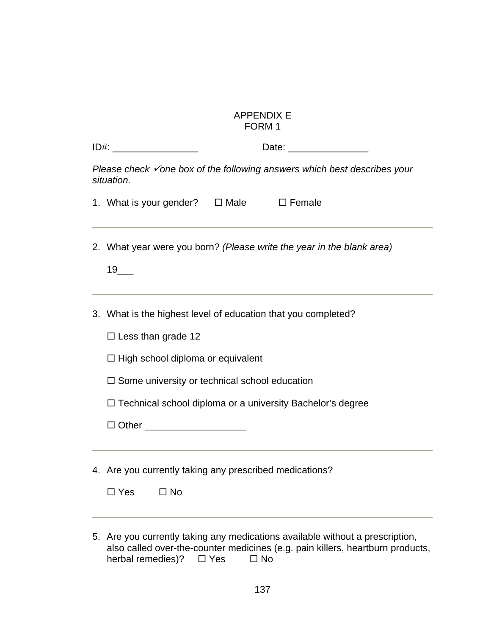| <b>APPENDIX E</b> |  |
|-------------------|--|
| FORM 1            |  |

| ID#: _________________________                                                                                                                                                                                                                                                                    |
|---------------------------------------------------------------------------------------------------------------------------------------------------------------------------------------------------------------------------------------------------------------------------------------------------|
| Please check $\check{\phantom{a}}$ one box of the following answers which best describes your<br>situation.                                                                                                                                                                                       |
| 1. What is your gender? $\Box$ Male $\Box$ Female                                                                                                                                                                                                                                                 |
| 2. What year were you born? (Please write the year in the blank area)<br>19                                                                                                                                                                                                                       |
| 3. What is the highest level of education that you completed?<br>$\Box$ Less than grade 12<br>$\Box$ High school diploma or equivalent<br>$\Box$ Some university or technical school education<br>□ Technical school diploma or a university Bachelor's degree<br>□ Other _______________________ |
| 4. Are you currently taking any prescribed medications?                                                                                                                                                                                                                                           |

| $\Box$ Yes | □ No |
|------------|------|
|------------|------|

5. Are you currently taking any medications available without a prescription, also called over-the-counter medicines (e.g. pain killers, heartburn products, herbal remedies)?  $\Box$  Yes  $\Box$  No herbal remedies)?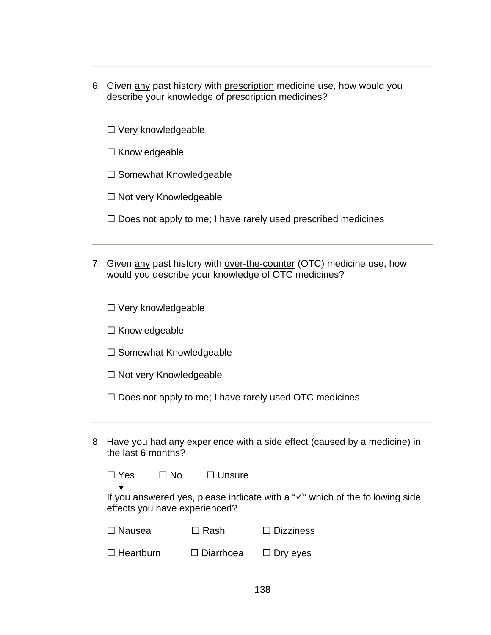- 6. Given any past history with prescription medicine use, how would you describe your knowledge of prescription medicines?
	- $\square$  Very knowledgeable
	- $\square$  Knowledgeable
	- $\square$  Somewhat Knowledgeable
	- $\square$  Not very Knowledgeable
	- $\Box$  Does not apply to me; I have rarely used prescribed medicines
- 7. Given any past history with over-the-counter (OTC) medicine use, how would you describe your knowledge of OTC medicines?

 $\square$  Very knowledgeable

 $\square$  Knowledgeable

- $\square$  Somewhat Knowledgeable
- $\Box$  Not very Knowledgeable
- $\square$  Does not apply to me; I have rarely used OTC medicines
- 8. Have you had any experience with a side effect (caused by a medicine) in the last 6 months?

 $\Box$  Yes  $\Box$  No  $\Box$  Unsure

If you answered yes, please indicate with a " $\checkmark$ " which of the following side effects you have experienced?

| $\Box$ Nausea | $\Box$ Rash | $\Box$ Dizziness |
|---------------|-------------|------------------|
|---------------|-------------|------------------|

| $\square$ Heartburn | $\square$ Diarrhoea | $\Box$ Dry eyes |
|---------------------|---------------------|-----------------|
|---------------------|---------------------|-----------------|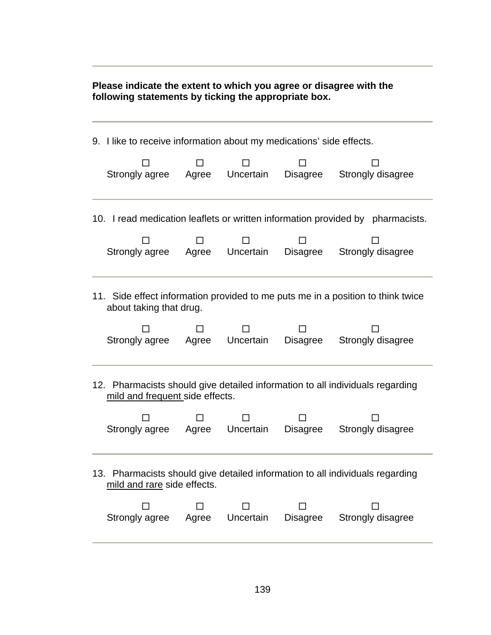**Please indicate the extent to which you agree or disagree with the following statements by ticking the appropriate box.** 

| 9. I like to receive information about my medications' side effects.                                             |       |           |                               |                                                                                |  |  |
|------------------------------------------------------------------------------------------------------------------|-------|-----------|-------------------------------|--------------------------------------------------------------------------------|--|--|
| Strongly agree                                                                                                   | Agree | Uncertain | Disagree<br>Strongly disagree |                                                                                |  |  |
|                                                                                                                  |       |           |                               | 10. I read medication leaflets or written information provided by pharmacists. |  |  |
| Strongly agree                                                                                                   | Agree | Uncertain | Disagree                      | Strongly disagree                                                              |  |  |
| 11. Side effect information provided to me puts me in a position to think twice<br>about taking that drug.       |       |           |                               |                                                                                |  |  |
| Strongly agree                                                                                                   | Agree | Uncertain | <b>Disagree</b>               | Strongly disagree                                                              |  |  |
| 12. Pharmacists should give detailed information to all individuals regarding<br>mild and frequent side effects. |       |           |                               |                                                                                |  |  |
| Strongly agree                                                                                                   | Agree | Uncertain | <b>Disagree</b>               | Strongly disagree                                                              |  |  |
| 13. Pharmacists should give detailed information to all individuals regarding<br>mild and rare side effects.     |       |           |                               |                                                                                |  |  |
| Strongly agree                                                                                                   | Agree | Uncertain | Disagree                      | Strongly disagree                                                              |  |  |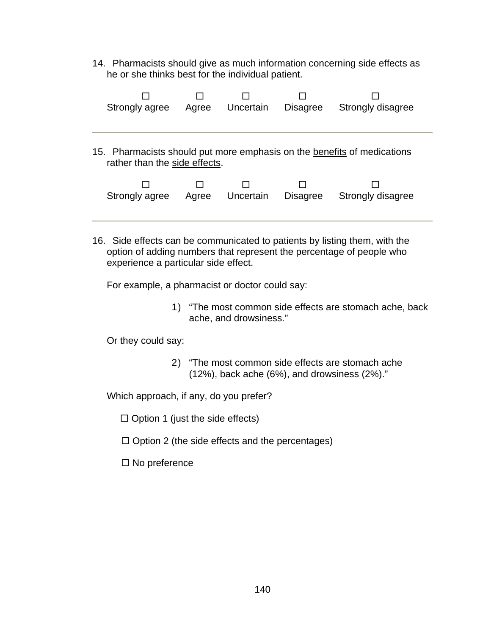14. Pharmacists should give as much information concerning side effects as he or she thinks best for the individual patient.

| Strongly agree                                                                                           | Agree | Uncertain | <b>Disagree</b> | Strongly disagree |  |  |  |
|----------------------------------------------------------------------------------------------------------|-------|-----------|-----------------|-------------------|--|--|--|
| 15. Pharmacists should put more emphasis on the benefits of medications<br>rather than the side effects. |       |           |                 |                   |  |  |  |
| Strongly agree                                                                                           | Agree | Uncertain | <b>Disagree</b> | Strongly disagree |  |  |  |

16. Side effects can be communicated to patients by listing them, with the option of adding numbers that represent the percentage of people who experience a particular side effect.

For example, a pharmacist or doctor could say:

1) "The most common side effects are stomach ache, back ache, and drowsiness."

Or they could say:

2) "The most common side effects are stomach ache (12%), back ache (6%), and drowsiness (2%)."

Which approach, if any, do you prefer?

 $\Box$  Option 1 (just the side effects)

- $\Box$  Option 2 (the side effects and the percentages)
- $\square$  No preference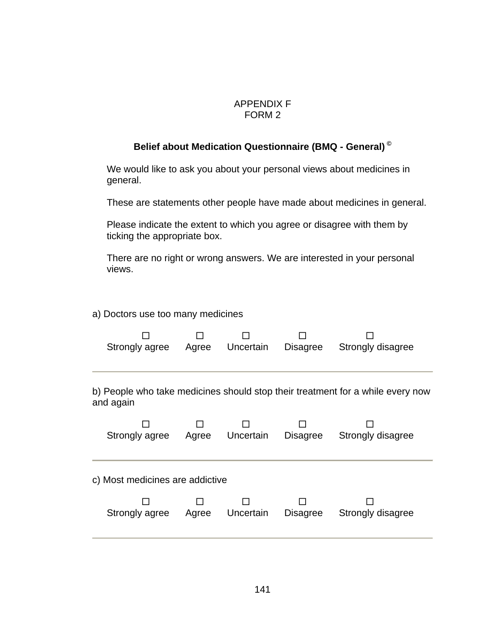#### APPENDIX F FORM 2

## **Belief about Medication Questionnaire (BMQ - General) ©**

We would like to ask you about your personal views about medicines in general.

These are statements other people have made about medicines in general.

Please indicate the extent to which you agree or disagree with them by ticking the appropriate box.

There are no right or wrong answers. We are interested in your personal views.

#### a) Doctors use too many medicines

|                      | Strongly agree Agree Uncertain                                                              |       |           | Disagree | Strongly disagree |  |  |  |  |
|----------------------|---------------------------------------------------------------------------------------------|-------|-----------|----------|-------------------|--|--|--|--|
|                      | b) People who take medicines should stop their treatment for a while every now<br>and again |       |           |          |                   |  |  |  |  |
| Strongly agree Agree |                                                                                             |       | Uncertain | Disagree | Strongly disagree |  |  |  |  |
|                      | c) Most medicines are addictive                                                             |       |           |          |                   |  |  |  |  |
|                      | Strongly agree                                                                              | Agree | Uncertain | Disagree | Strongly disagree |  |  |  |  |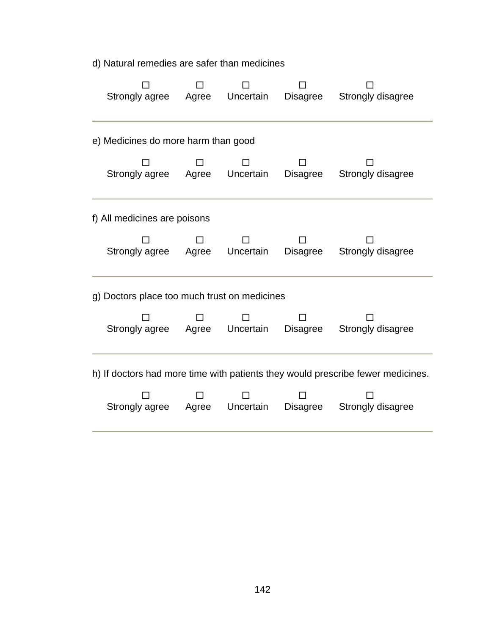d) Natural remedies are safer than medicines

| Strongly agree<br>Agree Uncertain            |                                                                                 |  | Disagree | Strongly disagree |  |  |  |  |
|----------------------------------------------|---------------------------------------------------------------------------------|--|----------|-------------------|--|--|--|--|
| e) Medicines do more harm than good          |                                                                                 |  |          |                   |  |  |  |  |
| Strongly agree Agree Uncertain               |                                                                                 |  | Disagree | Strongly disagree |  |  |  |  |
| f) All medicines are poisons                 |                                                                                 |  |          |                   |  |  |  |  |
| Strongly agree Agree Uncertain               |                                                                                 |  | Disagree | Strongly disagree |  |  |  |  |
| g) Doctors place too much trust on medicines |                                                                                 |  |          |                   |  |  |  |  |
| Strongly agree Agree Uncertain               |                                                                                 |  | Disagree | Strongly disagree |  |  |  |  |
|                                              | h) If doctors had more time with patients they would prescribe fewer medicines. |  |          |                   |  |  |  |  |
| Strongly agree Agree Uncertain               |                                                                                 |  | Disagree | Strongly disagree |  |  |  |  |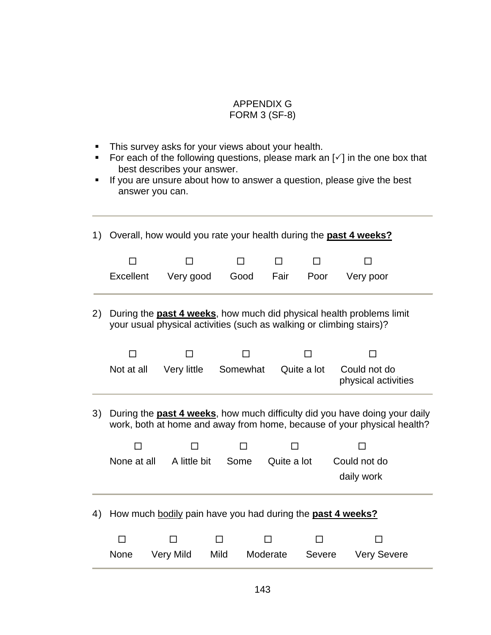## APPENDIX G

## FORM 3 (SF-8)

- **This survey asks for your views about your health.**
- For each of the following questions, please mark an  $[\checkmark]$  in the one box that best describes your answer.
- If you are unsure about how to answer a question, please give the best answer you can.

| 1) |             | Overall, how would you rate your health during the past 4 weeks?     |      |          |             |               |                                                                                                                                                               |  |
|----|-------------|----------------------------------------------------------------------|------|----------|-------------|---------------|---------------------------------------------------------------------------------------------------------------------------------------------------------------|--|
|    |             |                                                                      |      |          | П           |               |                                                                                                                                                               |  |
|    | Excellent   | Very good                                                            | Good | Fair     |             | Poor          | Very poor                                                                                                                                                     |  |
| 2) |             | your usual physical activities (such as walking or climbing stairs)? |      |          |             |               | During the past 4 weeks, how much did physical health problems limit                                                                                          |  |
|    |             |                                                                      |      |          |             |               |                                                                                                                                                               |  |
|    | Not at all  | Very little                                                          |      | Somewhat | Quite a lot |               | Could not do<br>physical activities                                                                                                                           |  |
| 3) |             |                                                                      |      |          |             |               | During the <b>past 4 weeks</b> , how much difficulty did you have doing your daily<br>work, both at home and away from home, because of your physical health? |  |
|    |             |                                                                      |      |          |             |               |                                                                                                                                                               |  |
|    | None at all | A little bit                                                         | Some |          | Quite a lot |               | Could not do<br>daily work                                                                                                                                    |  |
| 4) |             | How much bodily pain have you had during the <b>past 4 weeks?</b>    |      |          |             |               |                                                                                                                                                               |  |
|    |             |                                                                      |      |          |             |               |                                                                                                                                                               |  |
|    | None        | <b>Very Mild</b>                                                     | Mild | Moderate |             | <b>Severe</b> | <b>Very Severe</b>                                                                                                                                            |  |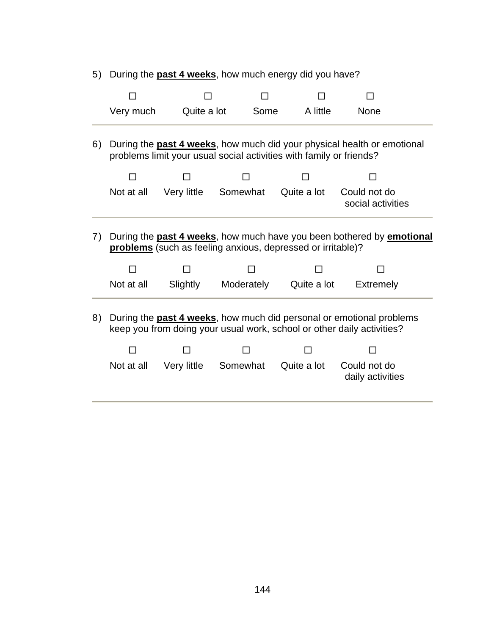5) During the **past 4 weeks**, how much energy did you have?

| Very much  |             |          | A little    | <b>None</b>                       |                                                                                                                                                                                                                                                                                                                                                                                                                                                                         |
|------------|-------------|----------|-------------|-----------------------------------|-------------------------------------------------------------------------------------------------------------------------------------------------------------------------------------------------------------------------------------------------------------------------------------------------------------------------------------------------------------------------------------------------------------------------------------------------------------------------|
|            |             |          |             |                                   |                                                                                                                                                                                                                                                                                                                                                                                                                                                                         |
|            |             |          |             |                                   |                                                                                                                                                                                                                                                                                                                                                                                                                                                                         |
| Not at all | Very little | Somewhat | Quite a lot | Could not do<br>social activities |                                                                                                                                                                                                                                                                                                                                                                                                                                                                         |
|            |             |          |             |                                   |                                                                                                                                                                                                                                                                                                                                                                                                                                                                         |
| Not at all | Slightly    |          |             | <b>Extremely</b>                  |                                                                                                                                                                                                                                                                                                                                                                                                                                                                         |
| Not at all | Very little | Somewhat | Quite a lot | Could not do<br>daily activities  |                                                                                                                                                                                                                                                                                                                                                                                                                                                                         |
|            |             |          | Quite a lot | Some<br>Moderately                | During the <b>past 4 weeks</b> , how much did your physical health or emotional<br>problems limit your usual social activities with family or friends?<br>During the past 4 weeks, how much have you been bothered by emotional<br>problems (such as feeling anxious, depressed or irritable)?<br>Quite a lot<br>During the <b>past 4 weeks</b> , how much did personal or emotional problems<br>keep you from doing your usual work, school or other daily activities? |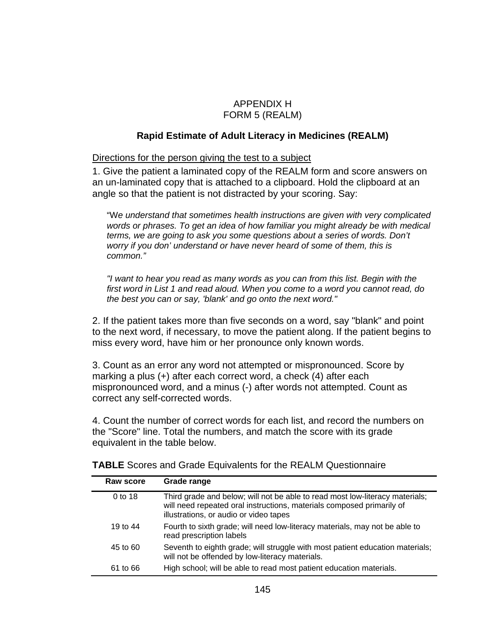#### APPENDIX H FORM 5 (REALM)

#### **Rapid Estimate of Adult Literacy in Medicines (REALM)**

Directions for the person giving the test to a subject

1. Give the patient a laminated copy of the REALM form and score answers on an un-laminated copy that is attached to a clipboard. Hold the clipboard at an angle so that the patient is not distracted by your scoring. Say:

"W*e understand that sometimes health instructions are given with very complicated words or phrases. To get an idea of how familiar you might already be with medical terms, we are going to ask you some questions about a series of words. Don't worry if you don' understand or have never heard of some of them, this is common."* 

*"I want to hear you read as many words as you can from this list. Begin with the first word in List 1 and read aloud. When you come to a word you cannot read, do the best you can or say, 'blank' and go onto the next word."* 

2. If the patient takes more than five seconds on a word, say "blank" and point to the next word, if necessary, to move the patient along. If the patient begins to miss every word, have him or her pronounce only known words.

3. Count as an error any word not attempted or mispronounced. Score by marking a plus (+) after each correct word, a check (4) after each mispronounced word, and a minus (-) after words not attempted. Count as correct any self-corrected words.

4. Count the number of correct words for each list, and record the numbers on the "Score" line. Total the numbers, and match the score with its grade equivalent in the table below.

| Raw score  | Grade range                                                                                                                                                                                     |
|------------|-------------------------------------------------------------------------------------------------------------------------------------------------------------------------------------------------|
| 0 to 18    | Third grade and below; will not be able to read most low-literacy materials;<br>will need repeated oral instructions, materials composed primarily of<br>illustrations, or audio or video tapes |
| 19 to $44$ | Fourth to sixth grade; will need low-literacy materials, may not be able to<br>read prescription labels                                                                                         |
| 45 to 60   | Seventh to eighth grade; will struggle with most patient education materials;<br>will not be offended by low-literacy materials.                                                                |
| 61 to 66   | High school; will be able to read most patient education materials.                                                                                                                             |

**TABLE** Scores and Grade Equivalents for the REALM Questionnaire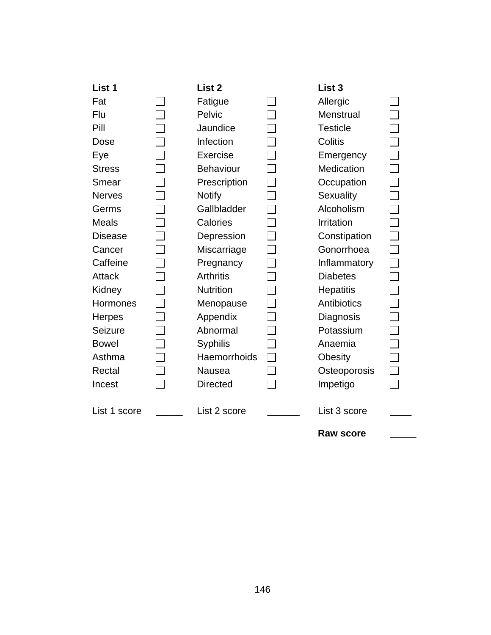| List 1         | List 2           | List <sub>3</sub> |  |
|----------------|------------------|-------------------|--|
| Fat            | Fatigue          | Allergic          |  |
| Flu            | Pelvic           | Menstrual         |  |
| Pill           | Jaundice         | <b>Testicle</b>   |  |
| Dose           | Infection        | Colitis           |  |
| Eye            | Exercise         | Emergency         |  |
| <b>Stress</b>  | <b>Behaviour</b> | Medication        |  |
| Smear          | Prescription     | Occupation        |  |
| <b>Nerves</b>  | <b>Notify</b>    | Sexuality         |  |
| Germs          | Gallbladder      | Alcoholism        |  |
| <b>Meals</b>   | Calories         | Irritation        |  |
| <b>Disease</b> | Depression       | Constipation      |  |
| Cancer         | Miscarriage      | Gonorrhoea        |  |
| Caffeine       | Pregnancy        | Inflammatory      |  |
| <b>Attack</b>  | <b>Arthritis</b> | <b>Diabetes</b>   |  |
| Kidney         | <b>Nutrition</b> | <b>Hepatitis</b>  |  |
| Hormones       | Menopause        | Antibiotics       |  |
| <b>Herpes</b>  | Appendix         | Diagnosis         |  |
| Seizure        | Abnormal         | Potassium         |  |
| <b>Bowel</b>   | <b>Syphilis</b>  | Anaemia           |  |
| Asthma         | Haemorrhoids     | <b>Obesity</b>    |  |
| Rectal         | Nausea           | Osteoporosis      |  |
| Incest         | <b>Directed</b>  | Impetigo          |  |
| List 1 score   | List 2 score     | List 3 score      |  |
|                |                  | <b>Raw score</b>  |  |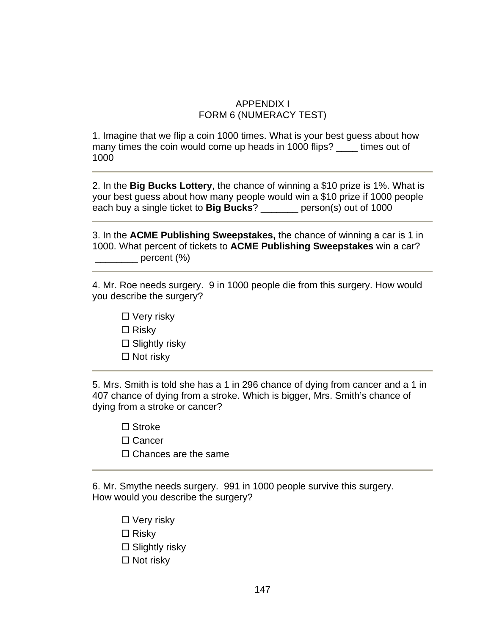## APPENDIX I FORM 6 (NUMERACY TEST)

1. Imagine that we flip a coin 1000 times. What is your best guess about how many times the coin would come up heads in 1000 flips? times out of 1000

2. In the **Big Bucks Lottery**, the chance of winning a \$10 prize is 1%. What is your best guess about how many people would win a \$10 prize if 1000 people each buy a single ticket to **Big Bucks**? \_\_\_\_\_\_\_ person(s) out of 1000

3. In the **ACME Publishing Sweepstakes,** the chance of winning a car is 1 in 1000. What percent of tickets to **ACME Publishing Sweepstakes** win a car?  $\rule{1em}{0.15mm}$  percent (%)

4. Mr. Roe needs surgery. 9 in 1000 people die from this surgery. How would you describe the surgery?

- $\Box$  Very risky
- $\Box$  Risky
- $\square$  Slightly risky
- Not risky

5. Mrs. Smith is told she has a 1 in 296 chance of dying from cancer and a 1 in 407 chance of dying from a stroke. Which is bigger, Mrs. Smith's chance of dying from a stroke or cancer?

- □ Stroke
- □ Cancer
- $\Box$  Chances are the same

6. Mr. Smythe needs surgery. 991 in 1000 people survive this surgery. How would you describe the surgery?

- $\Box$  Very risky
- $\Box$  Risky
- $\square$  Slightly risky
- $\Box$  Not risky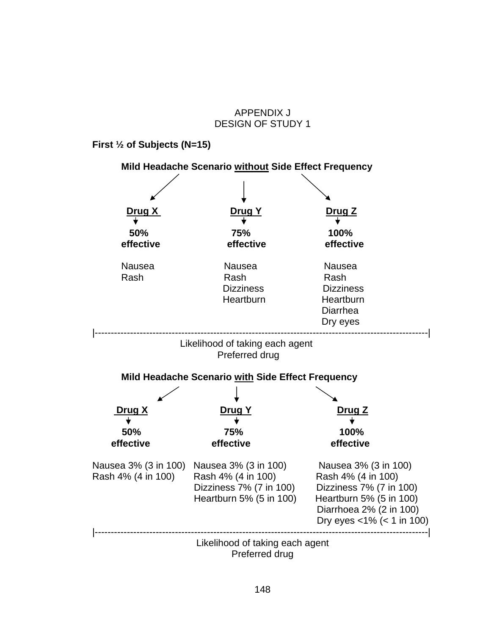### APPENDIX J DESIGN OF STUDY 1

**First ½ of Subjects (N=15)** 

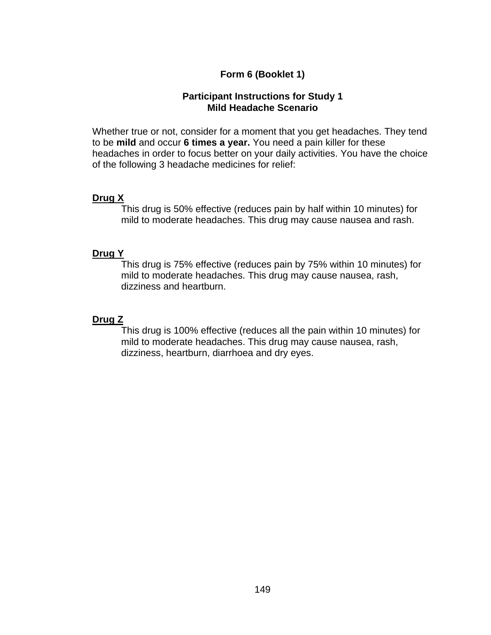## **Form 6 (Booklet 1)**

#### **Participant Instructions for Study 1 Mild Headache Scenario**

Whether true or not, consider for a moment that you get headaches. They tend to be **mild** and occur **6 times a year.** You need a pain killer for these headaches in order to focus better on your daily activities. You have the choice of the following 3 headache medicines for relief:

#### **Drug X**

This drug is 50% effective (reduces pain by half within 10 minutes) for mild to moderate headaches. This drug may cause nausea and rash.

#### **Drug Y**

This drug is 75% effective (reduces pain by 75% within 10 minutes) for mild to moderate headaches. This drug may cause nausea, rash, dizziness and heartburn.

#### **Drug Z**

This drug is 100% effective (reduces all the pain within 10 minutes) for mild to moderate headaches. This drug may cause nausea, rash, dizziness, heartburn, diarrhoea and dry eyes.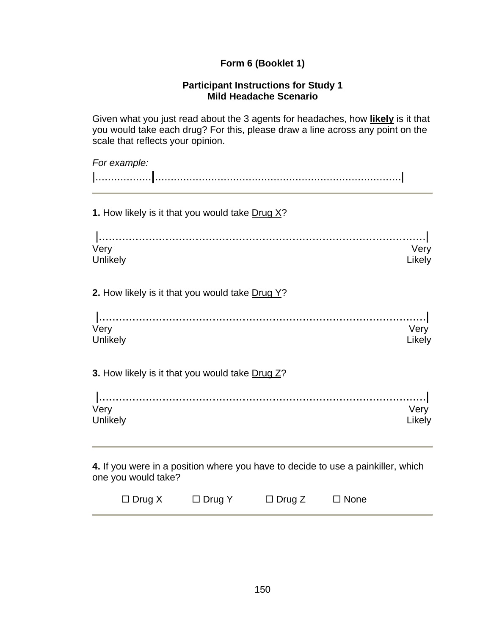## **Form 6 (Booklet 1)**

#### **Participant Instructions for Study 1 Mild Headache Scenario**

Given what you just read about the 3 agents for headaches, how **likely** is it that you would take each drug? For this, please draw a line across any point on the scale that reflects your opinion.

| For example:                                                                                            |                |
|---------------------------------------------------------------------------------------------------------|----------------|
|                                                                                                         |                |
| 1. How likely is it that you would take Drug X?                                                         |                |
| Very<br>Unlikely                                                                                        | Very<br>Likely |
| 2. How likely is it that you would take Drug Y?                                                         |                |
| Very<br>Unlikely                                                                                        | Very<br>Likely |
| 3. How likely is it that you would take Drug Z?                                                         |                |
| Very<br>Unlikely                                                                                        | Very<br>Likely |
| 4. If you were in a position where you have to decide to use a painkiller, which<br>one you would take? |                |

| $\Box$ Drug X<br>$\Box$ Drug Z<br>$\Box$ Drug Y<br>$\Box$ None |  |  |  |  |  |
|----------------------------------------------------------------|--|--|--|--|--|
|----------------------------------------------------------------|--|--|--|--|--|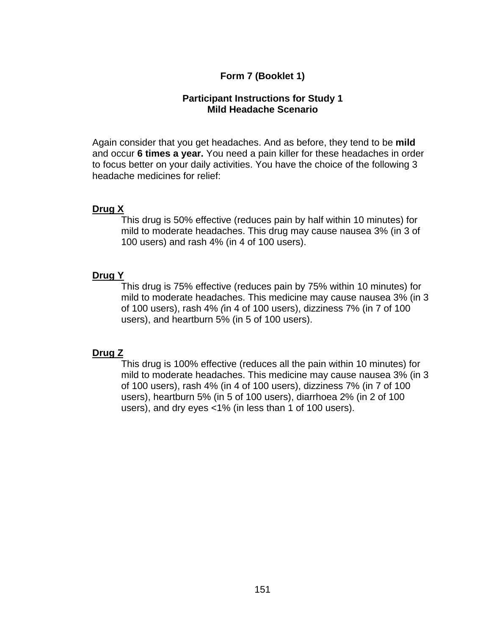## **Form 7 (Booklet 1)**

#### **Participant Instructions for Study 1 Mild Headache Scenario**

Again consider that you get headaches. And as before, they tend to be **mild**  and occur **6 times a year.** You need a pain killer for these headaches in order to focus better on your daily activities. You have the choice of the following 3 headache medicines for relief:

#### **Drug X**

This drug is 50% effective (reduces pain by half within 10 minutes) for mild to moderate headaches. This drug may cause nausea 3% (in 3 of 100 users) and rash 4% (in 4 of 100 users).

#### **Drug Y**

This drug is 75% effective (reduces pain by 75% within 10 minutes) for mild to moderate headaches. This medicine may cause nausea 3% (in 3 of 100 users), rash 4% *(*in 4 of 100 users), dizziness 7% (in 7 of 100 users), and heartburn 5% (in 5 of 100 users).

#### **Drug Z**

This drug is 100% effective (reduces all the pain within 10 minutes) for mild to moderate headaches. This medicine may cause nausea 3% (in 3 of 100 users), rash 4% (in 4 of 100 users), dizziness 7% (in 7 of 100 users), heartburn 5% (in 5 of 100 users), diarrhoea 2% (in 2 of 100 users), and dry eyes <1% (in less than 1 of 100 users).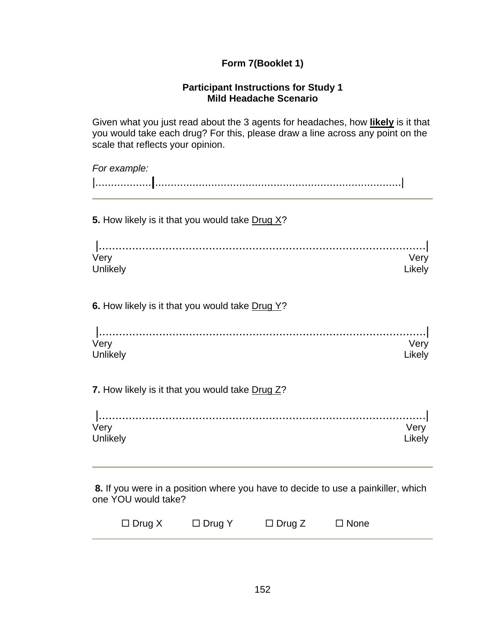## **Form 7(Booklet 1)**

#### **Participant Instructions for Study 1 Mild Headache Scenario**

Given what you just read about the 3 agents for headaches, how **likely** is it that you would take each drug? For this, please draw a line across any point on the scale that reflects your opinion.

| For example:                                          |                |
|-------------------------------------------------------|----------------|
| 5. How likely is it that you would take Drug X?       |                |
| Very<br>Unlikely                                      | Very<br>Likely |
| 6. How likely is it that you would take Drug Y?       |                |
| Very<br>Unlikely                                      | Very<br>Likely |
| <b>7</b> How likely is it that you would take Drug 72 |                |

**7.** How likely is it that you would take <u>Drug Z</u>?

| Very    |  |
|---------|--|
| Unlikel |  |

**8.** If you were in a position where you have to decide to use a painkiller, which one YOU would take?

| $\Box$ Drug X |  |  | $\Box$ Drug Y | $\Box$ Drug Z | $\Box$ None |
|---------------|--|--|---------------|---------------|-------------|
|---------------|--|--|---------------|---------------|-------------|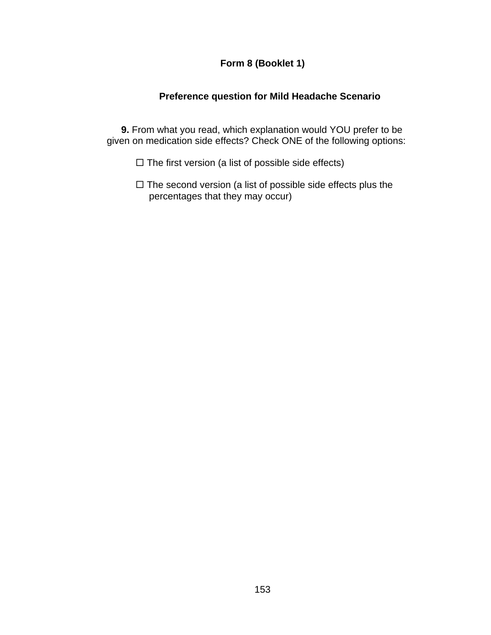## **Form 8 (Booklet 1)**

## **Preference question for Mild Headache Scenario**

**9.** From what you read, which explanation would YOU prefer to be given on medication side effects? Check ONE of the following options:

- $\Box$  The first version (a list of possible side effects)
- $\Box$  The second version (a list of possible side effects plus the percentages that they may occur)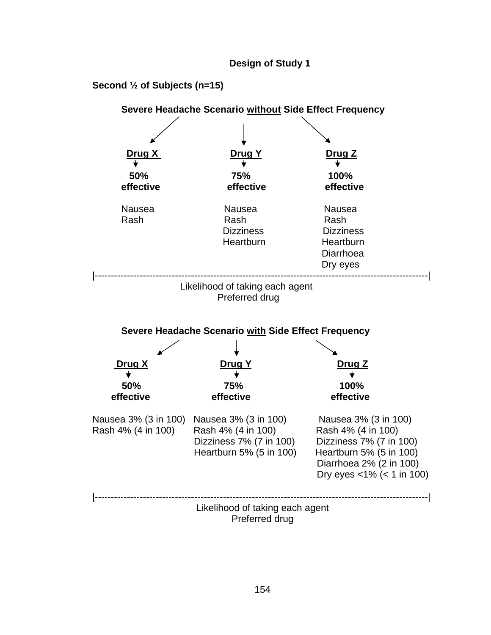#### **Design of Study 1**

#### **Second ½ of Subjects (n=15)**

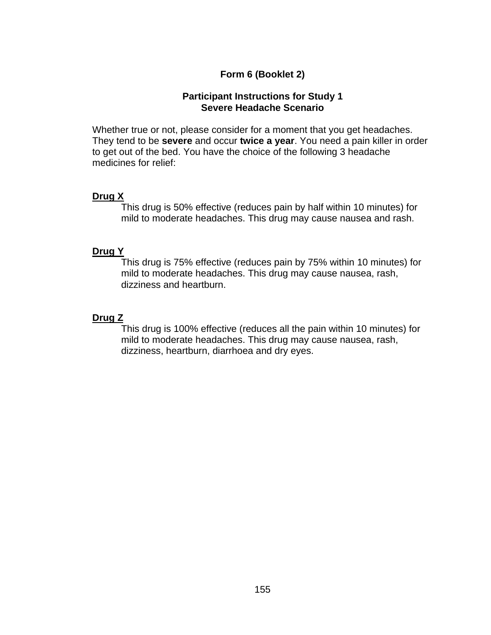## **Form 6 (Booklet 2)**

#### **Participant Instructions for Study 1 Severe Headache Scenario**

Whether true or not, please consider for a moment that you get headaches. They tend to be **severe** and occur **twice a year**. You need a pain killer in order to get out of the bed. You have the choice of the following 3 headache medicines for relief:

#### **Drug X**

This drug is 50% effective (reduces pain by half within 10 minutes) for mild to moderate headaches. This drug may cause nausea and rash.

#### **Drug Y**

This drug is 75% effective (reduces pain by 75% within 10 minutes) for mild to moderate headaches. This drug may cause nausea, rash, dizziness and heartburn.

#### **Drug Z**

This drug is 100% effective (reduces all the pain within 10 minutes) for mild to moderate headaches. This drug may cause nausea, rash, dizziness, heartburn, diarrhoea and dry eyes.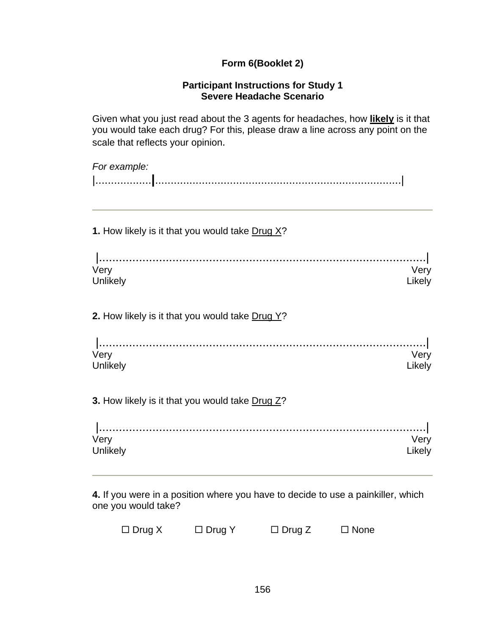## **Form 6(Booklet 2)**

#### **Participant Instructions for Study 1 Severe Headache Scenario**

Given what you just read about the 3 agents for headaches, how **likely** is it that you would take each drug? For this, please draw a line across any point on the scale that reflects your opinion.

| For example:                                    |                |
|-------------------------------------------------|----------------|
| 1. How likely is it that you would take Drug X? |                |
| Very<br>Unlikely                                | Very<br>Likely |
| 2. How likely is it that you would take Drug Y? |                |
| Very<br>Unlikely                                | Very<br>Likely |
| 3. How likely is it that you would take Drug Z? |                |
| Very<br>Unlikely                                | Very<br>Likely |

**4.** If you were in a position where you have to decide to use a painkiller, which one you would take?

| $\Box$ Drug X | $\Box$ Drug Y | $\Box$ Drug Z | $\Box$ None |
|---------------|---------------|---------------|-------------|
|---------------|---------------|---------------|-------------|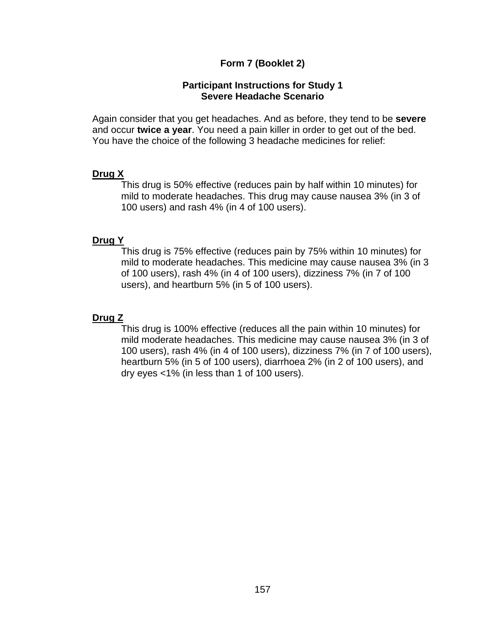### **Form 7 (Booklet 2)**

#### **Participant Instructions for Study 1 Severe Headache Scenario**

Again consider that you get headaches. And as before, they tend to be **severe** and occur **twice a year**. You need a pain killer in order to get out of the bed. You have the choice of the following 3 headache medicines for relief:

#### **Drug X**

This drug is 50% effective (reduces pain by half within 10 minutes) for mild to moderate headaches. This drug may cause nausea 3% (in 3 of 100 users) and rash 4% (in 4 of 100 users).

## **Drug Y**

This drug is 75% effective (reduces pain by 75% within 10 minutes) for mild to moderate headaches. This medicine may cause nausea 3% (in 3 of 100 users), rash 4% (in 4 of 100 users), dizziness 7% (in 7 of 100 users), and heartburn 5% (in 5 of 100 users).

## **Drug Z**

This drug is 100% effective (reduces all the pain within 10 minutes) for mild moderate headaches. This medicine may cause nausea 3% (in 3 of 100 users), rash 4% (in 4 of 100 users), dizziness 7% (in 7 of 100 users), heartburn 5% (in 5 of 100 users), diarrhoea 2% (in 2 of 100 users), and dry eyes <1% (in less than 1 of 100 users).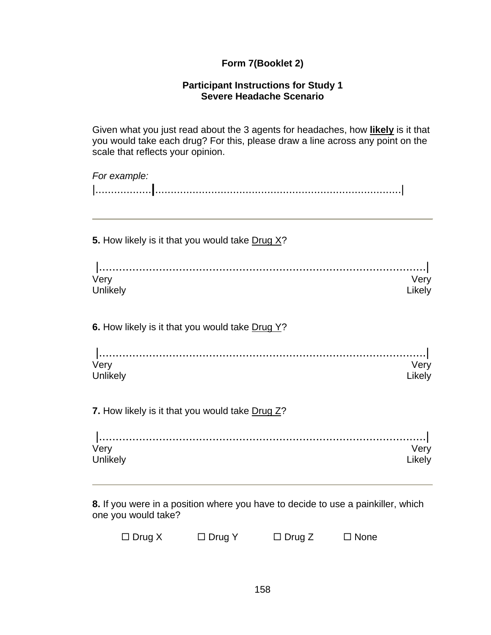## **Form 7(Booklet 2)**

#### **Participant Instructions for Study 1 Severe Headache Scenario**

Given what you just read about the 3 agents for headaches, how **likely** is it that you would take each drug? For this, please draw a line across any point on the scale that reflects your opinion.

| Very<br>Likely |
|----------------|
|                |
| Very<br>Likely |
|                |
| Very<br>Likely |
|                |

**8.** If you were in a position where you have to decide to use a painkiller, which one you would take?

| $\Box$ Drug X | $\Box$ Drug Y | $\Box$ Drug Z | $\Box$ None |
|---------------|---------------|---------------|-------------|
|---------------|---------------|---------------|-------------|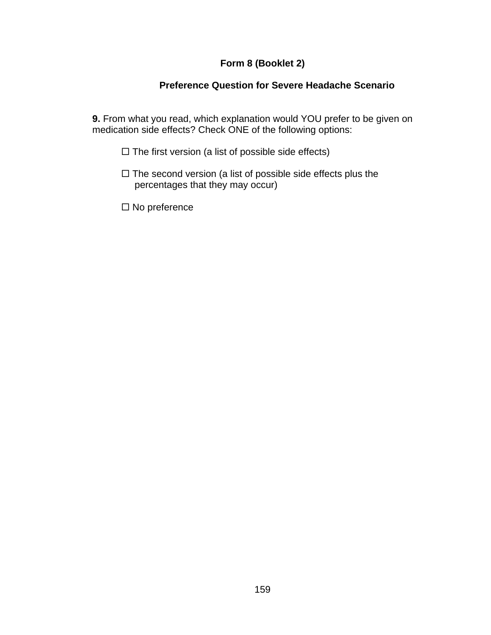## **Form 8 (Booklet 2)**

## **Preference Question for Severe Headache Scenario**

**9.** From what you read, which explanation would YOU prefer to be given on medication side effects? Check ONE of the following options:

- $\square$  The first version (a list of possible side effects)
- $\Box$  The second version (a list of possible side effects plus the percentages that they may occur)
- $\square$  No preference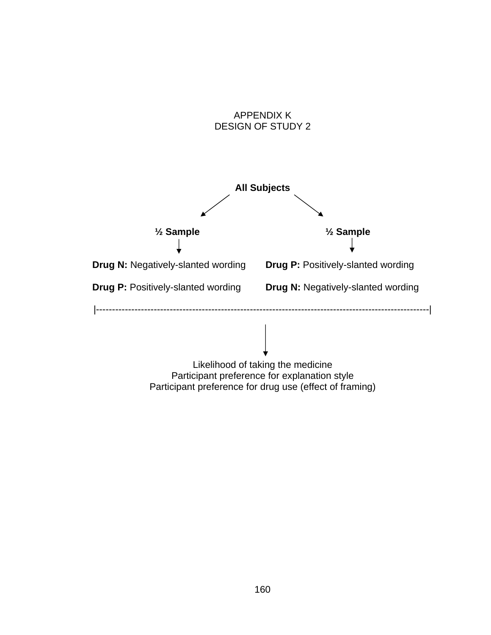

Participant preference for drug use (effect of framing)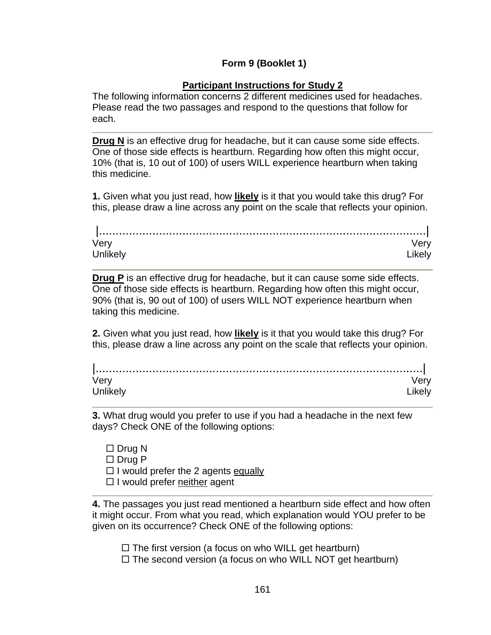## **Form 9 (Booklet 1)**

## **Participant Instructions for Study 2**

The following information concerns 2 different medicines used for headaches. Please read the two passages and respond to the questions that follow for each.

**Drug N** is an effective drug for headache, but it can cause some side effects. One of those side effects is heartburn. Regarding how often this might occur, 10% (that is, 10 out of 100) of users WILL experience heartburn when taking this medicine.

**1.** Given what you just read, how **likely** is it that you would take this drug? For this, please draw a line across any point on the scale that reflects your opinion.

| ver   |  |
|-------|--|
| Unlik |  |

**Drug P** is an effective drug for headache, but it can cause some side effects. One of those side effects is heartburn. Regarding how often this might occur, 90% (that is, 90 out of 100) of users WILL NOT experience heartburn when taking this medicine.

**2.** Given what you just read, how **likely** is it that you would take this drug? For this, please draw a line across any point on the scale that reflects your opinion.

| verv |  |
|------|--|
|      |  |

**3.** What drug would you prefer to use if you had a headache in the next few days? Check ONE of the following options:

 $\Box$  Drug N  $\Box$  Drug P  $\Box$  I would prefer the 2 agents equally  $\Box$  I would prefer neither agent

**4.** The passages you just read mentioned a heartburn side effect and how often it might occur. From what you read, which explanation would YOU prefer to be given on its occurrence? Check ONE of the following options:

 $\Box$  The first version (a focus on who WILL get heartburn)

 $\Box$  The second version (a focus on who WILL NOT get heartburn)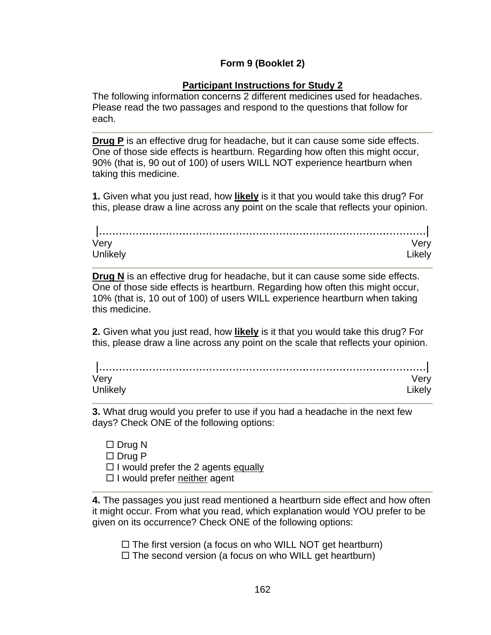## **Form 9 (Booklet 2)**

## **Participant Instructions for Study 2**

The following information concerns 2 different medicines used for headaches. Please read the two passages and respond to the questions that follow for each.

**Drug P** is an effective drug for headache, but it can cause some side effects. One of those side effects is heartburn. Regarding how often this might occur, 90% (that is, 90 out of 100) of users WILL NOT experience heartburn when taking this medicine.

**1.** Given what you just read, how **likely** is it that you would take this drug? For this, please draw a line across any point on the scale that reflects your opinion.

| Very     |  |
|----------|--|
| Unlikely |  |

**Drug N** is an effective drug for headache, but it can cause some side effects. One of those side effects is heartburn. Regarding how often this might occur, 10% (that is, 10 out of 100) of users WILL experience heartburn when taking this medicine.

**2.** Given what you just read, how **likely** is it that you would take this drug? For this, please draw a line across any point on the scale that reflects your opinion.

| ver    |  |
|--------|--|
| Unlike |  |

**3.** What drug would you prefer to use if you had a headache in the next few days? Check ONE of the following options:

 $\Box$  Drug N  $\Box$  Drug P  $\Box$  I would prefer the 2 agents equally  $\Box$  I would prefer neither agent

**4.** The passages you just read mentioned a heartburn side effect and how often it might occur. From what you read, which explanation would YOU prefer to be given on its occurrence? Check ONE of the following options:

 $\Box$  The first version (a focus on who WILL NOT get heartburn)

 $\Box$  The second version (a focus on who WILL get heartburn)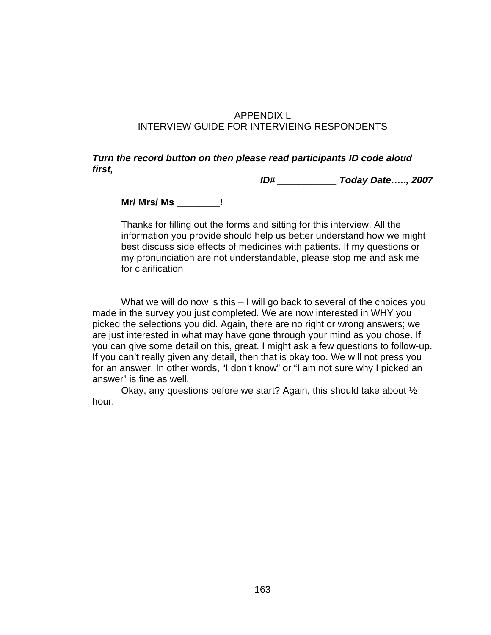## APPENDIX L INTERVIEW GUIDE FOR INTERVIEING RESPONDENTS

#### *Turn the record button on then please read participants ID code aloud first,*

 *ID# \_\_\_\_\_\_\_\_\_\_\_ Today Date….., 2007* 

**Mr/ Mrs/ Ms \_\_\_\_\_\_\_\_!** 

Thanks for filling out the forms and sitting for this interview. All the information you provide should help us better understand how we might best discuss side effects of medicines with patients. If my questions or my pronunciation are not understandable, please stop me and ask me for clarification

 What we will do now is this – I will go back to several of the choices you made in the survey you just completed. We are now interested in WHY you picked the selections you did. Again, there are no right or wrong answers; we are just interested in what may have gone through your mind as you chose. If you can give some detail on this, great. I might ask a few questions to follow-up. If you can't really given any detail, then that is okay too. We will not press you for an answer. In other words, "I don't know" or "I am not sure why I picked an answer" is fine as well.

 Okay, any questions before we start? Again, this should take about ½ hour.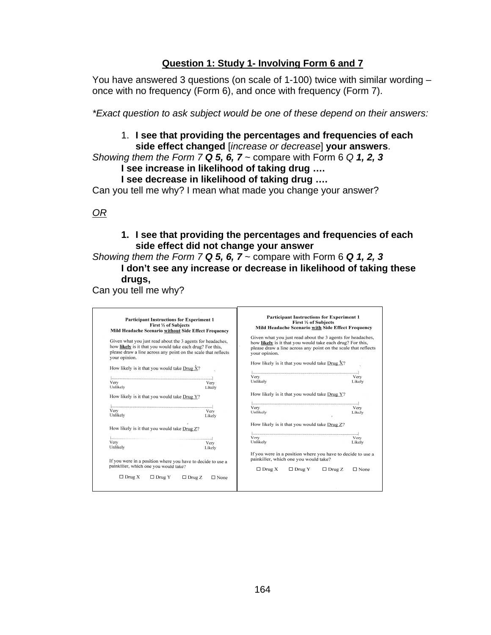## **Question 1: Study 1- Involving Form 6 and 7**

You have answered 3 questions (on scale of 1-100) twice with similar wording – once with no frequency (Form 6), and once with frequency (Form 7).

*\*Exact question to ask subject would be one of these depend on their answers:* 

#### 1. **I see that providing the percentages and frequencies of each side effect changed** [*increase or decrease*] **your answers**.

*Showing them the Form 7 Q 5, 6, 7* ~ compare with Form 6 *Q 1, 2, 3*

## **I see increase in likelihood of taking drug ….**

**I see decrease in likelihood of taking drug ….** 

Can you tell me why? I mean what made you change your answer?

## *OR*

#### **1. I see that providing the percentages and frequencies of each side effect did not change your answer**

## *Showing them the Form 7 Q 5, 6, 7* ~ compare with Form 6 *Q 1, 2, 3* **I don't see any increase or decrease in likelihood of taking these drugs,**

Can you tell me why?

| <b>Participant Instructions for Experiment 1</b><br>First 1/2 of Subjects<br>Mild Headache Scenario without Side Effect Frequency                                                                          | <b>Participant Instructions for Experiment 1</b><br>First 1/2 of Subjects<br>Mild Headache Scenario with Side Effect Frequency                                                                             |
|------------------------------------------------------------------------------------------------------------------------------------------------------------------------------------------------------------|------------------------------------------------------------------------------------------------------------------------------------------------------------------------------------------------------------|
| Given what you just read about the 3 agents for headaches,<br>how likely is it that you would take each drug? For this,<br>please draw a line across any point on the scale that reflects<br>your opinion. | Given what you just read about the 3 agents for headaches,<br>how likely is it that you would take each drug? For this,<br>please draw a line across any point on the scale that reflects<br>your opinion. |
| How likely is it that you would take Drug $\hat{X}$ ?                                                                                                                                                      | How likely is it that you would take Drug $X$ ?                                                                                                                                                            |
| Very<br>Very<br>Unlikely<br>Likely                                                                                                                                                                         | Very<br>Very<br>Unlikely<br>Likely                                                                                                                                                                         |
| How likely is it that you would take Drug Y?                                                                                                                                                               | How likely is it that you would take Drug Y?                                                                                                                                                               |
| Very<br>Very<br>Unlikely<br>Likely                                                                                                                                                                         | Very<br>Very<br>Unlikely<br>Likely                                                                                                                                                                         |
| How likely is it that you would take Drug Z?                                                                                                                                                               | How likely is it that you would take Drug Z?                                                                                                                                                               |
| Very<br>Very<br>Unlikely<br>Likely                                                                                                                                                                         | Very<br>Very<br>Unlikely<br>Likely                                                                                                                                                                         |
| If you were in a position where you have to decide to use a                                                                                                                                                | If you were in a position where you have to decide to use a<br>painkiller, which one you would take?                                                                                                       |
| painkiller, which one you would take?                                                                                                                                                                      | $\Box$ Drug X<br>$\Box$ Drug Y<br>$\Box$ Drug Z<br>$\square$ None                                                                                                                                          |
| $\Box$ Drug X<br>$\Box$ Drug Y<br>$\Box$ Drug Z<br>$\square$ None                                                                                                                                          |                                                                                                                                                                                                            |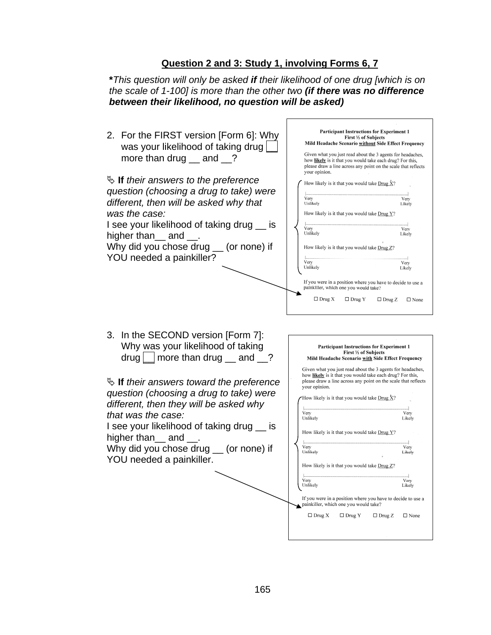## **Question 2 and 3: Study 1, involving Forms 6, 7**

**\****This question will only be asked if their likelihood of one drug [which is on the scale of 1-100] is more than the other two (if there was no difference between their likelihood, no question will be asked)*

|                                                                                                                                                                                                                                                                                                                                            | <b>Participant Instructions for Experiment 1</b>                                                                                                                                                                                                                                                                                                                                                                                      |
|--------------------------------------------------------------------------------------------------------------------------------------------------------------------------------------------------------------------------------------------------------------------------------------------------------------------------------------------|---------------------------------------------------------------------------------------------------------------------------------------------------------------------------------------------------------------------------------------------------------------------------------------------------------------------------------------------------------------------------------------------------------------------------------------|
| 2. For the FIRST version [Form 6]: Why                                                                                                                                                                                                                                                                                                     | First 1/2 of Subjects<br>Mild Headache Scenario without Side Effect Frequency                                                                                                                                                                                                                                                                                                                                                         |
| was your likelihood of taking drug                                                                                                                                                                                                                                                                                                         | Given what you just read about the 3 agents for headaches,                                                                                                                                                                                                                                                                                                                                                                            |
| more than drug $\_\_$ and $\_\$ ?                                                                                                                                                                                                                                                                                                          | how likely is it that you would take each drug? For this,<br>please draw a line across any point on the scale that reflects<br>your opinion.                                                                                                                                                                                                                                                                                          |
| $\mathfrak{S}$ If their answers to the preference                                                                                                                                                                                                                                                                                          | How likely is it that you would take $Drug \hat{X}$ ?                                                                                                                                                                                                                                                                                                                                                                                 |
| question (choosing a drug to take) were                                                                                                                                                                                                                                                                                                    |                                                                                                                                                                                                                                                                                                                                                                                                                                       |
| different, then will be asked why that                                                                                                                                                                                                                                                                                                     | Very<br>Very<br>Unlikely<br>Likely                                                                                                                                                                                                                                                                                                                                                                                                    |
| was the case:                                                                                                                                                                                                                                                                                                                              | How likely is it that you would take Drug Y?                                                                                                                                                                                                                                                                                                                                                                                          |
| I see your likelihood of taking drug _ is                                                                                                                                                                                                                                                                                                  |                                                                                                                                                                                                                                                                                                                                                                                                                                       |
| higher than __ and __.                                                                                                                                                                                                                                                                                                                     | Very<br>Very<br>Unlikely<br>Likely                                                                                                                                                                                                                                                                                                                                                                                                    |
|                                                                                                                                                                                                                                                                                                                                            |                                                                                                                                                                                                                                                                                                                                                                                                                                       |
| Why did you chose drug __ (or none) if                                                                                                                                                                                                                                                                                                     | How likely is it that you would take Drug Z?                                                                                                                                                                                                                                                                                                                                                                                          |
| YOU needed a painkiller?                                                                                                                                                                                                                                                                                                                   | Very<br>Very                                                                                                                                                                                                                                                                                                                                                                                                                          |
|                                                                                                                                                                                                                                                                                                                                            | Unlikely<br>Likely                                                                                                                                                                                                                                                                                                                                                                                                                    |
|                                                                                                                                                                                                                                                                                                                                            | If you were in a position where you have to decide to use a<br>painkiller, which one you would take?                                                                                                                                                                                                                                                                                                                                  |
|                                                                                                                                                                                                                                                                                                                                            | $\Box$ Drug X<br>$\Box$ Drug Y<br>$\Box$ Drug Z<br>$\Box$ None                                                                                                                                                                                                                                                                                                                                                                        |
|                                                                                                                                                                                                                                                                                                                                            |                                                                                                                                                                                                                                                                                                                                                                                                                                       |
| 3. In the SECOND version [Form 7]:<br>Why was your likelihood of taking<br>drug $\Box$ more than drug $\Box$ and $\Box$ ?<br>$\mathfrak{S}$ If their answers toward the preference<br>question (choosing a drug to take) were<br>different, then they will be asked why<br>that was the case:<br>I see your likelihood of taking drug _ is | <b>Participant Instructions for Experiment 1</b><br>First 1/2 of Subjects<br>Mild Headache Scenario with Side Effect Frequency<br>Given what you just read about the 3 agents for headaches,<br>how likely is it that you would take each drug? For this,<br>please draw a line across any point on the scale that reflects<br>your opinion.<br>How likely is it that you would take Drug $X$ ?<br>Very<br>Very<br>Unlikely<br>Likely |
| higher than $\equiv$ and $\equiv$ .<br>Why did you chose drug __ (or none) if<br>YOU needed a painkiller.                                                                                                                                                                                                                                  | How likely is it that you would take Drug Y?<br>Very<br>Very<br>Unlikely<br>Likely<br>How likely is it that you would take Drug Z?                                                                                                                                                                                                                                                                                                    |
|                                                                                                                                                                                                                                                                                                                                            |                                                                                                                                                                                                                                                                                                                                                                                                                                       |
|                                                                                                                                                                                                                                                                                                                                            | Very<br>Very<br>Unlikely<br>Likely                                                                                                                                                                                                                                                                                                                                                                                                    |
|                                                                                                                                                                                                                                                                                                                                            | If you were in a position where you have to decide to use a<br>painkiller, which one you would take?                                                                                                                                                                                                                                                                                                                                  |
|                                                                                                                                                                                                                                                                                                                                            | $\Box$ Drug X<br>$\Box$ Drug Y<br>$\Box$ Drug Z<br>$\square$ None                                                                                                                                                                                                                                                                                                                                                                     |
|                                                                                                                                                                                                                                                                                                                                            |                                                                                                                                                                                                                                                                                                                                                                                                                                       |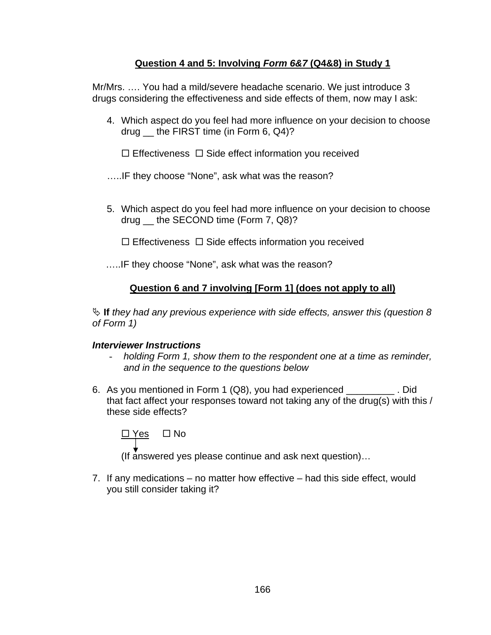## **Question 4 and 5: Involving** *Form 6&7* **(Q4&8) in Study 1**

Mr/Mrs. …. You had a mild/severe headache scenario. We just introduce 3 drugs considering the effectiveness and side effects of them, now may I ask:

- 4. Which aspect do you feel had more influence on your decision to choose drug \_\_ the FIRST time (in Form 6, Q4)?
	- $\Box$  Effectiveness  $\Box$  Side effect information you received

…..IF they choose "None", ask what was the reason?

- 5. Which aspect do you feel had more influence on your decision to choose drug \_\_ the SECOND time (Form 7, Q8)?
	- $\Box$  Effectiveness  $\Box$  Side effects information you received
- …..IF they choose "None", ask what was the reason?

# **Question 6 and 7 involving [Form 1] (does not apply to all)**

ª **If** *they had any previous experience with side effects, answer this (question 8 of Form 1)* 

### *Interviewer Instructions*

- *holding Form 1, show them to the respondent one at a time as reminder, and in the sequence to the questions below*
- 6. As you mentioned in Form 1 (Q8), you had experienced \_\_\_\_\_\_\_\_\_ . Did that fact affect your responses toward not taking any of the drug(s) with this / these side effects?

$$
\underbrace{\Box \, \Upsilon es} \quad \Box \, No
$$

(If answered yes please continue and ask next question)…

7. If any medications – no matter how effective – had this side effect, would you still consider taking it?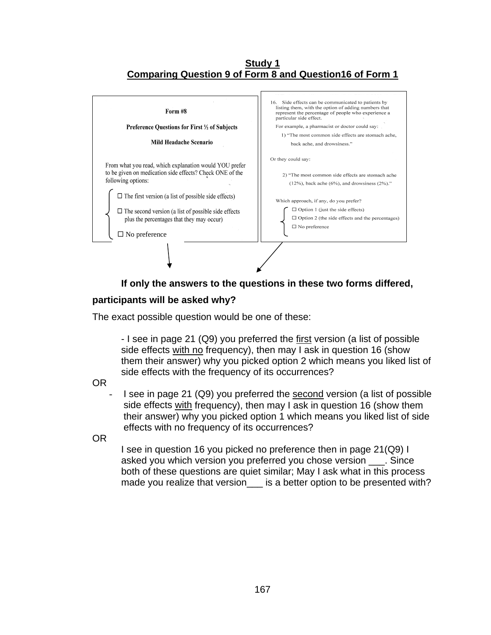#### **Study 1 Comparing Question 9 of Form 8 and Question16 of Form 1**



# **If only the answers to the questions in these two forms differed,**

### **participants will be asked why?**

The exact possible question would be one of these:

- I see in page 21 (Q9) you preferred the first version (a list of possible side effects with no frequency), then may I ask in question 16 (show them their answer) why you picked option 2 which means you liked list of side effects with the frequency of its occurrences?

OR

I see in page 21 (Q9) you preferred the second version (a list of possible side effects with frequency), then may I ask in question 16 (show them their answer) why you picked option 1 which means you liked list of side effects with no frequency of its occurrences?

OR

I see in question 16 you picked no preference then in page 21(Q9) I asked you which version you preferred you chose version \_\_\_. Since both of these questions are quiet similar; May I ask what in this process made you realize that version\_\_\_ is a better option to be presented with?